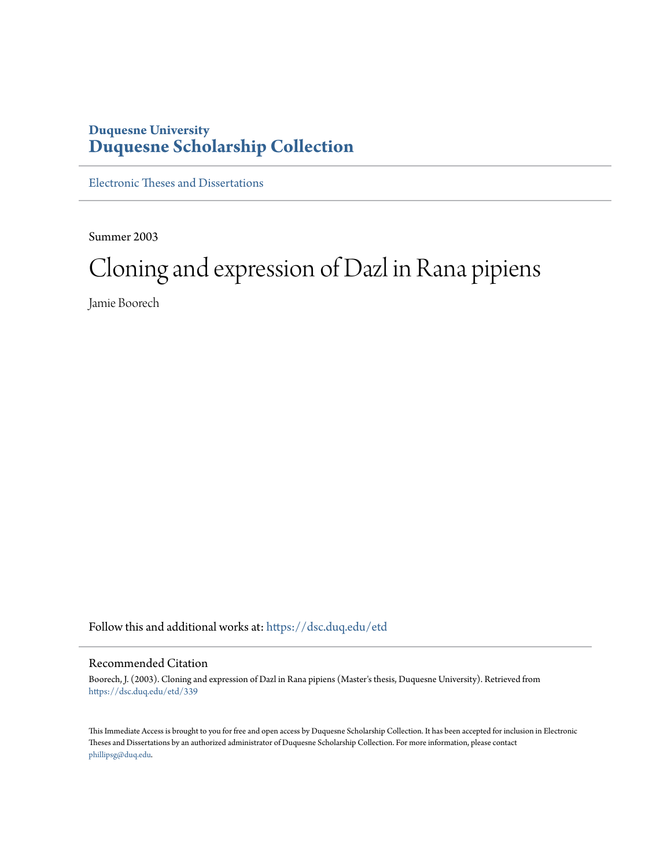# **Duquesne University [Duquesne Scholarship Collection](https://dsc.duq.edu?utm_source=dsc.duq.edu%2Fetd%2F339&utm_medium=PDF&utm_campaign=PDFCoverPages)**

[Electronic Theses and Dissertations](https://dsc.duq.edu/etd?utm_source=dsc.duq.edu%2Fetd%2F339&utm_medium=PDF&utm_campaign=PDFCoverPages)

Summer 2003

# Cloning and expression of Dazl in Rana pipiens

Jamie Boorech

Follow this and additional works at: [https://dsc.duq.edu/etd](https://dsc.duq.edu/etd?utm_source=dsc.duq.edu%2Fetd%2F339&utm_medium=PDF&utm_campaign=PDFCoverPages)

# Recommended Citation

Boorech, J. (2003). Cloning and expression of Dazl in Rana pipiens (Master's thesis, Duquesne University). Retrieved from [https://dsc.duq.edu/etd/339](https://dsc.duq.edu/etd/339?utm_source=dsc.duq.edu%2Fetd%2F339&utm_medium=PDF&utm_campaign=PDFCoverPages)

This Immediate Access is brought to you for free and open access by Duquesne Scholarship Collection. It has been accepted for inclusion in Electronic Theses and Dissertations by an authorized administrator of Duquesne Scholarship Collection. For more information, please contact [phillipsg@duq.edu.](mailto:phillipsg@duq.edu)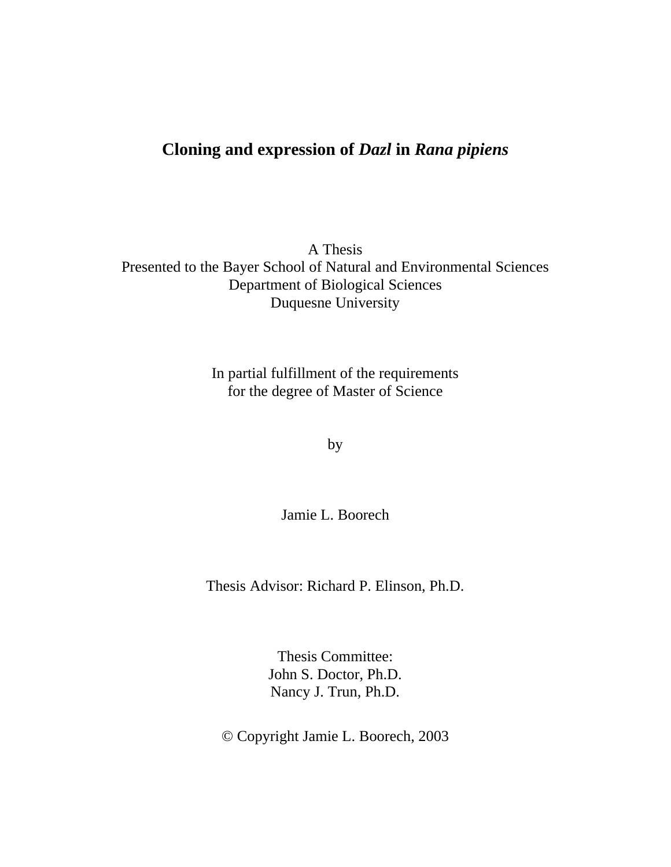# **Cloning and expression of** *Dazl* **in** *Rana pipiens*

A Thesis Presented to the Bayer School of Natural and Environmental Sciences Department of Biological Sciences Duquesne University

> In partial fulfillment of the requirements for the degree of Master of Science

> > by

Jamie L. Boorech

Thesis Advisor: Richard P. Elinson, Ph.D.

Thesis Committee: John S. Doctor, Ph.D. Nancy J. Trun, Ph.D.

© Copyright Jamie L. Boorech, 2003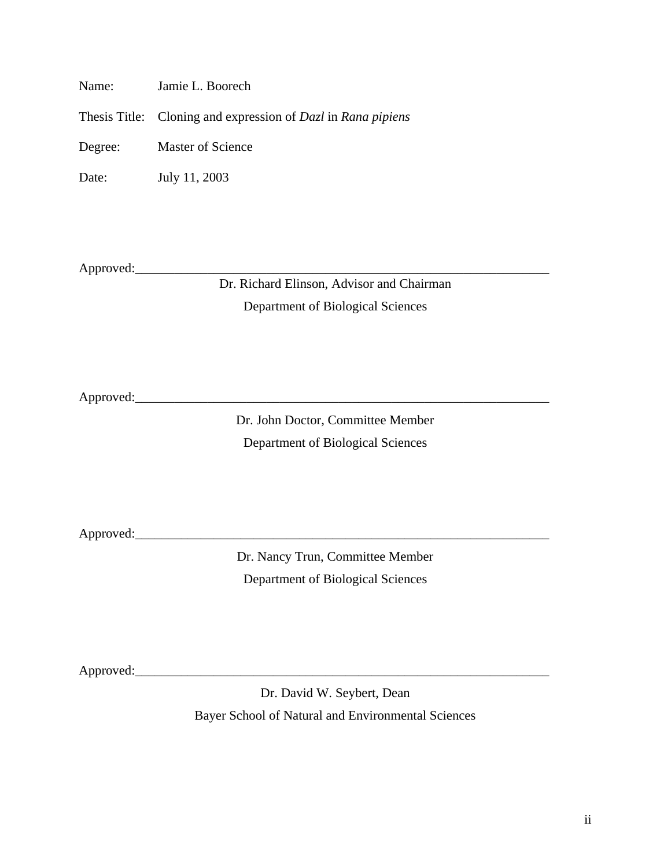Name: Jamie L. Boorech

Thesis Title: Cloning and expression of *Dazl* in *Rana pipiens*

Degree: Master of Science

Date: July 11, 2003

Approved:\_\_\_\_\_\_\_\_\_\_\_\_\_\_\_\_\_\_\_\_\_\_\_\_\_\_\_\_\_\_\_\_\_\_\_\_\_\_\_\_\_\_\_\_\_\_\_\_\_\_\_\_\_\_\_\_\_\_\_\_\_\_\_

Dr. Richard Elinson, Advisor and Chairman Department of Biological Sciences

Approved:\_\_\_\_\_\_\_\_\_\_\_\_\_\_\_\_\_\_\_\_\_\_\_\_\_\_\_\_\_\_\_\_\_\_\_\_\_\_\_\_\_\_\_\_\_\_\_\_\_\_\_\_\_\_\_\_\_\_\_\_\_\_\_

Dr. John Doctor, Committee Member Department of Biological Sciences

Approved:\_\_\_\_\_\_\_\_\_\_\_\_\_\_\_\_\_\_\_\_\_\_\_\_\_\_\_\_\_\_\_\_\_\_\_\_\_\_\_\_\_\_\_\_\_\_\_\_\_\_\_\_\_\_\_\_\_\_\_\_\_\_\_

Dr. Nancy Trun, Committee Member Department of Biological Sciences

Approved:\_\_\_\_\_\_\_\_\_\_\_\_\_\_\_\_\_\_\_\_\_\_\_\_\_\_\_\_\_\_\_\_\_\_\_\_\_\_\_\_\_\_\_\_\_\_\_\_\_\_\_\_\_\_\_\_\_\_\_\_\_\_\_

Dr. David W. Seybert, Dean Bayer School of Natural and Environmental Sciences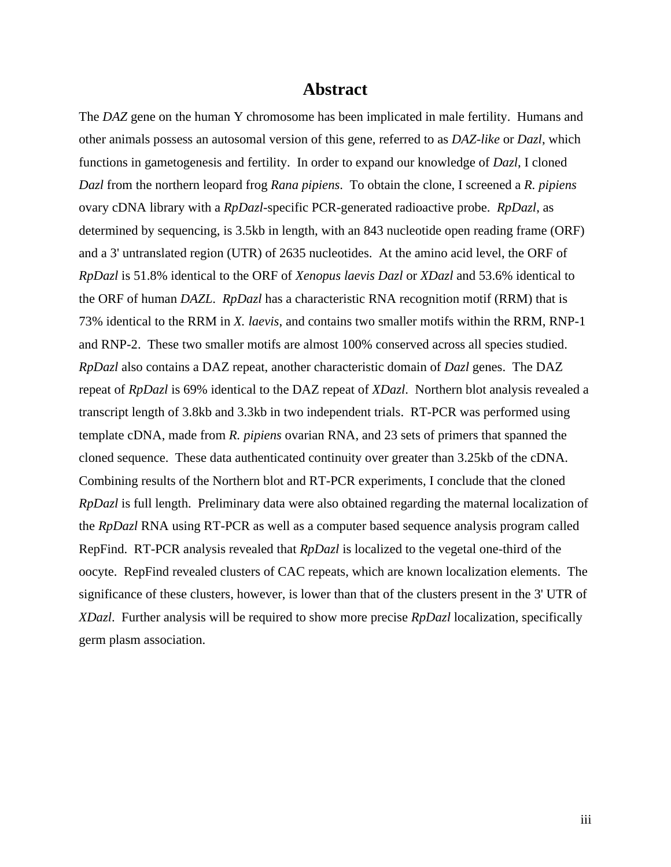# **Abstract**

The *DAZ* gene on the human Y chromosome has been implicated in male fertility. Humans and other animals possess an autosomal version of this gene, referred to as *DAZ-like* or *Dazl*, which functions in gametogenesis and fertility. In order to expand our knowledge of *Dazl*, I cloned *Dazl* from the northern leopard frog *Rana pipiens*. To obtain the clone, I screened a *R. pipiens* ovary cDNA library with a *RpDazl*-specific PCR-generated radioactive probe. *RpDazl*, as determined by sequencing, is 3.5kb in length, with an 843 nucleotide open reading frame (ORF) and a 3' untranslated region (UTR) of 2635 nucleotides. At the amino acid level, the ORF of *RpDazl* is 51.8% identical to the ORF of *Xenopus laevis Dazl* or *XDazl* and 53.6% identical to the ORF of human *DAZL*. *RpDazl* has a characteristic RNA recognition motif (RRM) that is 73% identical to the RRM in *X. laevis*, and contains two smaller motifs within the RRM, RNP-1 and RNP-2. These two smaller motifs are almost 100% conserved across all species studied. *RpDazl* also contains a DAZ repeat, another characteristic domain of *Dazl* genes. The DAZ repeat of *RpDazl* is 69% identical to the DAZ repeat of *XDazl*. Northern blot analysis revealed a transcript length of 3.8kb and 3.3kb in two independent trials. RT-PCR was performed using template cDNA, made from *R. pipiens* ovarian RNA, and 23 sets of primers that spanned the cloned sequence. These data authenticated continuity over greater than 3.25kb of the cDNA. Combining results of the Northern blot and RT-PCR experiments, I conclude that the cloned *RpDazl* is full length. Preliminary data were also obtained regarding the maternal localization of the *RpDazl* RNA using RT-PCR as well as a computer based sequence analysis program called RepFind. RT-PCR analysis revealed that *RpDazl* is localized to the vegetal one-third of the oocyte. RepFind revealed clusters of CAC repeats, which are known localization elements. The significance of these clusters, however, is lower than that of the clusters present in the 3' UTR of *XDazl*. Further analysis will be required to show more precise *RpDazl* localization, specifically germ plasm association.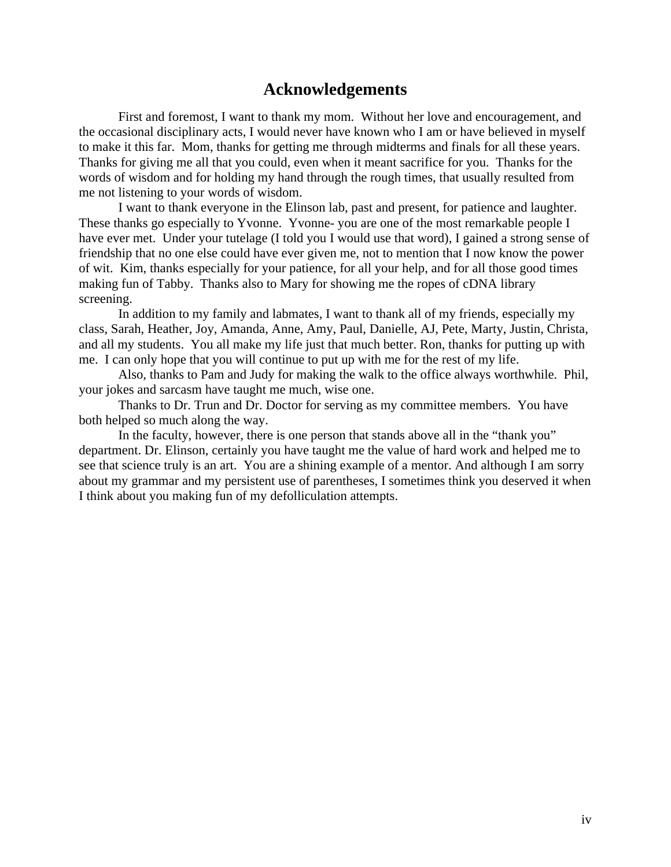# **Acknowledgements**

First and foremost, I want to thank my mom. Without her love and encouragement, and the occasional disciplinary acts, I would never have known who I am or have believed in myself to make it this far. Mom, thanks for getting me through midterms and finals for all these years. Thanks for giving me all that you could, even when it meant sacrifice for you. Thanks for the words of wisdom and for holding my hand through the rough times, that usually resulted from me not listening to your words of wisdom.

I want to thank everyone in the Elinson lab, past and present, for patience and laughter. These thanks go especially to Yvonne. Yvonne- you are one of the most remarkable people I have ever met. Under your tutelage (I told you I would use that word), I gained a strong sense of friendship that no one else could have ever given me, not to mention that I now know the power of wit. Kim, thanks especially for your patience, for all your help, and for all those good times making fun of Tabby. Thanks also to Mary for showing me the ropes of cDNA library screening.

In addition to my family and labmates, I want to thank all of my friends, especially my class, Sarah, Heather, Joy, Amanda, Anne, Amy, Paul, Danielle, AJ, Pete, Marty, Justin, Christa, and all my students. You all make my life just that much better. Ron, thanks for putting up with me. I can only hope that you will continue to put up with me for the rest of my life.

Also, thanks to Pam and Judy for making the walk to the office always worthwhile. Phil, your jokes and sarcasm have taught me much, wise one.

Thanks to Dr. Trun and Dr. Doctor for serving as my committee members. You have both helped so much along the way.

In the faculty, however, there is one person that stands above all in the "thank you" department. Dr. Elinson, certainly you have taught me the value of hard work and helped me to see that science truly is an art. You are a shining example of a mentor. And although I am sorry about my grammar and my persistent use of parentheses, I sometimes think you deserved it when I think about you making fun of my defolliculation attempts.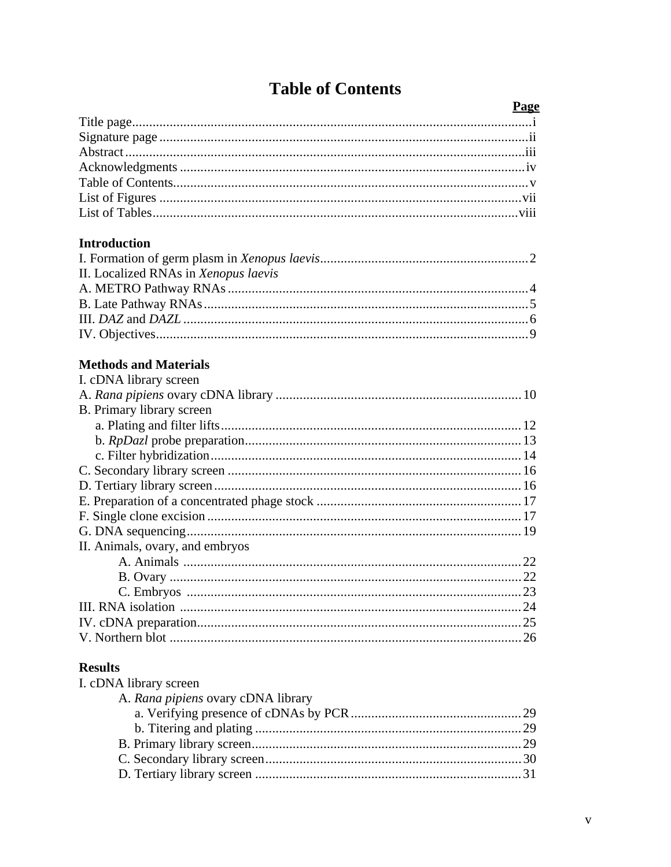|  |  | <b>Table of Contents</b> |
|--|--|--------------------------|
|--|--|--------------------------|

| Page                                 |  |
|--------------------------------------|--|
|                                      |  |
|                                      |  |
|                                      |  |
|                                      |  |
|                                      |  |
|                                      |  |
|                                      |  |
|                                      |  |
| <b>Introduction</b>                  |  |
|                                      |  |
| II. Localized RNAs in Xenopus laevis |  |
|                                      |  |
|                                      |  |
|                                      |  |
|                                      |  |
|                                      |  |
| <b>Methods and Materials</b>         |  |
| I. cDNA library screen               |  |
|                                      |  |
| B. Primary library screen            |  |
|                                      |  |
|                                      |  |
|                                      |  |
|                                      |  |
|                                      |  |
|                                      |  |
|                                      |  |
|                                      |  |
| II. Animals, ovary, and embryos      |  |
|                                      |  |
|                                      |  |
|                                      |  |
|                                      |  |
|                                      |  |
|                                      |  |
|                                      |  |
| <b>Results</b>                       |  |
| I. cDNA library screen               |  |
| A. Rana pipiens ovary cDNA library   |  |
|                                      |  |
|                                      |  |
|                                      |  |
|                                      |  |
|                                      |  |
|                                      |  |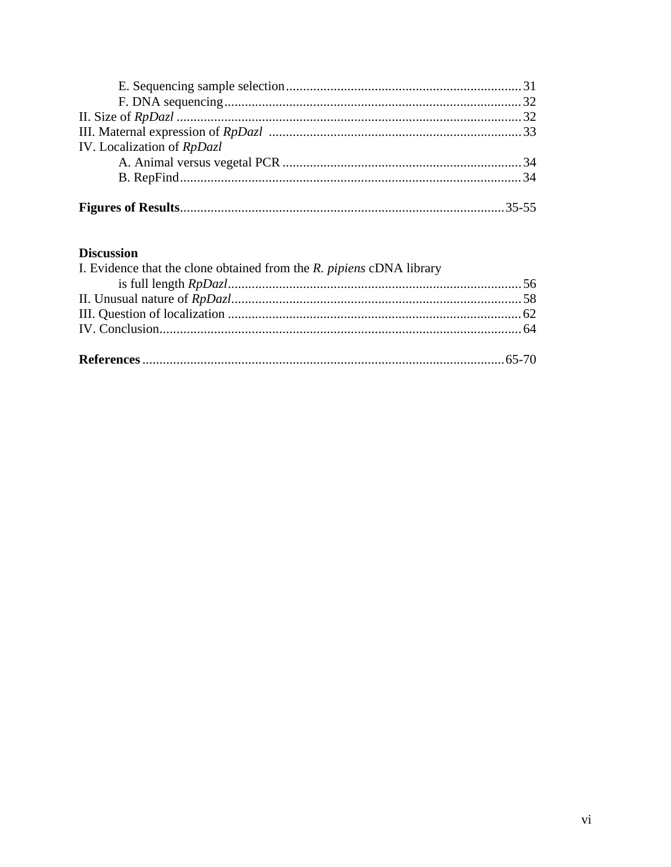| IV. Localization of RpDazl |  |
|----------------------------|--|
|                            |  |
|                            |  |
|                            |  |
|                            |  |

# **Discussion**

| I. Evidence that the clone obtained from the $R$ . <i>pipiens</i> cDNA library |  |
|--------------------------------------------------------------------------------|--|
|                                                                                |  |
|                                                                                |  |
|                                                                                |  |
|                                                                                |  |
|                                                                                |  |
|                                                                                |  |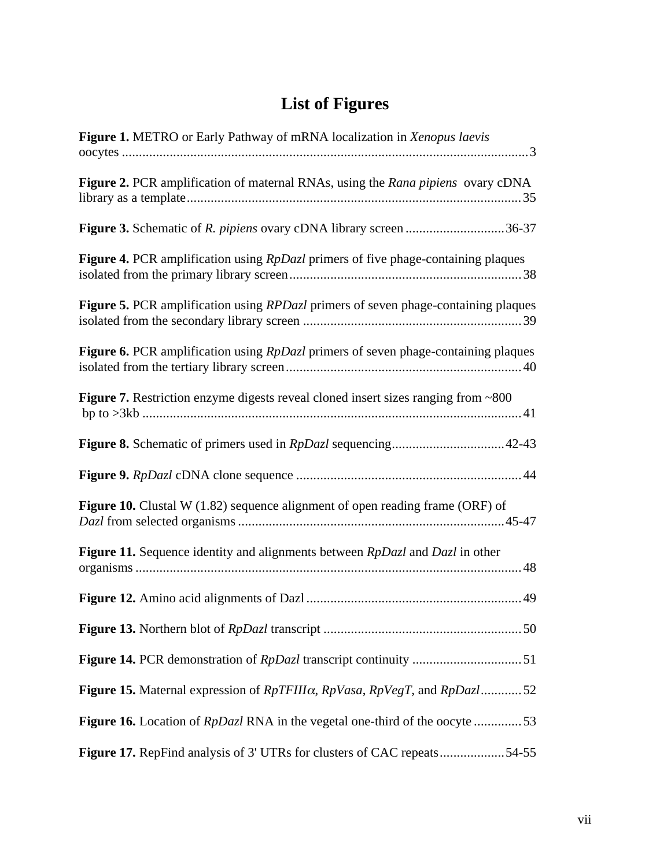# **List of Figures**

| Figure 1. METRO or Early Pathway of mRNA localization in Xenopus laevis                           |
|---------------------------------------------------------------------------------------------------|
| Figure 2. PCR amplification of maternal RNAs, using the Rana pipiens ovary cDNA                   |
| Figure 3. Schematic of R. pipiens ovary cDNA library screen 36-37                                 |
| <b>Figure 4.</b> PCR amplification using <i>RpDazl</i> primers of five phage-containing plaques   |
| <b>Figure 5.</b> PCR amplification using <i>RPDazl</i> primers of seven phage-containing plaques  |
| Figure 6. PCR amplification using <i>RpDazl</i> primers of seven phage-containing plaques         |
| <b>Figure 7.</b> Restriction enzyme digests reveal cloned insert sizes ranging from ~800          |
|                                                                                                   |
|                                                                                                   |
| Figure 10. Clustal W (1.82) sequence alignment of open reading frame (ORF) of                     |
| <b>Figure 11.</b> Sequence identity and alignments between <i>RpDazl</i> and <i>Dazl</i> in other |
|                                                                                                   |
|                                                                                                   |
|                                                                                                   |
| Figure 15. Maternal expression of $RpTFIII\alpha$ , $RpVasa$ , $RpVegT$ , and $RpDazl$ 52         |
| <b>Figure 16.</b> Location of <i>RpDazl</i> RNA in the vegetal one-third of the oocyte 53         |
| Figure 17. RepFind analysis of 3' UTRs for clusters of CAC repeats54-55                           |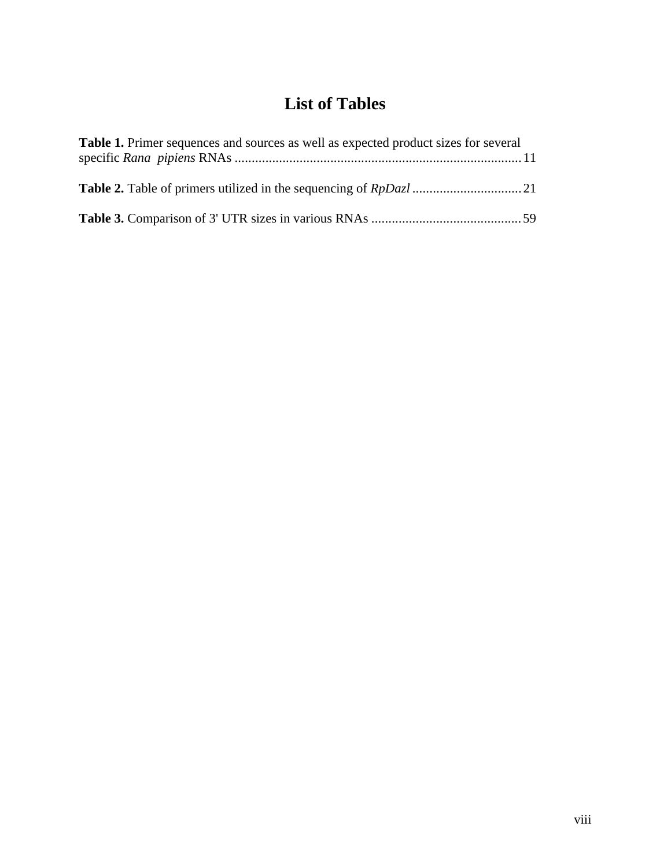# **List of Tables**

| <b>Table 1.</b> Primer sequences and sources as well as expected product sizes for several |  |
|--------------------------------------------------------------------------------------------|--|
|                                                                                            |  |
|                                                                                            |  |
|                                                                                            |  |
|                                                                                            |  |
|                                                                                            |  |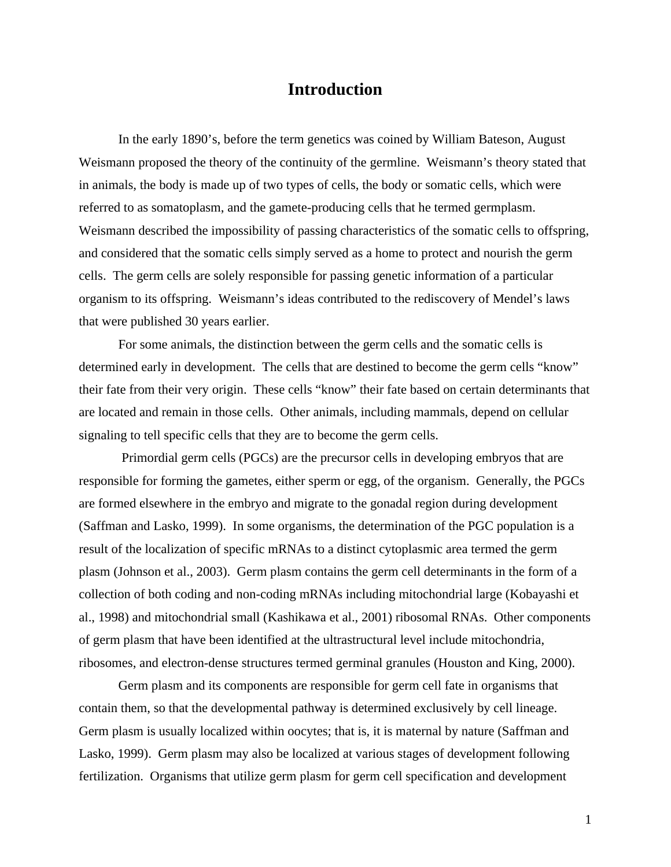# **Introduction**

In the early 1890's, before the term genetics was coined by William Bateson, August Weismann proposed the theory of the continuity of the germline. Weismann's theory stated that in animals, the body is made up of two types of cells, the body or somatic cells, which were referred to as somatoplasm, and the gamete-producing cells that he termed germplasm. Weismann described the impossibility of passing characteristics of the somatic cells to offspring, and considered that the somatic cells simply served as a home to protect and nourish the germ cells. The germ cells are solely responsible for passing genetic information of a particular organism to its offspring. Weismann's ideas contributed to the rediscovery of Mendel's laws that were published 30 years earlier.

For some animals, the distinction between the germ cells and the somatic cells is determined early in development. The cells that are destined to become the germ cells "know" their fate from their very origin. These cells "know" their fate based on certain determinants that are located and remain in those cells. Other animals, including mammals, depend on cellular signaling to tell specific cells that they are to become the germ cells.

Primordial germ cells (PGCs) are the precursor cells in developing embryos that are responsible for forming the gametes, either sperm or egg, of the organism. Generally, the PGCs are formed elsewhere in the embryo and migrate to the gonadal region during development (Saffman and Lasko, 1999). In some organisms, the determination of the PGC population is a result of the localization of specific mRNAs to a distinct cytoplasmic area termed the germ plasm (Johnson et al., 2003). Germ plasm contains the germ cell determinants in the form of a collection of both coding and non-coding mRNAs including mitochondrial large (Kobayashi et al., 1998) and mitochondrial small (Kashikawa et al., 2001) ribosomal RNAs. Other components of germ plasm that have been identified at the ultrastructural level include mitochondria, ribosomes, and electron-dense structures termed germinal granules (Houston and King, 2000).

Germ plasm and its components are responsible for germ cell fate in organisms that contain them, so that the developmental pathway is determined exclusively by cell lineage. Germ plasm is usually localized within oocytes; that is, it is maternal by nature (Saffman and Lasko, 1999). Germ plasm may also be localized at various stages of development following fertilization. Organisms that utilize germ plasm for germ cell specification and development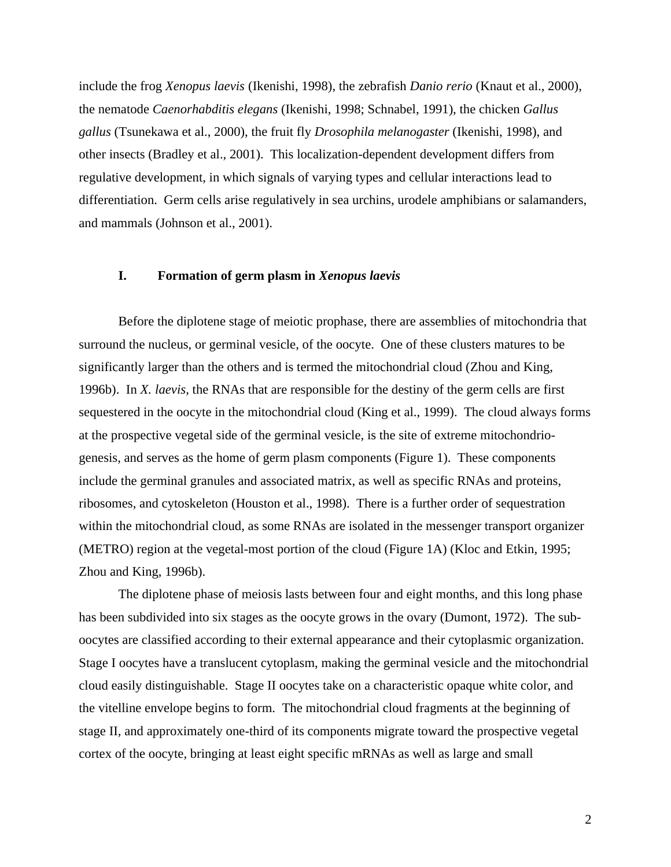include the frog *Xenopus laevis* (Ikenishi, 1998), the zebrafish *Danio rerio* (Knaut et al., 2000), the nematode *Caenorhabditis elegans* (Ikenishi, 1998; Schnabel, 1991), the chicken *Gallus gallus* (Tsunekawa et al., 2000), the fruit fly *Drosophila melanogaster* (Ikenishi, 1998), and other insects (Bradley et al., 2001). This localization-dependent development differs from regulative development, in which signals of varying types and cellular interactions lead to differentiation. Germ cells arise regulatively in sea urchins, urodele amphibians or salamanders, and mammals (Johnson et al., 2001).

# **I. Formation of germ plasm in** *Xenopus laevis*

Before the diplotene stage of meiotic prophase, there are assemblies of mitochondria that surround the nucleus, or germinal vesicle, of the oocyte. One of these clusters matures to be significantly larger than the others and is termed the mitochondrial cloud (Zhou and King, 1996b). In *X. laevis*, the RNAs that are responsible for the destiny of the germ cells are first sequestered in the oocyte in the mitochondrial cloud (King et al., 1999). The cloud always forms at the prospective vegetal side of the germinal vesicle, is the site of extreme mitochondriogenesis, and serves as the home of germ plasm components (Figure 1). These components include the germinal granules and associated matrix, as well as specific RNAs and proteins, ribosomes, and cytoskeleton (Houston et al., 1998). There is a further order of sequestration within the mitochondrial cloud, as some RNAs are isolated in the messenger transport organizer (METRO) region at the vegetal-most portion of the cloud (Figure 1A) (Kloc and Etkin, 1995; Zhou and King, 1996b).

The diplotene phase of meiosis lasts between four and eight months, and this long phase has been subdivided into six stages as the oocyte grows in the ovary (Dumont, 1972). The suboocytes are classified according to their external appearance and their cytoplasmic organization. Stage I oocytes have a translucent cytoplasm, making the germinal vesicle and the mitochondrial cloud easily distinguishable. Stage II oocytes take on a characteristic opaque white color, and the vitelline envelope begins to form. The mitochondrial cloud fragments at the beginning of stage II, and approximately one-third of its components migrate toward the prospective vegetal cortex of the oocyte, bringing at least eight specific mRNAs as well as large and small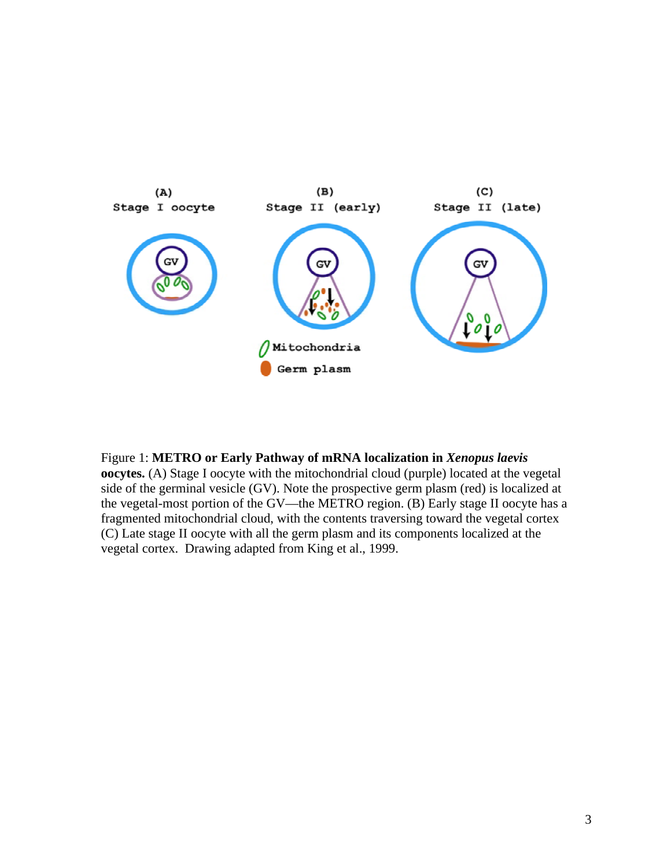

# Figure 1: **METRO or Early Pathway of mRNA localization in** *Xenopus laevis*

**oocytes.** (A) Stage I oocyte with the mitochondrial cloud (purple) located at the vegetal side of the germinal vesicle (GV). Note the prospective germ plasm (red) is localized at the vegetal-most portion of the GV—the METRO region. (B) Early stage II oocyte has a fragmented mitochondrial cloud, with the contents traversing toward the vegetal cortex (C) Late stage II oocyte with all the germ plasm and its components localized at the vegetal cortex. Drawing adapted from King et al., 1999.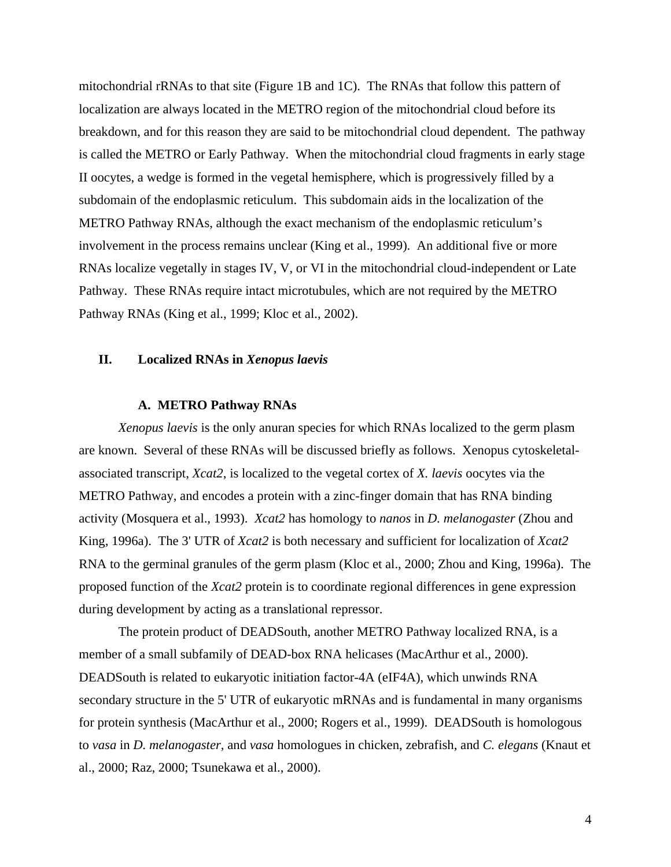mitochondrial rRNAs to that site (Figure 1B and 1C). The RNAs that follow this pattern of localization are always located in the METRO region of the mitochondrial cloud before its breakdown, and for this reason they are said to be mitochondrial cloud dependent. The pathway is called the METRO or Early Pathway. When the mitochondrial cloud fragments in early stage II oocytes, a wedge is formed in the vegetal hemisphere, which is progressively filled by a subdomain of the endoplasmic reticulum. This subdomain aids in the localization of the METRO Pathway RNAs, although the exact mechanism of the endoplasmic reticulum's involvement in the process remains unclear (King et al., 1999). An additional five or more RNAs localize vegetally in stages IV, V, or VI in the mitochondrial cloud-independent or Late Pathway. These RNAs require intact microtubules, which are not required by the METRO Pathway RNAs (King et al., 1999; Kloc et al., 2002).

# **II. Localized RNAs in** *Xenopus laevis*

# **A. METRO Pathway RNAs**

*Xenopus laevis* is the only anuran species for which RNAs localized to the germ plasm are known. Several of these RNAs will be discussed briefly as follows. Xenopus cytoskeletalassociated transcript, *Xcat2*, is localized to the vegetal cortex of *X. laevis* oocytes via the METRO Pathway, and encodes a protein with a zinc-finger domain that has RNA binding activity (Mosquera et al., 1993). *Xcat2* has homology to *nanos* in *D. melanogaster* (Zhou and King, 1996a). The 3' UTR of *Xcat2* is both necessary and sufficient for localization of *Xcat2* RNA to the germinal granules of the germ plasm (Kloc et al., 2000; Zhou and King, 1996a). The proposed function of the *Xcat2* protein is to coordinate regional differences in gene expression during development by acting as a translational repressor.

The protein product of DEADSouth, another METRO Pathway localized RNA, is a member of a small subfamily of DEAD-box RNA helicases (MacArthur et al., 2000). DEADSouth is related to eukaryotic initiation factor-4A (eIF4A), which unwinds RNA secondary structure in the 5' UTR of eukaryotic mRNAs and is fundamental in many organisms for protein synthesis (MacArthur et al., 2000; Rogers et al., 1999). DEADSouth is homologous to *vasa* in *D. melanogaster*, and *vasa* homologues in chicken, zebrafish, and *C. elegans* (Knaut et al., 2000; Raz, 2000; Tsunekawa et al., 2000).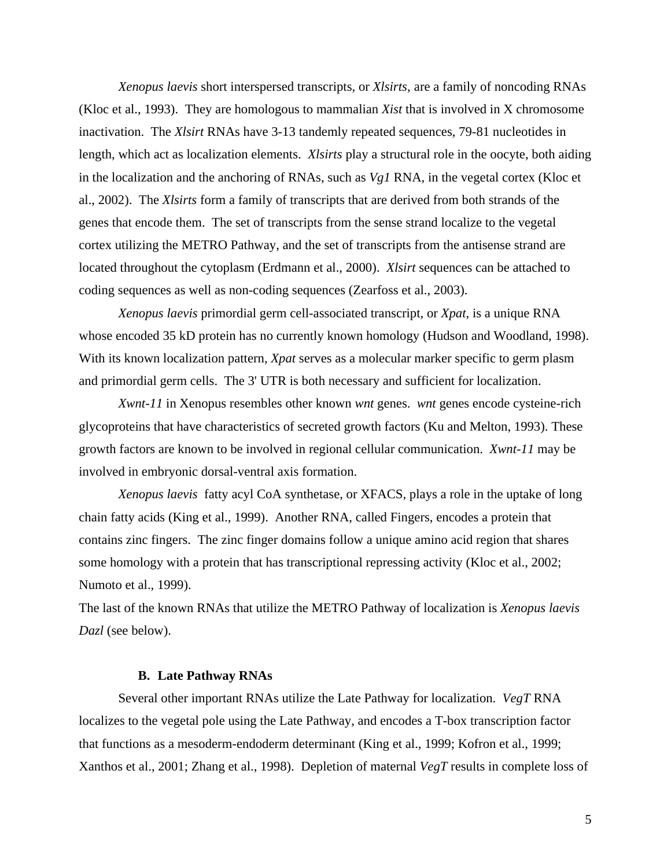*Xenopus laevis* short interspersed transcripts, or *Xlsirts*, are a family of noncoding RNAs (Kloc et al., 1993). They are homologous to mammalian *Xist* that is involved in X chromosome inactivation. The *Xlsirt* RNAs have 3-13 tandemly repeated sequences, 79-81 nucleotides in length, which act as localization elements. *Xlsirts* play a structural role in the oocyte, both aiding in the localization and the anchoring of RNAs, such as *Vg1* RNA, in the vegetal cortex (Kloc et al., 2002). The *Xlsirts* form a family of transcripts that are derived from both strands of the genes that encode them. The set of transcripts from the sense strand localize to the vegetal cortex utilizing the METRO Pathway, and the set of transcripts from the antisense strand are located throughout the cytoplasm (Erdmann et al., 2000). *Xlsirt* sequences can be attached to coding sequences as well as non-coding sequences (Zearfoss et al., 2003).

*Xenopus laevis* primordial germ cell-associated transcript, or *Xpat*, is a unique RNA whose encoded 35 kD protein has no currently known homology (Hudson and Woodland, 1998). With its known localization pattern, *Xpat* serves as a molecular marker specific to germ plasm and primordial germ cells. The 3' UTR is both necessary and sufficient for localization.

*Xwnt-11* in Xenopus resembles other known *wnt* genes. *wnt* genes encode cysteine-rich glycoproteins that have characteristics of secreted growth factors (Ku and Melton, 1993). These growth factors are known to be involved in regional cellular communication. *Xwnt-11* may be involved in embryonic dorsal-ventral axis formation.

*Xenopus laevis* fatty acyl CoA synthetase, or XFACS, plays a role in the uptake of long chain fatty acids (King et al., 1999). Another RNA, called Fingers, encodes a protein that contains zinc fingers. The zinc finger domains follow a unique amino acid region that shares some homology with a protein that has transcriptional repressing activity (Kloc et al., 2002; Numoto et al., 1999).

The last of the known RNAs that utilize the METRO Pathway of localization is *Xenopus laevis Dazl* (see below).

#### **B. Late Pathway RNAs**

Several other important RNAs utilize the Late Pathway for localization. *VegT* RNA localizes to the vegetal pole using the Late Pathway, and encodes a T-box transcription factor that functions as a mesoderm-endoderm determinant (King et al., 1999; Kofron et al., 1999; Xanthos et al., 2001; Zhang et al., 1998).Depletion of maternal *VegT* results in complete loss of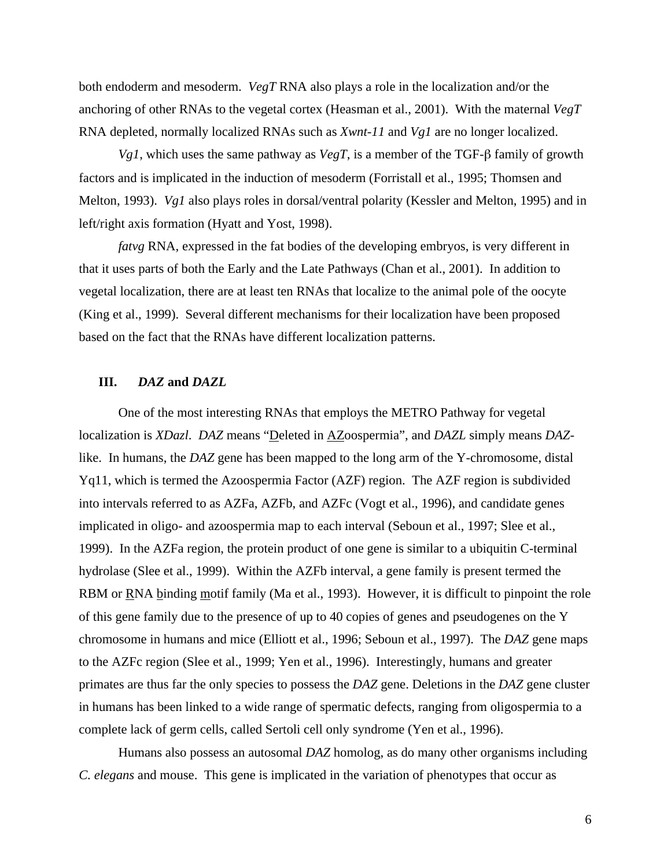both endoderm and mesoderm. *VegT* RNA also plays a role in the localization and/or the anchoring of other RNAs to the vegetal cortex (Heasman et al., 2001). With the maternal *VegT* RNA depleted, normally localized RNAs such as *Xwnt-11* and *Vg1* are no longer localized.

*Vg1*, which uses the same pathway as *VegT*, is a member of the TGF-β family of growth factors and is implicated in the induction of mesoderm (Forristall et al., 1995; Thomsen and Melton, 1993). *Vg1* also plays roles in dorsal/ventral polarity (Kessler and Melton, 1995) and in left/right axis formation (Hyatt and Yost, 1998).

*fatvg* RNA, expressed in the fat bodies of the developing embryos, is very different in that it uses parts of both the Early and the Late Pathways (Chan et al., 2001). In addition to vegetal localization, there are at least ten RNAs that localize to the animal pole of the oocyte (King et al., 1999). Several different mechanisms for their localization have been proposed based on the fact that the RNAs have different localization patterns.

# **III.** *DAZ* **and** *DAZL*

One of the most interesting RNAs that employs the METRO Pathway for vegetal localization is *XDazl*. *DAZ* means "Deleted in AZoospermia", and *DAZL* simply means *DAZ*like. In humans, the *DAZ* gene has been mapped to the long arm of the Y-chromosome, distal Yq11, which is termed the Azoospermia Factor (AZF) region. The AZF region is subdivided into intervals referred to as AZFa, AZFb, and AZFc (Vogt et al., 1996), and candidate genes implicated in oligo- and azoospermia map to each interval (Seboun et al., 1997; Slee et al., 1999). In the AZFa region, the protein product of one gene is similar to a ubiquitin C-terminal hydrolase (Slee et al., 1999). Within the AZFb interval, a gene family is present termed the RBM or RNA binding motif family (Ma et al., 1993). However, it is difficult to pinpoint the role of this gene family due to the presence of up to 40 copies of genes and pseudogenes on the Y chromosome in humans and mice (Elliott et al., 1996; Seboun et al., 1997). The *DAZ* gene maps to the AZFc region (Slee et al., 1999; Yen et al., 1996). Interestingly, humans and greater primates are thus far the only species to possess the *DAZ* gene. Deletions in the *DAZ* gene cluster in humans has been linked to a wide range of spermatic defects, ranging from oligospermia to a complete lack of germ cells, called Sertoli cell only syndrome (Yen et al., 1996).

Humans also possess an autosomal *DAZ* homolog, as do many other organisms including *C. elegans* and mouse. This gene is implicated in the variation of phenotypes that occur as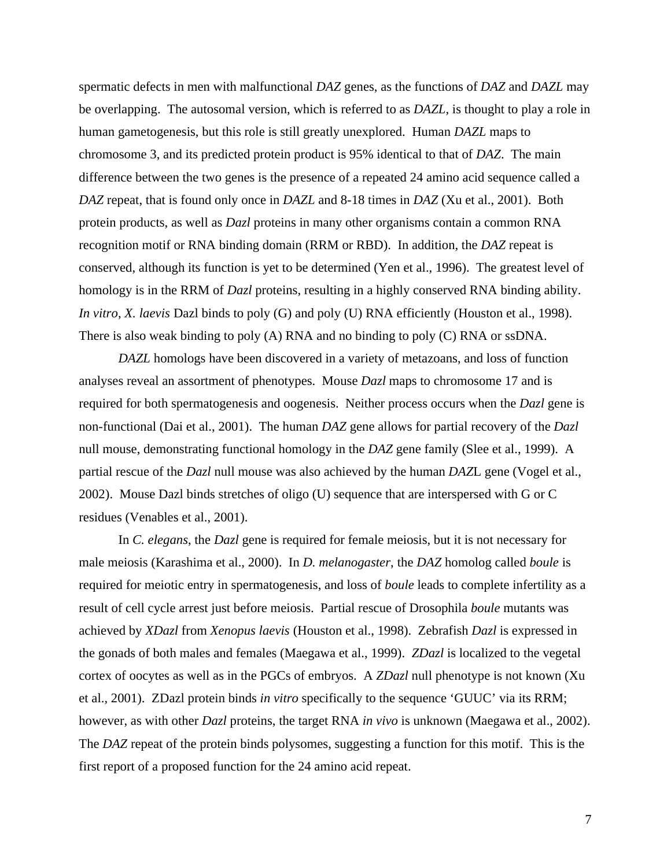spermatic defects in men with malfunctional *DAZ* genes, as the functions of *DAZ* and *DAZL* may be overlapping. The autosomal version, which is referred to as *DAZL*, is thought to play a role in human gametogenesis, but this role is still greatly unexplored. Human *DAZL* maps to chromosome 3, and its predicted protein product is 95% identical to that of *DAZ*. The main difference between the two genes is the presence of a repeated 24 amino acid sequence called a *DAZ* repeat, that is found only once in *DAZL* and 8-18 times in *DAZ* (Xu et al., 2001). Both protein products, as well as *Dazl* proteins in many other organisms contain a common RNA recognition motif or RNA binding domain (RRM or RBD). In addition, the *DAZ* repeat is conserved, although its function is yet to be determined (Yen et al., 1996). The greatest level of homology is in the RRM of *Dazl* proteins, resulting in a highly conserved RNA binding ability. *In vitro*, *X. laevis* Dazl binds to poly (G) and poly (U) RNA efficiently (Houston et al., 1998). There is also weak binding to poly (A) RNA and no binding to poly (C) RNA or ssDNA.

*DAZL* homologs have been discovered in a variety of metazoans, and loss of function analyses reveal an assortment of phenotypes. Mouse *Dazl* maps to chromosome 17 and is required for both spermatogenesis and oogenesis. Neither process occurs when the *Dazl* gene is non-functional (Dai et al., 2001). The human *DAZ* gene allows for partial recovery of the *Dazl* null mouse, demonstrating functional homology in the *DAZ* gene family (Slee et al., 1999). A partial rescue of the *Dazl* null mouse was also achieved by the human *DAZ*L gene (Vogel et al., 2002). Mouse Dazl binds stretches of oligo (U) sequence that are interspersed with G or C residues (Venables et al., 2001).

In *C. elegans*, the *Dazl* gene is required for female meiosis, but it is not necessary for male meiosis (Karashima et al., 2000). In *D. melanogaster*, the *DAZ* homolog called *boule* is required for meiotic entry in spermatogenesis, and loss of *boule* leads to complete infertility as a result of cell cycle arrest just before meiosis. Partial rescue of Drosophila *boule* mutants was achieved by *XDazl* from *Xenopus laevis* (Houston et al., 1998). Zebrafish *Dazl* is expressed in the gonads of both males and females (Maegawa et al., 1999). *ZDazl* is localized to the vegetal cortex of oocytes as well as in the PGCs of embryos. A *ZDazl* null phenotype is not known (Xu et al., 2001). ZDazl protein binds *in vitro* specifically to the sequence 'GUUC' via its RRM; however, as with other *Dazl* proteins, the target RNA *in vivo* is unknown (Maegawa et al., 2002). The *DAZ* repeat of the protein binds polysomes, suggesting a function for this motif. This is the first report of a proposed function for the 24 amino acid repeat.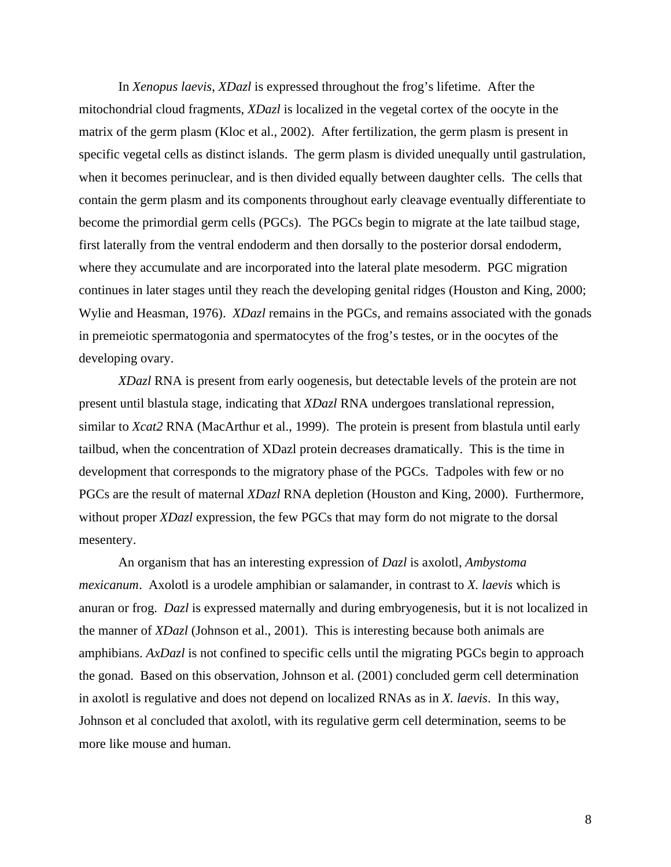In *Xenopus laevis*, *XDazl* is expressed throughout the frog's lifetime. After the mitochondrial cloud fragments, *XDazl* is localized in the vegetal cortex of the oocyte in the matrix of the germ plasm (Kloc et al., 2002). After fertilization, the germ plasm is present in specific vegetal cells as distinct islands. The germ plasm is divided unequally until gastrulation, when it becomes perinuclear, and is then divided equally between daughter cells. The cells that contain the germ plasm and its components throughout early cleavage eventually differentiate to become the primordial germ cells (PGCs). The PGCs begin to migrate at the late tailbud stage, first laterally from the ventral endoderm and then dorsally to the posterior dorsal endoderm, where they accumulate and are incorporated into the lateral plate mesoderm. PGC migration continues in later stages until they reach the developing genital ridges (Houston and King, 2000; Wylie and Heasman, 1976). *XDazl* remains in the PGCs, and remains associated with the gonads in premeiotic spermatogonia and spermatocytes of the frog's testes, or in the oocytes of the developing ovary.

*XDazl* RNA is present from early oogenesis, but detectable levels of the protein are not present until blastula stage, indicating that *XDazl* RNA undergoes translational repression, similar to *Xcat2* RNA (MacArthur et al., 1999). The protein is present from blastula until early tailbud, when the concentration of XDazl protein decreases dramatically. This is the time in development that corresponds to the migratory phase of the PGCs. Tadpoles with few or no PGCs are the result of maternal *XDazl* RNA depletion (Houston and King, 2000). Furthermore, without proper *XDazl* expression, the few PGCs that may form do not migrate to the dorsal mesentery.

An organism that has an interesting expression of *Dazl* is axolotl, *Ambystoma mexicanum*. Axolotl is a urodele amphibian or salamander, in contrast to *X. laevis* which is anuran or frog. *Dazl* is expressed maternally and during embryogenesis, but it is not localized in the manner of *XDazl* (Johnson et al., 2001). This is interesting because both animals are amphibians. *AxDazl* is not confined to specific cells until the migrating PGCs begin to approach the gonad. Based on this observation, Johnson et al. (2001) concluded germ cell determination in axolotl is regulative and does not depend on localized RNAs as in *X. laevis*. In this way, Johnson et al concluded that axolotl, with its regulative germ cell determination, seems to be more like mouse and human.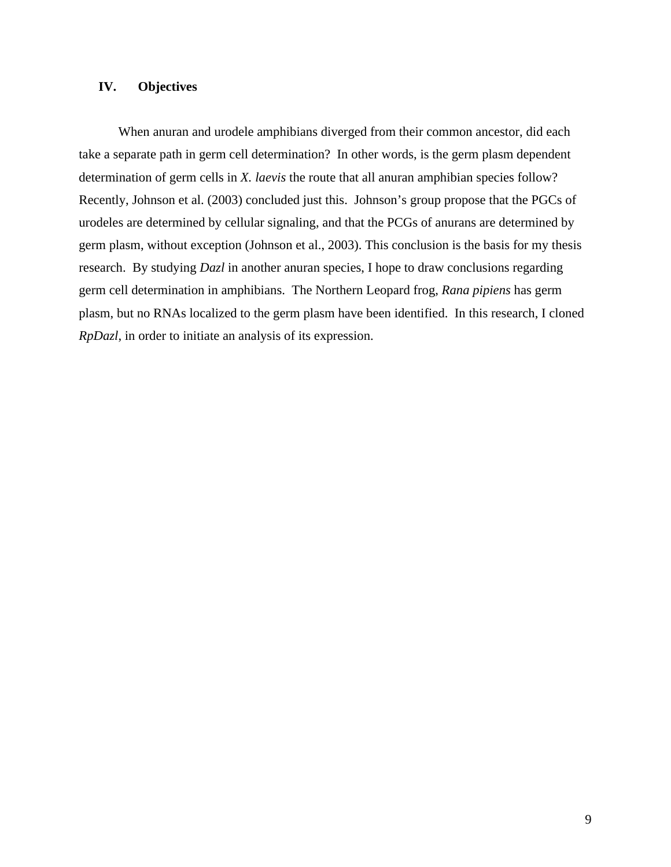# **IV. Objectives**

When anuran and urodele amphibians diverged from their common ancestor, did each take a separate path in germ cell determination? In other words, is the germ plasm dependent determination of germ cells in *X. laevis* the route that all anuran amphibian species follow? Recently, Johnson et al. (2003) concluded just this. Johnson's group propose that the PGCs of urodeles are determined by cellular signaling, and that the PCGs of anurans are determined by germ plasm, without exception (Johnson et al., 2003). This conclusion is the basis for my thesis research. By studying *Dazl* in another anuran species, I hope to draw conclusions regarding germ cell determination in amphibians. The Northern Leopard frog, *Rana pipiens* has germ plasm, but no RNAs localized to the germ plasm have been identified. In this research, I cloned *RpDazl*, in order to initiate an analysis of its expression.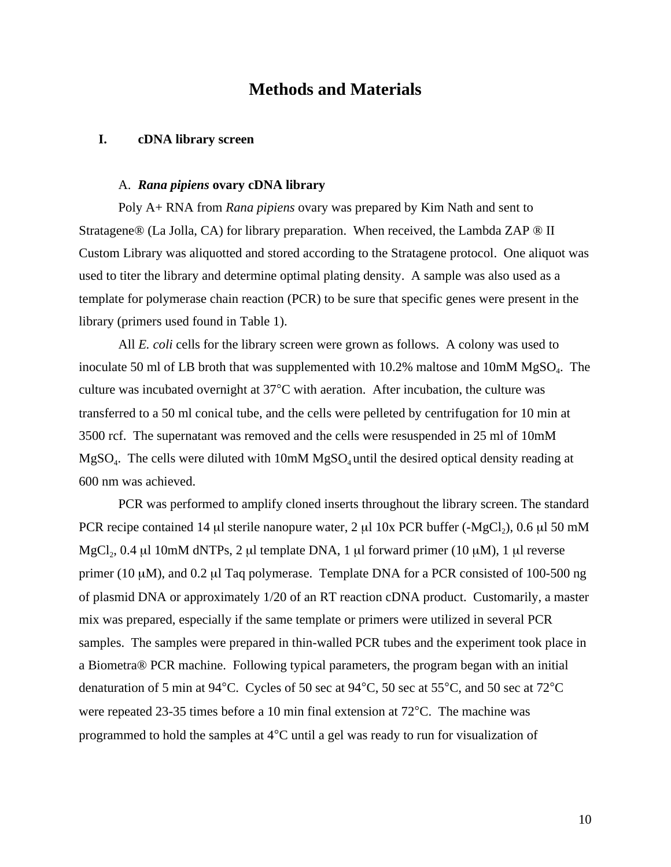# **Methods and Materials**

# **I. cDNA library screen**

#### A. *Rana pipiens* **ovary cDNA library**

Poly A+ RNA from *Rana pipiens* ovary was prepared by Kim Nath and sent to Stratagene® (La Jolla, CA) for library preparation. When received, the Lambda ZAP ® II Custom Library was aliquotted and stored according to the Stratagene protocol. One aliquot was used to titer the library and determine optimal plating density. A sample was also used as a template for polymerase chain reaction (PCR) to be sure that specific genes were present in the library (primers used found in Table 1).

All *E. coli* cells for the library screen were grown as follows. A colony was used to inoculate 50 ml of LB broth that was supplemented with  $10.2\%$  maltose and  $10 \text{mM } MgSO<sub>4</sub>$ . The culture was incubated overnight at 37°C with aeration. After incubation, the culture was transferred to a 50 ml conical tube, and the cells were pelleted by centrifugation for 10 min at 3500 rcf. The supernatant was removed and the cells were resuspended in 25 ml of 10mM  $MgSO<sub>4</sub>$ . The cells were diluted with 10mM  $MgSO<sub>4</sub>$  until the desired optical density reading at 600 nm was achieved.

PCR was performed to amplify cloned inserts throughout the library screen. The standard PCR recipe contained 14 µl sterile nanopure water, 2 µl 10x PCR buffer (-MgCl<sub>2</sub>), 0.6 µl 50 mM MgCl<sub>2</sub>, 0.4 µl 10mM dNTPs, 2 µl template DNA, 1 µl forward primer (10 µM), 1 µl reverse primer (10 µM), and 0.2 µl Taq polymerase. Template DNA for a PCR consisted of 100-500 ng of plasmid DNA or approximately 1/20 of an RT reaction cDNA product. Customarily, a master mix was prepared, especially if the same template or primers were utilized in several PCR samples. The samples were prepared in thin-walled PCR tubes and the experiment took place in a Biometra® PCR machine. Following typical parameters, the program began with an initial denaturation of 5 min at 94°C. Cycles of 50 sec at 94°C, 50 sec at 55°C, and 50 sec at 72°C were repeated 23-35 times before a 10 min final extension at 72°C. The machine was programmed to hold the samples at 4°C until a gel was ready to run for visualization of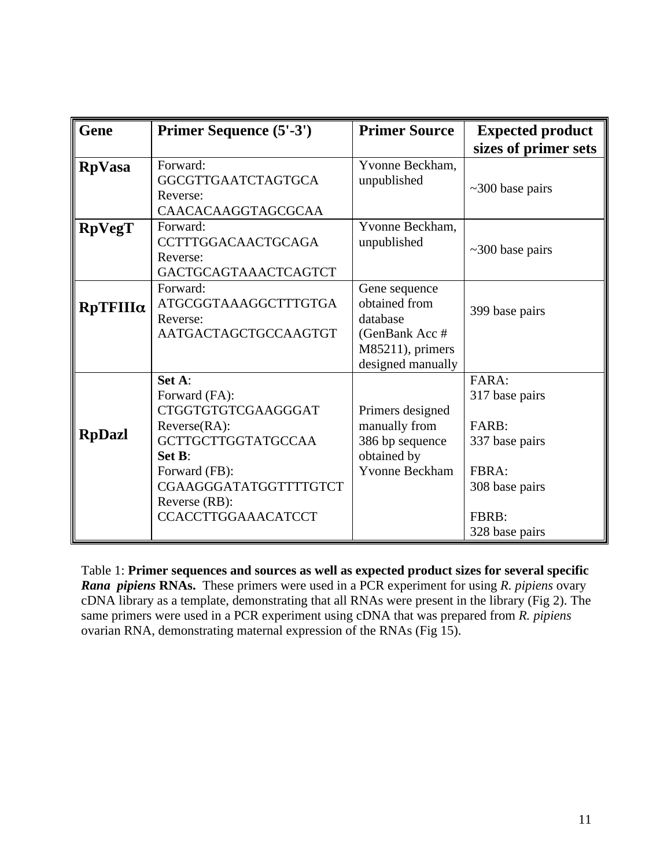| <b>Gene</b>     | Primer Sequence (5'-3')                                                                                                                                                                         | <b>Primer Source</b>                                                                                  | <b>Expected product</b>                                                                                  |
|-----------------|-------------------------------------------------------------------------------------------------------------------------------------------------------------------------------------------------|-------------------------------------------------------------------------------------------------------|----------------------------------------------------------------------------------------------------------|
|                 |                                                                                                                                                                                                 |                                                                                                       | sizes of primer sets                                                                                     |
| <b>RpVasa</b>   | Forward:<br><b>GGCGTTGAATCTAGTGCA</b><br>Reverse:<br>CAACACAAGGTAGCGCAA                                                                                                                         | Yvonne Beckham,<br>unpublished                                                                        | $\sim$ 300 base pairs                                                                                    |
| <b>RpVegT</b>   | Forward:<br><b>CCTTTGGACAACTGCAGA</b><br>Reverse:<br>GACTGCAGTAAACTCAGTCT                                                                                                                       | Yvonne Beckham,<br>unpublished                                                                        | $\sim$ 300 base pairs                                                                                    |
| $RpTFIII\alpha$ | Forward:<br>ATGCGGTAAAGGCTTTGTGA<br>Reverse:<br>AATGACTAGCTGCCAAGTGT                                                                                                                            | Gene sequence<br>obtained from<br>database<br>(GenBank Acc #<br>M85211), primers<br>designed manually | 399 base pairs                                                                                           |
| <b>RpDazl</b>   | Set A:<br>Forward (FA):<br>CTGGTGTGTCGAAGGGAT<br>$Reverse(RA)$ :<br><b>GCTTGCTTGGTATGCCAA</b><br>Set B:<br>Forward (FB):<br>CGAAGGGATATGGTTTTGTCT<br>Reverse (RB):<br><b>CCACCTTGGAAACATCCT</b> | Primers designed<br>manually from<br>386 bp sequence<br>obtained by<br><b>Yvonne Beckham</b>          | FARA:<br>317 base pairs<br>FARB:<br>337 base pairs<br>FBRA:<br>308 base pairs<br>FBRB:<br>328 base pairs |

Table 1: **Primer sequences and sources as well as expected product sizes for several specific** *Rana pipiens* **RNAs.** These primers were used in a PCR experiment for using *R. pipiens* ovary cDNA library as a template, demonstrating that all RNAs were present in the library (Fig 2). The same primers were used in a PCR experiment using cDNA that was prepared from *R. pipiens* ovarian RNA, demonstrating maternal expression of the RNAs (Fig 15).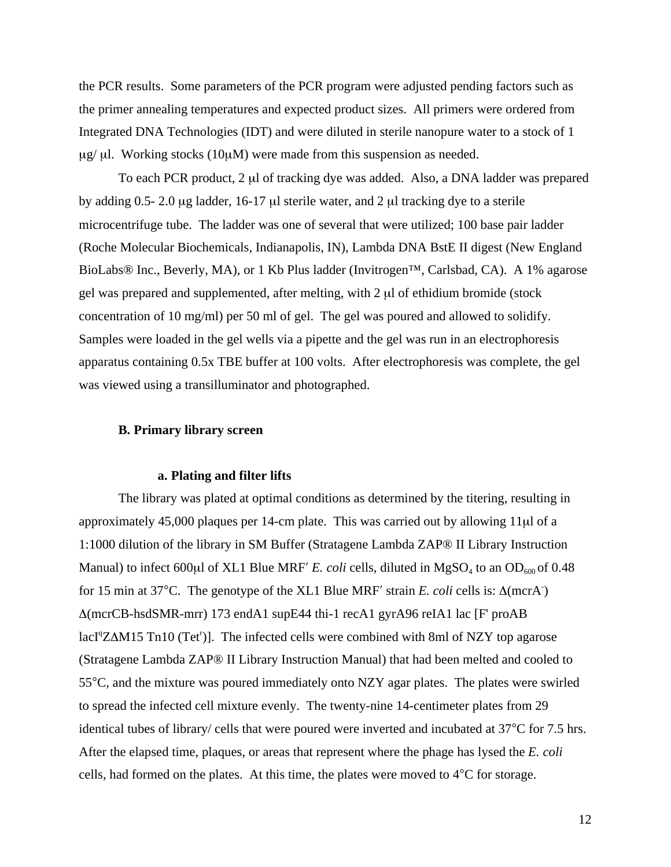the PCR results. Some parameters of the PCR program were adjusted pending factors such as the primer annealing temperatures and expected product sizes. All primers were ordered from Integrated DNA Technologies (IDT) and were diluted in sterile nanopure water to a stock of 1  $\mu$ g/ $\mu$ l. Working stocks (10 $\mu$ M) were made from this suspension as needed.

To each PCR product, 2 µl of tracking dye was added. Also, a DNA ladder was prepared by adding  $0.5-2.0 \mu$ g ladder, 16-17  $\mu$ l sterile water, and 2  $\mu$ l tracking dye to a sterile microcentrifuge tube. The ladder was one of several that were utilized; 100 base pair ladder (Roche Molecular Biochemicals, Indianapolis, IN), Lambda DNA BstE II digest (New England BioLabs® Inc., Beverly, MA), or 1 Kb Plus ladder (Invitrogen™, Carlsbad, CA). A 1% agarose gel was prepared and supplemented, after melting, with 2 µl of ethidium bromide (stock concentration of 10 mg/ml) per 50 ml of gel. The gel was poured and allowed to solidify. Samples were loaded in the gel wells via a pipette and the gel was run in an electrophoresis apparatus containing 0.5x TBE buffer at 100 volts. After electrophoresis was complete, the gel was viewed using a transilluminator and photographed.

# **B. Primary library screen**

# **a. Plating and filter lifts**

The library was plated at optimal conditions as determined by the titering, resulting in approximately 45,000 plaques per 14-cm plate. This was carried out by allowing 11µl of a 1:1000 dilution of the library in SM Buffer (Stratagene Lambda ZAP® II Library Instruction Manual) to infect 600 $\mu$ l of XL1 Blue MRF' *E. coli* cells, diluted in MgSO<sub>4</sub> to an OD<sub>600</sub> of 0.48 for 15 min at 37°C. The genotype of the XL1 Blue MRF' strain *E. coli* cells is: Δ(mcrA) ∆(mcrCB-hsdSMR-mrr) 173 endA1 supE44 thi-1 recA1 gyrA96 reIA1 lac [F' proAB lacI<sup>q</sup>Z∆M15 Tn10 (Tet<sup>r</sup>)]. The infected cells were combined with 8ml of NZY top agarose (Stratagene Lambda ZAP® II Library Instruction Manual) that had been melted and cooled to 55°C, and the mixture was poured immediately onto NZY agar plates. The plates were swirled to spread the infected cell mixture evenly. The twenty-nine 14-centimeter plates from 29 identical tubes of library/ cells that were poured were inverted and incubated at 37°C for 7.5 hrs. After the elapsed time, plaques, or areas that represent where the phage has lysed the *E. coli* cells, had formed on the plates. At this time, the plates were moved to 4°C for storage.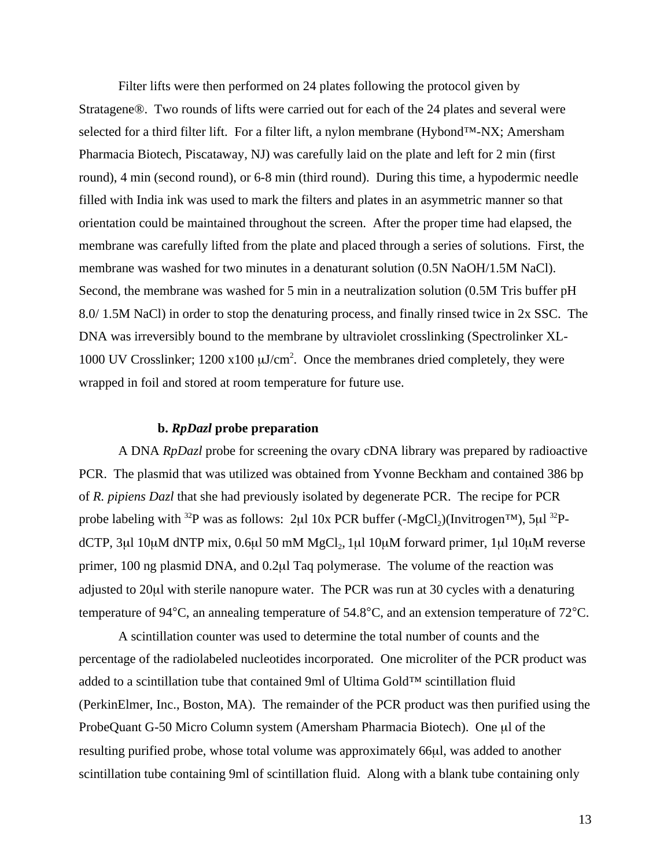Filter lifts were then performed on 24 plates following the protocol given by Stratagene®. Two rounds of lifts were carried out for each of the 24 plates and several were selected for a third filter lift. For a filter lift, a nylon membrane (Hybond™-NX; Amersham Pharmacia Biotech, Piscataway, NJ) was carefully laid on the plate and left for 2 min (first round), 4 min (second round), or 6-8 min (third round). During this time, a hypodermic needle filled with India ink was used to mark the filters and plates in an asymmetric manner so that orientation could be maintained throughout the screen. After the proper time had elapsed, the membrane was carefully lifted from the plate and placed through a series of solutions. First, the membrane was washed for two minutes in a denaturant solution (0.5N NaOH/1.5M NaCl). Second, the membrane was washed for 5 min in a neutralization solution (0.5M Tris buffer pH 8.0/ 1.5M NaCl) in order to stop the denaturing process, and finally rinsed twice in 2x SSC. The DNA was irreversibly bound to the membrane by ultraviolet crosslinking (Spectrolinker XL-1000 UV Crosslinker;  $1200 \times 100 \mu J/cm^2$ . Once the membranes dried completely, they were wrapped in foil and stored at room temperature for future use.

# **b.** *RpDazl* **probe preparation**

A DNA *RpDazl* probe for screening the ovary cDNA library was prepared by radioactive PCR. The plasmid that was utilized was obtained from Yvonne Beckham and contained 386 bp of *R. pipiens Dazl* that she had previously isolated by degenerate PCR. The recipe for PCR probe labeling with <sup>32</sup>P was as follows: 2µl 10x PCR buffer  $(-MgCl<sub>2</sub>)(Invitrogen<sup>TM</sup>)$ , 5µl <sup>32</sup>PdCTP,  $3\mu$ l 10 $\mu$ M dNTP mix, 0.6 $\mu$ l 50 mM MgCl<sub>2</sub>, 1 $\mu$ l 10 $\mu$ M forward primer, 1 $\mu$ l 10 $\mu$ M reverse primer, 100 ng plasmid DNA, and 0.2µl Taq polymerase. The volume of the reaction was adjusted to 20µl with sterile nanopure water. The PCR was run at 30 cycles with a denaturing temperature of 94°C, an annealing temperature of 54.8°C, and an extension temperature of 72°C.

A scintillation counter was used to determine the total number of counts and the percentage of the radiolabeled nucleotides incorporated. One microliter of the PCR product was added to a scintillation tube that contained 9ml of Ultima Gold™ scintillation fluid (PerkinElmer, Inc., Boston, MA). The remainder of the PCR product was then purified using the ProbeQuant G-50 Micro Column system (Amersham Pharmacia Biotech). One µl of the resulting purified probe, whose total volume was approximately 66µl, was added to another scintillation tube containing 9ml of scintillation fluid. Along with a blank tube containing only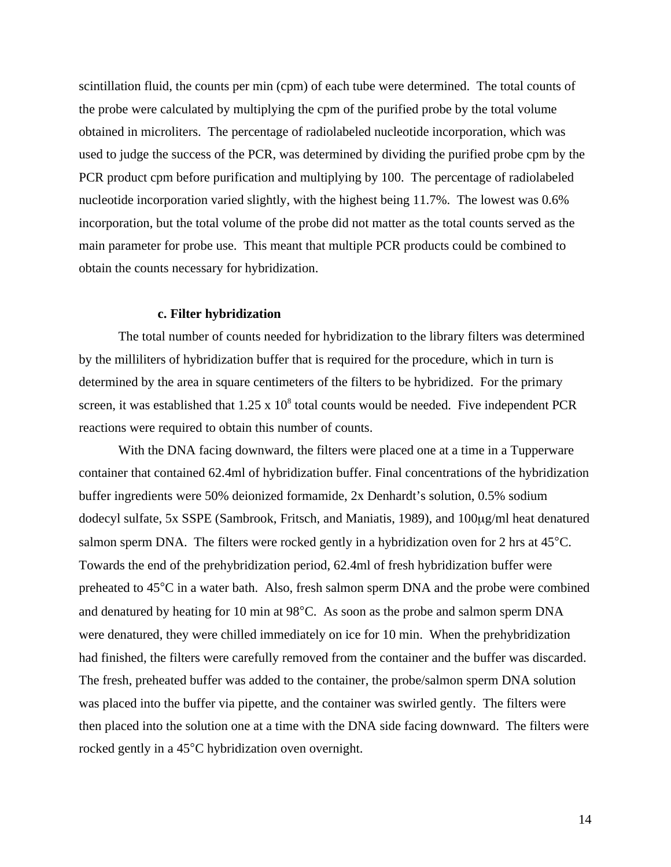scintillation fluid, the counts per min (cpm) of each tube were determined. The total counts of the probe were calculated by multiplying the cpm of the purified probe by the total volume obtained in microliters. The percentage of radiolabeled nucleotide incorporation, which was used to judge the success of the PCR, was determined by dividing the purified probe cpm by the PCR product cpm before purification and multiplying by 100. The percentage of radiolabeled nucleotide incorporation varied slightly, with the highest being 11.7%. The lowest was 0.6% incorporation, but the total volume of the probe did not matter as the total counts served as the main parameter for probe use. This meant that multiple PCR products could be combined to obtain the counts necessary for hybridization.

# **c. Filter hybridization**

The total number of counts needed for hybridization to the library filters was determined by the milliliters of hybridization buffer that is required for the procedure, which in turn is determined by the area in square centimeters of the filters to be hybridized. For the primary screen, it was established that  $1.25 \times 10^8$  total counts would be needed. Five independent PCR reactions were required to obtain this number of counts.

With the DNA facing downward, the filters were placed one at a time in a Tupperware container that contained 62.4ml of hybridization buffer. Final concentrations of the hybridization buffer ingredients were 50% deionized formamide, 2x Denhardt's solution, 0.5% sodium dodecyl sulfate, 5x SSPE (Sambrook, Fritsch, and Maniatis, 1989), and 100µg/ml heat denatured salmon sperm DNA. The filters were rocked gently in a hybridization oven for 2 hrs at 45°C. Towards the end of the prehybridization period, 62.4ml of fresh hybridization buffer were preheated to 45°C in a water bath. Also, fresh salmon sperm DNA and the probe were combined and denatured by heating for 10 min at 98°C. As soon as the probe and salmon sperm DNA were denatured, they were chilled immediately on ice for 10 min. When the prehybridization had finished, the filters were carefully removed from the container and the buffer was discarded. The fresh, preheated buffer was added to the container, the probe/salmon sperm DNA solution was placed into the buffer via pipette, and the container was swirled gently. The filters were then placed into the solution one at a time with the DNA side facing downward. The filters were rocked gently in a 45°C hybridization oven overnight.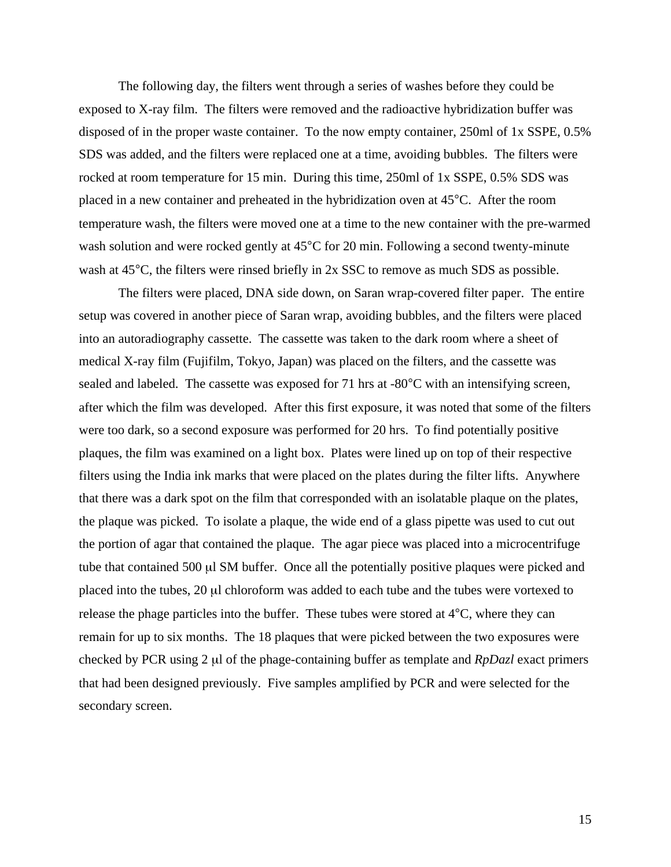The following day, the filters went through a series of washes before they could be exposed to X-ray film. The filters were removed and the radioactive hybridization buffer was disposed of in the proper waste container. To the now empty container, 250ml of 1x SSPE, 0.5% SDS was added, and the filters were replaced one at a time, avoiding bubbles. The filters were rocked at room temperature for 15 min. During this time, 250ml of 1x SSPE, 0.5% SDS was placed in a new container and preheated in the hybridization oven at 45°C. After the room temperature wash, the filters were moved one at a time to the new container with the pre-warmed wash solution and were rocked gently at 45<sup>°</sup>C for 20 min. Following a second twenty-minute wash at 45<sup>o</sup>C, the filters were rinsed briefly in 2x SSC to remove as much SDS as possible.

The filters were placed, DNA side down, on Saran wrap-covered filter paper. The entire setup was covered in another piece of Saran wrap, avoiding bubbles, and the filters were placed into an autoradiography cassette. The cassette was taken to the dark room where a sheet of medical X-ray film (Fujifilm, Tokyo, Japan) was placed on the filters, and the cassette was sealed and labeled. The cassette was exposed for 71 hrs at -80°C with an intensifying screen, after which the film was developed. After this first exposure, it was noted that some of the filters were too dark, so a second exposure was performed for 20 hrs. To find potentially positive plaques, the film was examined on a light box. Plates were lined up on top of their respective filters using the India ink marks that were placed on the plates during the filter lifts. Anywhere that there was a dark spot on the film that corresponded with an isolatable plaque on the plates, the plaque was picked. To isolate a plaque, the wide end of a glass pipette was used to cut out the portion of agar that contained the plaque. The agar piece was placed into a microcentrifuge tube that contained 500 µl SM buffer. Once all the potentially positive plaques were picked and placed into the tubes, 20 µl chloroform was added to each tube and the tubes were vortexed to release the phage particles into the buffer. These tubes were stored at 4°C, where they can remain for up to six months. The 18 plaques that were picked between the two exposures were checked by PCR using 2 µl of the phage-containing buffer as template and *RpDazl* exact primers that had been designed previously. Five samples amplified by PCR and were selected for the secondary screen.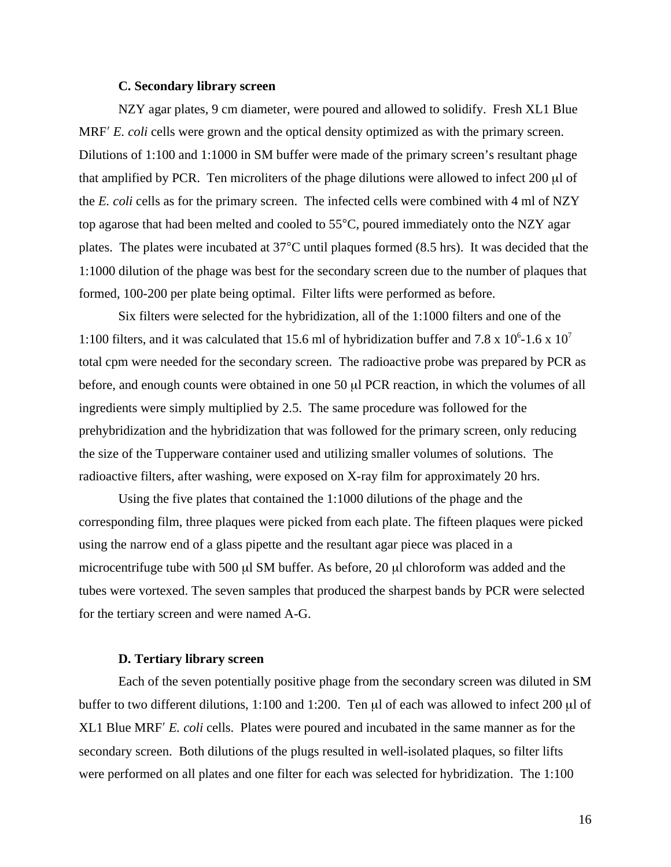## **C. Secondary library screen**

NZY agar plates, 9 cm diameter, were poured and allowed to solidify. Fresh XL1 Blue MRF<sup>'</sup> *E. coli* cells were grown and the optical density optimized as with the primary screen. Dilutions of 1:100 and 1:1000 in SM buffer were made of the primary screen's resultant phage that amplified by PCR. Ten microliters of the phage dilutions were allowed to infect 200 µl of the *E. coli* cells as for the primary screen. The infected cells were combined with 4 ml of NZY top agarose that had been melted and cooled to 55°C, poured immediately onto the NZY agar plates. The plates were incubated at 37°C until plaques formed (8.5 hrs). It was decided that the 1:1000 dilution of the phage was best for the secondary screen due to the number of plaques that formed, 100-200 per plate being optimal. Filter lifts were performed as before.

Six filters were selected for the hybridization, all of the 1:1000 filters and one of the 1:100 filters, and it was calculated that 15.6 ml of hybridization buffer and 7.8 x  $10^6$ -1.6 x  $10^7$ total cpm were needed for the secondary screen. The radioactive probe was prepared by PCR as before, and enough counts were obtained in one 50 µl PCR reaction, in which the volumes of all ingredients were simply multiplied by 2.5. The same procedure was followed for the prehybridization and the hybridization that was followed for the primary screen, only reducing the size of the Tupperware container used and utilizing smaller volumes of solutions. The radioactive filters, after washing, were exposed on X-ray film for approximately 20 hrs.

Using the five plates that contained the 1:1000 dilutions of the phage and the corresponding film, three plaques were picked from each plate. The fifteen plaques were picked using the narrow end of a glass pipette and the resultant agar piece was placed in a microcentrifuge tube with 500 µl SM buffer. As before, 20 µl chloroform was added and the tubes were vortexed. The seven samples that produced the sharpest bands by PCR were selected for the tertiary screen and were named A-G.

# **D. Tertiary library screen**

Each of the seven potentially positive phage from the secondary screen was diluted in SM buffer to two different dilutions, 1:100 and 1:200. Ten µl of each was allowed to infect 200 µl of XL1 Blue MRF′ *E. coli* cells. Plates were poured and incubated in the same manner as for the secondary screen. Both dilutions of the plugs resulted in well-isolated plaques, so filter lifts were performed on all plates and one filter for each was selected for hybridization. The 1:100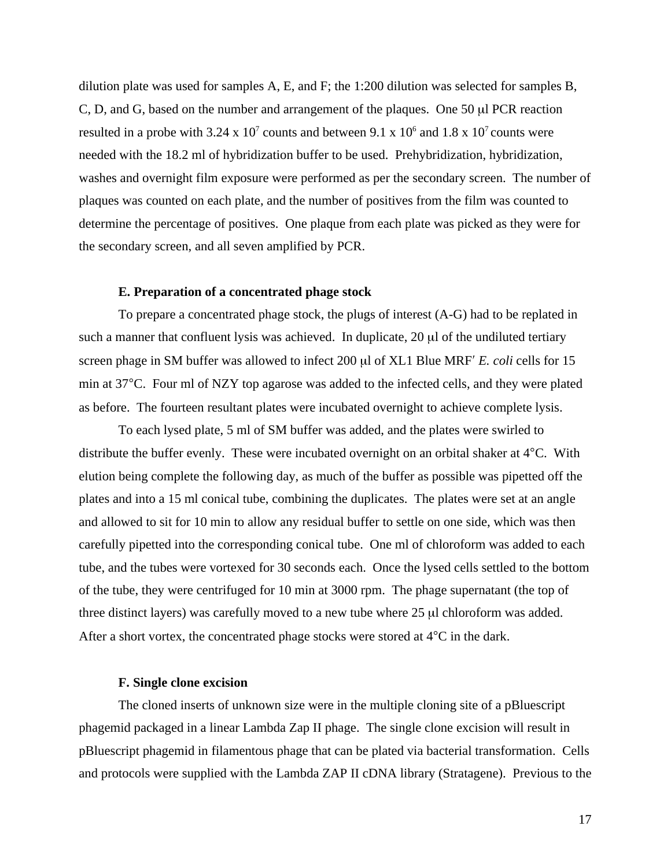dilution plate was used for samples A, E, and F; the 1:200 dilution was selected for samples B, C, D, and G, based on the number and arrangement of the plaques. One 50 µl PCR reaction resulted in a probe with 3.24 x  $10^7$  counts and between 9.1 x  $10^6$  and 1.8 x  $10^7$  counts were needed with the 18.2 ml of hybridization buffer to be used. Prehybridization, hybridization, washes and overnight film exposure were performed as per the secondary screen. The number of plaques was counted on each plate, and the number of positives from the film was counted to determine the percentage of positives. One plaque from each plate was picked as they were for the secondary screen, and all seven amplified by PCR.

## **E. Preparation of a concentrated phage stock**

To prepare a concentrated phage stock, the plugs of interest (A-G) had to be replated in such a manner that confluent lysis was achieved. In duplicate,  $20 \mu l$  of the undiluted tertiary screen phage in SM buffer was allowed to infect 200 µl of XL1 Blue MRF′ *E. coli* cells for 15 min at 37°C. Four ml of NZY top agarose was added to the infected cells, and they were plated as before. The fourteen resultant plates were incubated overnight to achieve complete lysis.

To each lysed plate, 5 ml of SM buffer was added, and the plates were swirled to distribute the buffer evenly. These were incubated overnight on an orbital shaker at 4°C. With elution being complete the following day, as much of the buffer as possible was pipetted off the plates and into a 15 ml conical tube, combining the duplicates. The plates were set at an angle and allowed to sit for 10 min to allow any residual buffer to settle on one side, which was then carefully pipetted into the corresponding conical tube. One ml of chloroform was added to each tube, and the tubes were vortexed for 30 seconds each. Once the lysed cells settled to the bottom of the tube, they were centrifuged for 10 min at 3000 rpm. The phage supernatant (the top of three distinct layers) was carefully moved to a new tube where 25 µl chloroform was added. After a short vortex, the concentrated phage stocks were stored at 4°C in the dark.

## **F. Single clone excision**

The cloned inserts of unknown size were in the multiple cloning site of a pBluescript phagemid packaged in a linear Lambda Zap II phage. The single clone excision will result in pBluescript phagemid in filamentous phage that can be plated via bacterial transformation. Cells and protocols were supplied with the Lambda ZAP II cDNA library (Stratagene). Previous to the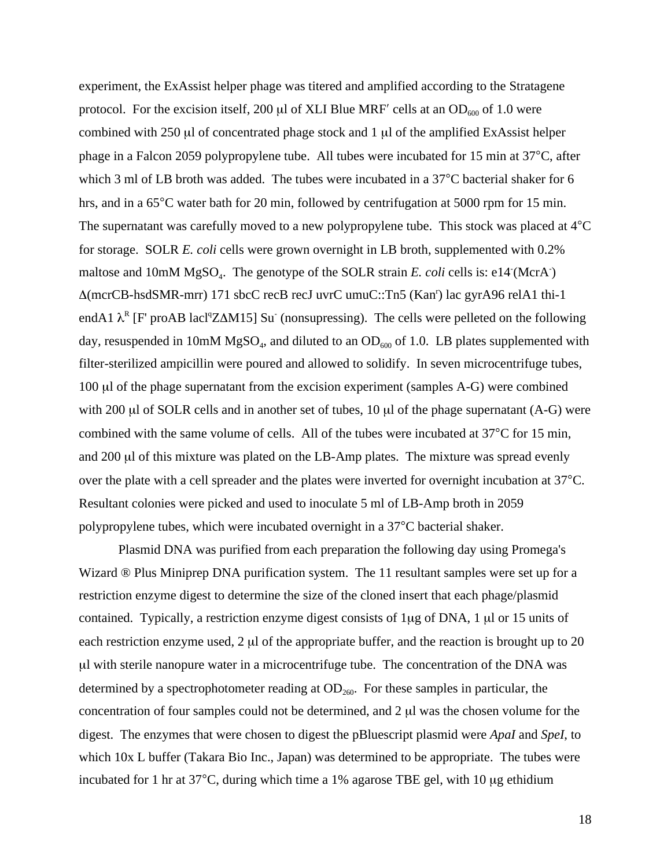experiment, the ExAssist helper phage was titered and amplified according to the Stratagene protocol. For the excision itself, 200 µl of XLI Blue MRF' cells at an  $OD<sub>600</sub>$  of 1.0 were combined with 250 µl of concentrated phage stock and 1 µl of the amplified ExAssist helper phage in a Falcon 2059 polypropylene tube. All tubes were incubated for 15 min at 37°C, after which 3 ml of LB broth was added. The tubes were incubated in a 37<sup>°</sup>C bacterial shaker for 6 hrs, and in a 65°C water bath for 20 min, followed by centrifugation at 5000 rpm for 15 min. The supernatant was carefully moved to a new polypropylene tube. This stock was placed at 4°C for storage. SOLR *E. coli* cells were grown overnight in LB broth, supplemented with 0.2% maltose and 10mM MgSO<sub>4</sub>. The genotype of the SOLR strain *E. coli* cells is: e14 (McrA) ∆(mcrCB-hsdSMR-mrr) 171 sbcC recB recJ uvrC umuC::Tn5 (Kan<sup>r</sup> ) lac gyrA96 relA1 thi-1 endA1  $\lambda^R$  [F' proAB lacl<sup>q</sup>Z $\Delta M15$ ] Su (nonsupressing). The cells were pelleted on the following day, resuspended in 10mM MgSO<sub>4</sub>, and diluted to an  $OD_{600}$  of 1.0. LB plates supplemented with filter-sterilized ampicillin were poured and allowed to solidify. In seven microcentrifuge tubes, 100 µl of the phage supernatant from the excision experiment (samples A-G) were combined with 200  $\mu$ l of SOLR cells and in another set of tubes, 10  $\mu$ l of the phage supernatant (A-G) were combined with the same volume of cells. All of the tubes were incubated at 37°C for 15 min, and 200 µl of this mixture was plated on the LB-Amp plates. The mixture was spread evenly over the plate with a cell spreader and the plates were inverted for overnight incubation at 37°C. Resultant colonies were picked and used to inoculate 5 ml of LB-Amp broth in 2059 polypropylene tubes, which were incubated overnight in a 37°C bacterial shaker.

Plasmid DNA was purified from each preparation the following day using Promega's Wizard ® Plus Miniprep DNA purification system. The 11 resultant samples were set up for a restriction enzyme digest to determine the size of the cloned insert that each phage/plasmid contained. Typically, a restriction enzyme digest consists of 1µg of DNA, 1 µl or 15 units of each restriction enzyme used, 2  $\mu$  of the appropriate buffer, and the reaction is brought up to 20 µl with sterile nanopure water in a microcentrifuge tube. The concentration of the DNA was determined by a spectrophotometer reading at  $OD<sub>260</sub>$ . For these samples in particular, the concentration of four samples could not be determined, and 2 µl was the chosen volume for the digest. The enzymes that were chosen to digest the pBluescript plasmid were *ApaI* and *SpeI*, to which 10x L buffer (Takara Bio Inc., Japan) was determined to be appropriate. The tubes were incubated for 1 hr at 37°C, during which time a 1% agarose TBE gel, with 10 µg ethidium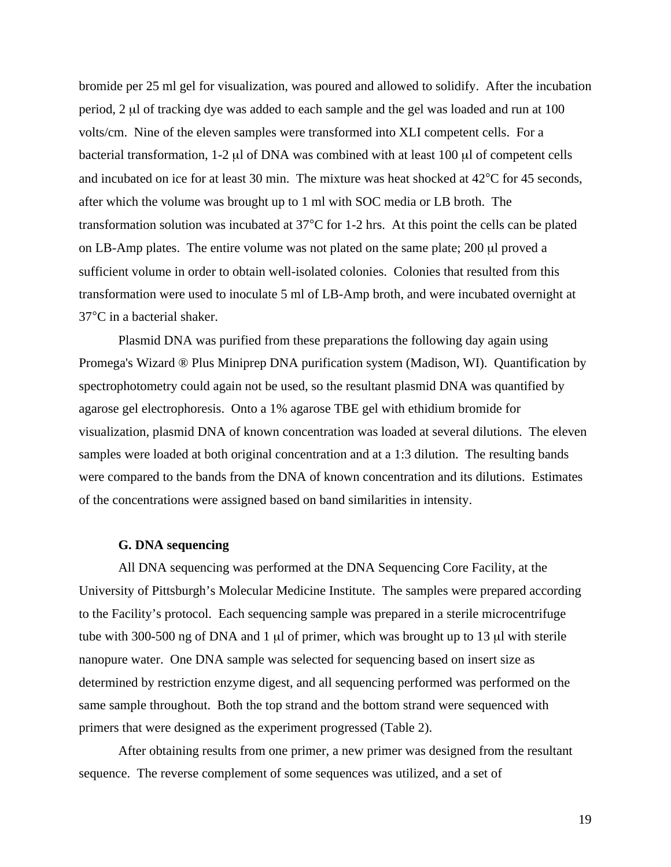bromide per 25 ml gel for visualization, was poured and allowed to solidify. After the incubation period, 2 µl of tracking dye was added to each sample and the gel was loaded and run at 100 volts/cm. Nine of the eleven samples were transformed into XLI competent cells. For a bacterial transformation,  $1-2 \mu$  of DNA was combined with at least 100  $\mu$  of competent cells and incubated on ice for at least 30 min. The mixture was heat shocked at 42°C for 45 seconds, after which the volume was brought up to 1 ml with SOC media or LB broth. The transformation solution was incubated at 37°C for 1-2 hrs. At this point the cells can be plated on LB-Amp plates. The entire volume was not plated on the same plate; 200 ul proved a sufficient volume in order to obtain well-isolated colonies. Colonies that resulted from this transformation were used to inoculate 5 ml of LB-Amp broth, and were incubated overnight at 37°C in a bacterial shaker.

Plasmid DNA was purified from these preparations the following day again using Promega's Wizard ® Plus Miniprep DNA purification system (Madison, WI). Quantification by spectrophotometry could again not be used, so the resultant plasmid DNA was quantified by agarose gel electrophoresis. Onto a 1% agarose TBE gel with ethidium bromide for visualization, plasmid DNA of known concentration was loaded at several dilutions. The eleven samples were loaded at both original concentration and at a 1:3 dilution. The resulting bands were compared to the bands from the DNA of known concentration and its dilutions. Estimates of the concentrations were assigned based on band similarities in intensity.

# **G. DNA sequencing**

All DNA sequencing was performed at the DNA Sequencing Core Facility, at the University of Pittsburgh's Molecular Medicine Institute. The samples were prepared according to the Facility's protocol. Each sequencing sample was prepared in a sterile microcentrifuge tube with 300-500 ng of DNA and 1 µl of primer, which was brought up to 13 µl with sterile nanopure water. One DNA sample was selected for sequencing based on insert size as determined by restriction enzyme digest, and all sequencing performed was performed on the same sample throughout. Both the top strand and the bottom strand were sequenced with primers that were designed as the experiment progressed (Table 2).

After obtaining results from one primer, a new primer was designed from the resultant sequence. The reverse complement of some sequences was utilized, and a set of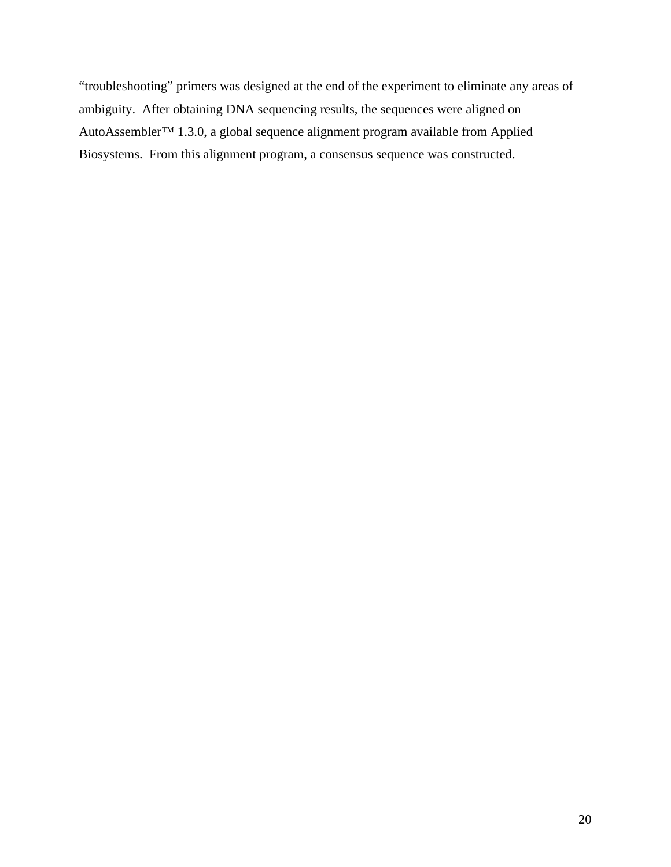"troubleshooting" primers was designed at the end of the experiment to eliminate any areas of ambiguity. After obtaining DNA sequencing results, the sequences were aligned on AutoAssembler™ 1.3.0, a global sequence alignment program available from Applied Biosystems. From this alignment program, a consensus sequence was constructed.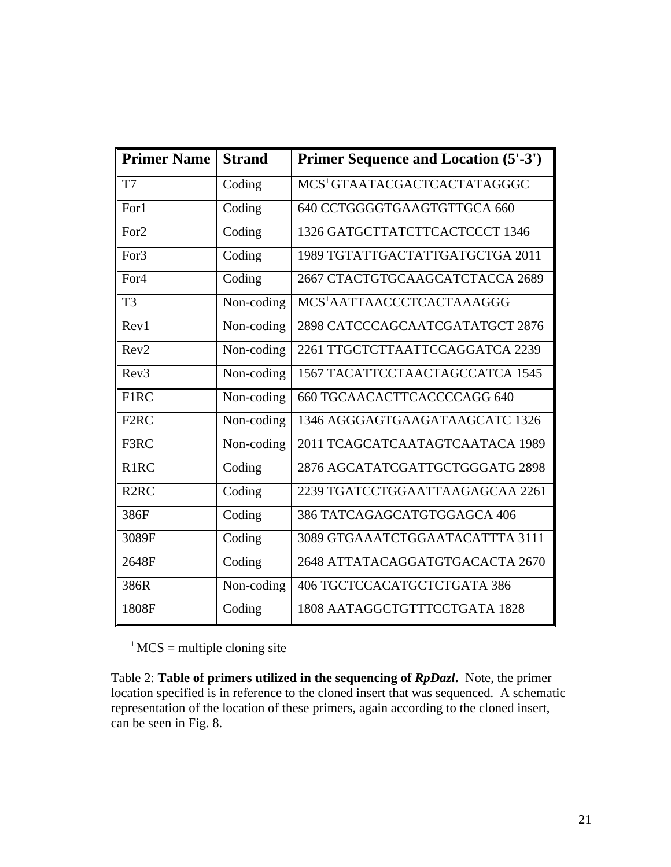| <b>Primer Name</b> | <b>Strand</b> | <b>Primer Sequence and Location (5'-3')</b> |
|--------------------|---------------|---------------------------------------------|
| T7                 | Coding        | MCS <sup>1</sup> GTAATACGACTCACTATAGGGC     |
| For1               | Coding        | 640 CCTGGGGTGAAGTGTTGCA 660                 |
| For <sub>2</sub>   | Coding        | 1326 GATGCTTATCTTCACTCCCT 1346              |
| For <sub>3</sub>   | Coding        | 1989 TGTATTGACTATTGATGCTGA 2011             |
| For <sub>4</sub>   | Coding        | 2667 CTACTGTGCAAGCATCTACCA 2689             |
| T <sub>3</sub>     | Non-coding    | MCS <sup>1</sup> AATTAACCCTCACTAAAGGG       |
| Rev1               | Non-coding    | 2898 CATCCCAGCAATCGATATGCT 2876             |
| Rev2               | Non-coding    | 2261 TTGCTCTTAATTCCAGGATCA 2239             |
| Rev <sub>3</sub>   | Non-coding    | 1567 TACATTCCTAACTAGCCATCA 1545             |
| F1RC               | Non-coding    | 660 TGCAACACTTCACCCCAGG 640                 |
| F <sub>2</sub> RC  | Non-coding    | 1346 AGGGAGTGAAGATAAGCATC 1326              |
| F3RC               | Non-coding    | 2011 TCAGCATCAATAGTCAATACA 1989             |
| R <sub>1</sub> RC  | Coding        | 2876 AGCATATCGATTGCTGGGATG 2898             |
| R <sub>2</sub> RC  | Coding        | 2239 TGATCCTGGAATTAAGAGCAA 2261             |
| 386F               | Coding        | 386 TATCAGAGCATGTGGAGCA 406                 |
| 3089F              | Coding        | 3089 GTGAAATCTGGAATACATTTA 3111             |
| 2648F              | Coding        | 2648 ATTATACAGGATGTGACACTA 2670             |
| 386R               | Non-coding    | 406 TGCTCCACATGCTCTGATA 386                 |
| 1808F              | Coding        | 1808 AATAGGCTGTTTCCTGATA 1828               |

 $1$ MCS = multiple cloning site

Table 2: **Table of primers utilized in the sequencing of** *RpDazl***.** Note, the primer location specified is in reference to the cloned insert that was sequenced. A schematic representation of the location of these primers, again according to the cloned insert, can be seen in Fig. 8.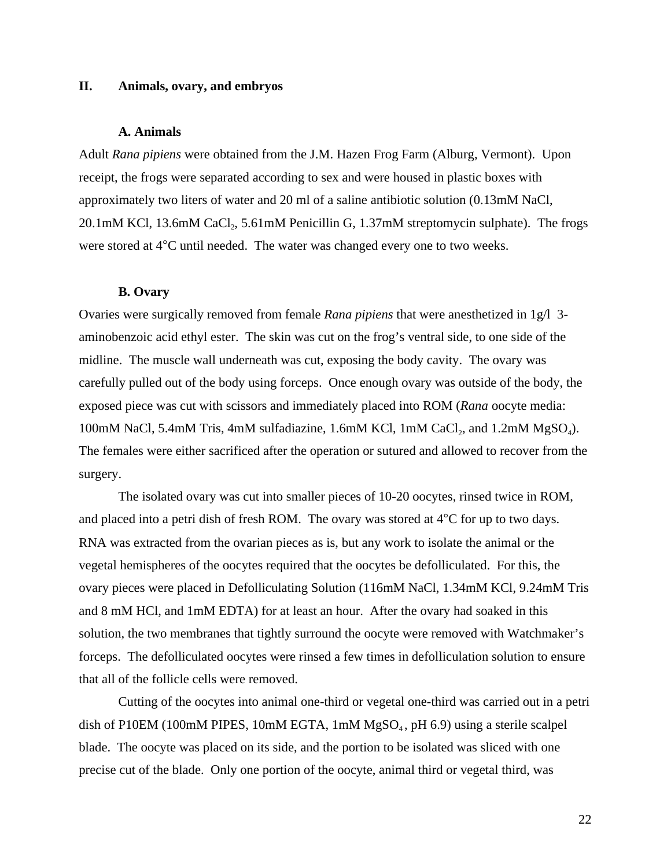# **II. Animals, ovary, and embryos**

#### **A. Animals**

Adult *Rana pipiens* were obtained from the J.M. Hazen Frog Farm (Alburg, Vermont). Upon receipt, the frogs were separated according to sex and were housed in plastic boxes with approximately two liters of water and 20 ml of a saline antibiotic solution (0.13mM NaCl,  $20.1 \text{mM}$  KCl, 13.6mM CaCl<sub>2</sub>, 5.61mM Penicillin G, 1.37mM streptomycin sulphate). The frogs were stored at 4°C until needed. The water was changed every one to two weeks.

## **B. Ovary**

Ovaries were surgically removed from female *Rana pipiens* that were anesthetized in 1g/l 3 aminobenzoic acid ethyl ester. The skin was cut on the frog's ventral side, to one side of the midline. The muscle wall underneath was cut, exposing the body cavity. The ovary was carefully pulled out of the body using forceps. Once enough ovary was outside of the body, the exposed piece was cut with scissors and immediately placed into ROM (*Rana* oocyte media: 100mM NaCl, 5.4mM Tris, 4mM sulfadiazine, 1.6mM KCl, 1mM CaCl<sub>2</sub>, and 1.2mM  $MgSO<sub>4</sub>$ ). The females were either sacrificed after the operation or sutured and allowed to recover from the surgery.

The isolated ovary was cut into smaller pieces of 10-20 oocytes, rinsed twice in ROM, and placed into a petri dish of fresh ROM. The ovary was stored at 4°C for up to two days. RNA was extracted from the ovarian pieces as is, but any work to isolate the animal or the vegetal hemispheres of the oocytes required that the oocytes be defolliculated. For this, the ovary pieces were placed in Defolliculating Solution (116mM NaCl, 1.34mM KCl, 9.24mM Tris and 8 mM HCl, and 1mM EDTA) for at least an hour. After the ovary had soaked in this solution, the two membranes that tightly surround the oocyte were removed with Watchmaker's forceps. The defolliculated oocytes were rinsed a few times in defolliculation solution to ensure that all of the follicle cells were removed.

Cutting of the oocytes into animal one-third or vegetal one-third was carried out in a petri dish of P10EM (100mM PIPES, 10mM EGTA, 1mM  $MgSO<sub>4</sub>$ , pH 6.9) using a sterile scalpel blade. The oocyte was placed on its side, and the portion to be isolated was sliced with one precise cut of the blade. Only one portion of the oocyte, animal third or vegetal third, was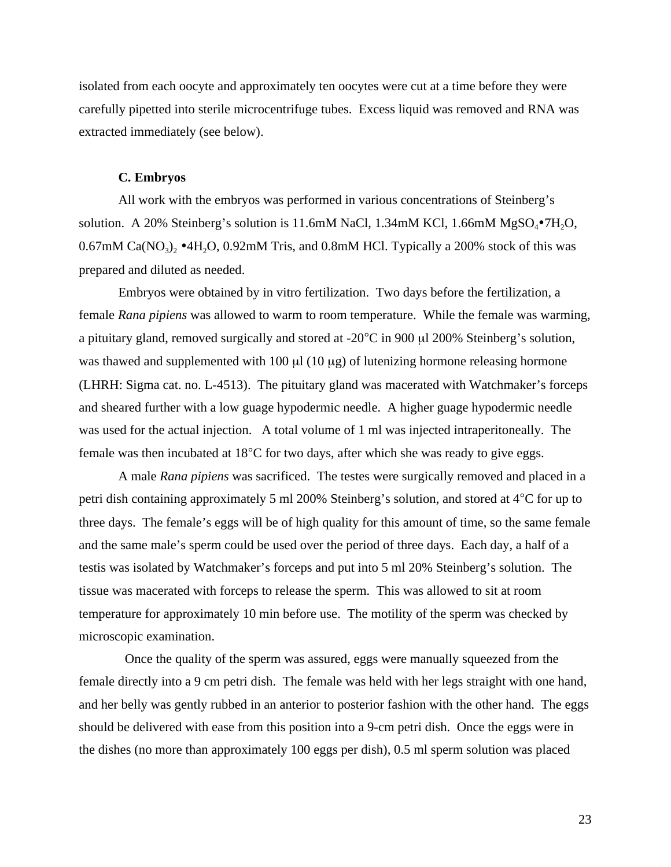isolated from each oocyte and approximately ten oocytes were cut at a time before they were carefully pipetted into sterile microcentrifuge tubes. Excess liquid was removed and RNA was extracted immediately (see below).

# **C. Embryos**

All work with the embryos was performed in various concentrations of Steinberg's solution. A 20% Steinberg's solution is 11.6mM NaCl, 1.34mM KCl, 1.66mM  $MgSO_4\bullet 7H_2O$ , 0.67mM Ca( $NO<sub>3</sub>$ )<sub>2</sub> •4H<sub>2</sub>O, 0.92mM Tris, and 0.8mM HCl. Typically a 200% stock of this was prepared and diluted as needed.

Embryos were obtained by in vitro fertilization. Two days before the fertilization, a female *Rana pipiens* was allowed to warm to room temperature. While the female was warming, a pituitary gland, removed surgically and stored at  $-20^{\circ}$ C in 900  $\mu$ l 200% Steinberg's solution, was thawed and supplemented with  $100 \mu l$  ( $10 \mu g$ ) of lutenizing hormone releasing hormone (LHRH: Sigma cat. no. L-4513). The pituitary gland was macerated with Watchmaker's forceps and sheared further with a low guage hypodermic needle. A higher guage hypodermic needle was used for the actual injection. A total volume of 1 ml was injected intraperitoneally. The female was then incubated at 18°C for two days, after which she was ready to give eggs.

A male *Rana pipiens* was sacrificed. The testes were surgically removed and placed in a petri dish containing approximately 5 ml 200% Steinberg's solution, and stored at 4°C for up to three days. The female's eggs will be of high quality for this amount of time, so the same female and the same male's sperm could be used over the period of three days. Each day, a half of a testis was isolated by Watchmaker's forceps and put into 5 ml 20% Steinberg's solution. The tissue was macerated with forceps to release the sperm. This was allowed to sit at room temperature for approximately 10 min before use. The motility of the sperm was checked by microscopic examination.

 Once the quality of the sperm was assured, eggs were manually squeezed from the female directly into a 9 cm petri dish. The female was held with her legs straight with one hand, and her belly was gently rubbed in an anterior to posterior fashion with the other hand. The eggs should be delivered with ease from this position into a 9-cm petri dish. Once the eggs were in the dishes (no more than approximately 100 eggs per dish), 0.5 ml sperm solution was placed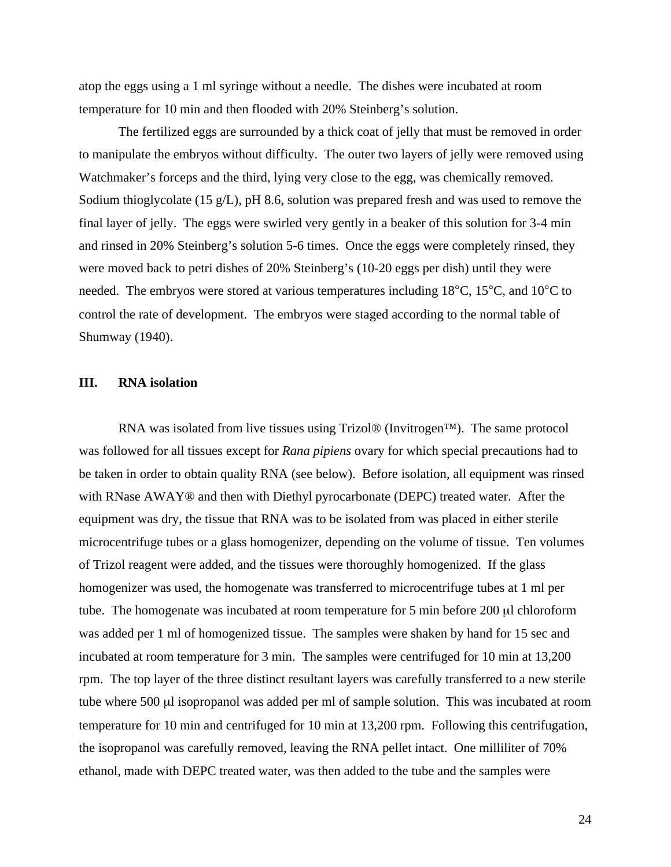atop the eggs using a 1 ml syringe without a needle. The dishes were incubated at room temperature for 10 min and then flooded with 20% Steinberg's solution.

The fertilized eggs are surrounded by a thick coat of jelly that must be removed in order to manipulate the embryos without difficulty. The outer two layers of jelly were removed using Watchmaker's forceps and the third, lying very close to the egg, was chemically removed. Sodium thioglycolate (15 g/L), pH 8.6, solution was prepared fresh and was used to remove the final layer of jelly. The eggs were swirled very gently in a beaker of this solution for 3-4 min and rinsed in 20% Steinberg's solution 5-6 times. Once the eggs were completely rinsed, they were moved back to petri dishes of 20% Steinberg's (10-20 eggs per dish) until they were needed. The embryos were stored at various temperatures including 18°C, 15°C, and 10°C to control the rate of development. The embryos were staged according to the normal table of Shumway (1940).

# **III. RNA isolation**

RNA was isolated from live tissues using Trizol® (Invitrogen<sup>TM</sup>). The same protocol was followed for all tissues except for *Rana pipiens* ovary for which special precautions had to be taken in order to obtain quality RNA (see below). Before isolation, all equipment was rinsed with RNase AWAY<sup>®</sup> and then with Diethyl pyrocarbonate (DEPC) treated water. After the equipment was dry, the tissue that RNA was to be isolated from was placed in either sterile microcentrifuge tubes or a glass homogenizer, depending on the volume of tissue. Ten volumes of Trizol reagent were added, and the tissues were thoroughly homogenized. If the glass homogenizer was used, the homogenate was transferred to microcentrifuge tubes at 1 ml per tube. The homogenate was incubated at room temperature for 5 min before 200 µl chloroform was added per 1 ml of homogenized tissue. The samples were shaken by hand for 15 sec and incubated at room temperature for 3 min. The samples were centrifuged for 10 min at 13,200 rpm. The top layer of the three distinct resultant layers was carefully transferred to a new sterile tube where 500 µl isopropanol was added per ml of sample solution. This was incubated at room temperature for 10 min and centrifuged for 10 min at 13,200 rpm. Following this centrifugation, the isopropanol was carefully removed, leaving the RNA pellet intact. One milliliter of 70% ethanol, made with DEPC treated water, was then added to the tube and the samples were

24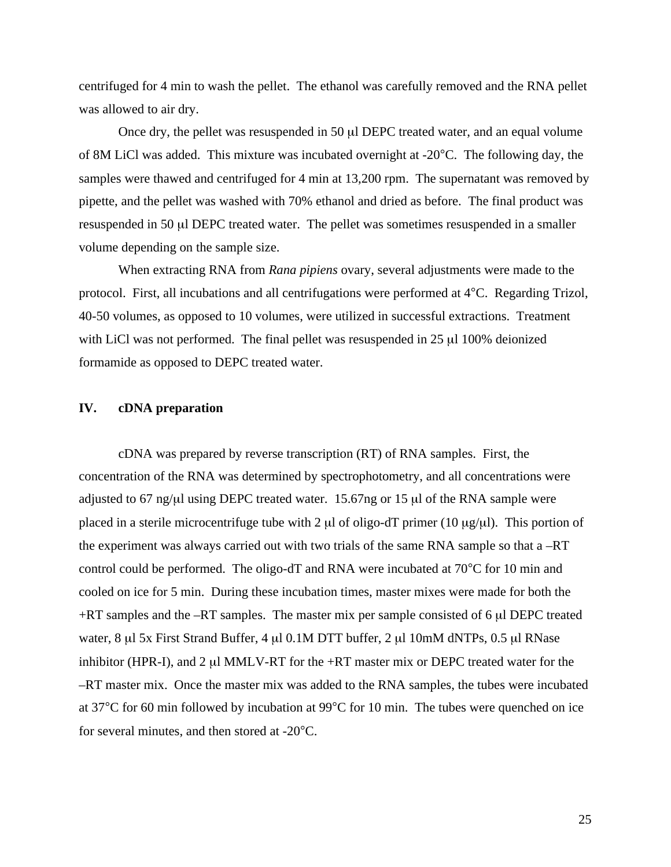centrifuged for 4 min to wash the pellet. The ethanol was carefully removed and the RNA pellet was allowed to air dry.

Once dry, the pellet was resuspended in 50 µl DEPC treated water, and an equal volume of 8M LiCl was added. This mixture was incubated overnight at -20°C. The following day, the samples were thawed and centrifuged for 4 min at 13,200 rpm. The supernatant was removed by pipette, and the pellet was washed with 70% ethanol and dried as before. The final product was resuspended in 50 µl DEPC treated water. The pellet was sometimes resuspended in a smaller volume depending on the sample size.

When extracting RNA from *Rana pipiens* ovary, several adjustments were made to the protocol. First, all incubations and all centrifugations were performed at 4°C. Regarding Trizol, 40-50 volumes, as opposed to 10 volumes, were utilized in successful extractions. Treatment with LiCl was not performed. The final pellet was resuspended in 25 µl 100% deionized formamide as opposed to DEPC treated water.

# **IV. cDNA preparation**

cDNA was prepared by reverse transcription (RT) of RNA samples. First, the concentration of the RNA was determined by spectrophotometry, and all concentrations were adjusted to 67 ng/ $\mu$ l using DEPC treated water. 15.67ng or 15  $\mu$ l of the RNA sample were placed in a sterile microcentrifuge tube with 2  $\mu$ l of oligo-dT primer (10  $\mu$ g/ $\mu$ l). This portion of the experiment was always carried out with two trials of the same RNA sample so that a –RT control could be performed. The oligo-dT and RNA were incubated at 70°C for 10 min and cooled on ice for 5 min. During these incubation times, master mixes were made for both the  $+RT$  samples and the  $-RT$  samples. The master mix per sample consisted of 6  $\mu$ l DEPC treated water, 8 µl 5x First Strand Buffer, 4 µl 0.1M DTT buffer, 2 µl 10mM dNTPs, 0.5 µl RNase inhibitor (HPR-I), and  $2 \mu I$  MMLV-RT for the +RT master mix or DEPC treated water for the –RT master mix. Once the master mix was added to the RNA samples, the tubes were incubated at 37°C for 60 min followed by incubation at 99°C for 10 min. The tubes were quenched on ice for several minutes, and then stored at -20°C.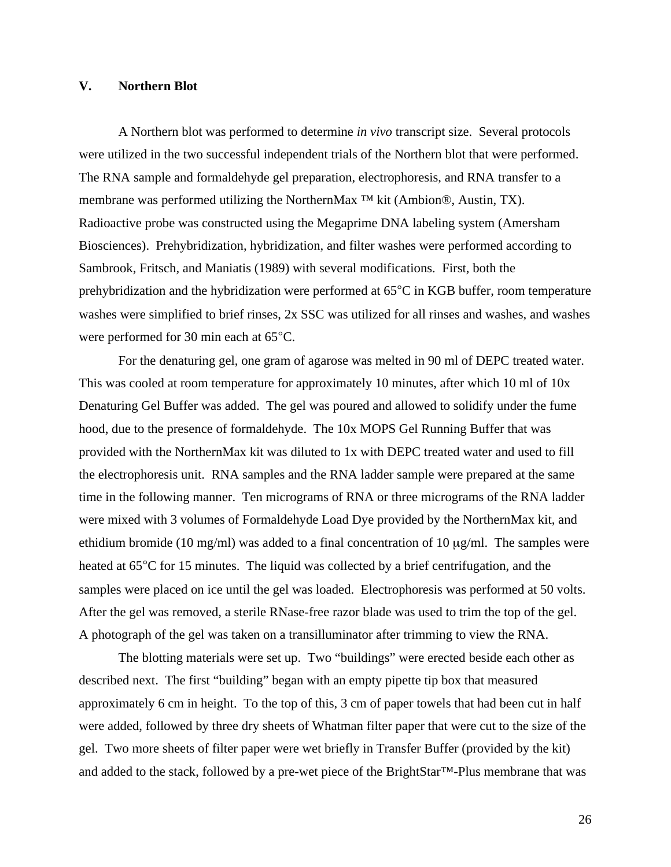# **V. Northern Blot**

A Northern blot was performed to determine *in vivo* transcript size. Several protocols were utilized in the two successful independent trials of the Northern blot that were performed. The RNA sample and formaldehyde gel preparation, electrophoresis, and RNA transfer to a membrane was performed utilizing the NorthernMax <sup>™</sup> kit (Ambion®, Austin, TX). Radioactive probe was constructed using the Megaprime DNA labeling system (Amersham Biosciences). Prehybridization, hybridization, and filter washes were performed according to Sambrook, Fritsch, and Maniatis (1989) with several modifications. First, both the prehybridization and the hybridization were performed at 65°C in KGB buffer, room temperature washes were simplified to brief rinses, 2x SSC was utilized for all rinses and washes, and washes were performed for 30 min each at 65°C.

For the denaturing gel, one gram of agarose was melted in 90 ml of DEPC treated water. This was cooled at room temperature for approximately 10 minutes, after which 10 ml of 10x Denaturing Gel Buffer was added. The gel was poured and allowed to solidify under the fume hood, due to the presence of formaldehyde. The 10x MOPS Gel Running Buffer that was provided with the NorthernMax kit was diluted to 1x with DEPC treated water and used to fill the electrophoresis unit. RNA samples and the RNA ladder sample were prepared at the same time in the following manner. Ten micrograms of RNA or three micrograms of the RNA ladder were mixed with 3 volumes of Formaldehyde Load Dye provided by the NorthernMax kit, and ethidium bromide (10 mg/ml) was added to a final concentration of 10  $\mu$ g/ml. The samples were heated at  $65^{\circ}$ C for 15 minutes. The liquid was collected by a brief centrifugation, and the samples were placed on ice until the gel was loaded. Electrophoresis was performed at 50 volts. After the gel was removed, a sterile RNase-free razor blade was used to trim the top of the gel. A photograph of the gel was taken on a transilluminator after trimming to view the RNA.

The blotting materials were set up. Two "buildings" were erected beside each other as described next. The first "building" began with an empty pipette tip box that measured approximately 6 cm in height. To the top of this, 3 cm of paper towels that had been cut in half were added, followed by three dry sheets of Whatman filter paper that were cut to the size of the gel. Two more sheets of filter paper were wet briefly in Transfer Buffer (provided by the kit) and added to the stack, followed by a pre-wet piece of the BrightStar™-Plus membrane that was

26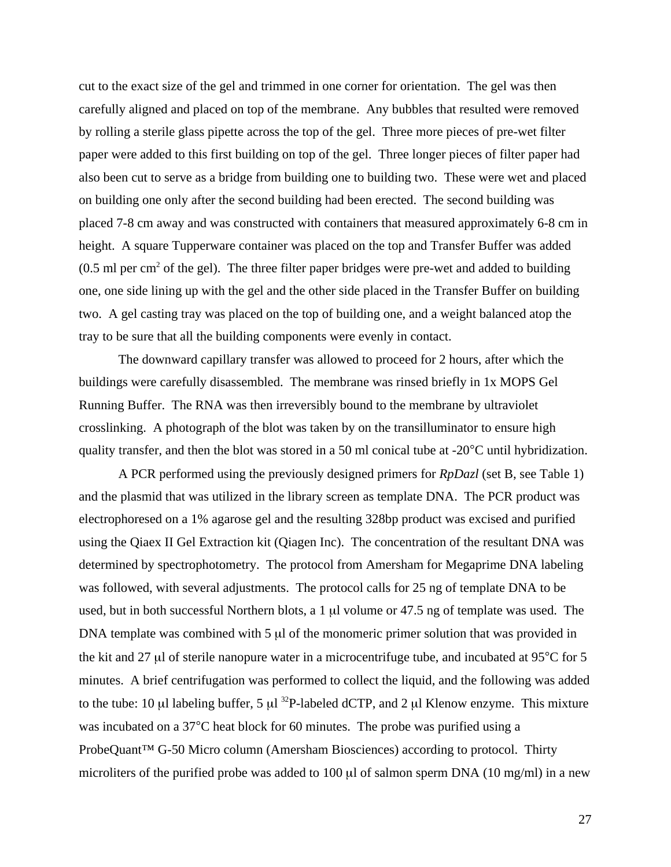cut to the exact size of the gel and trimmed in one corner for orientation. The gel was then carefully aligned and placed on top of the membrane. Any bubbles that resulted were removed by rolling a sterile glass pipette across the top of the gel. Three more pieces of pre-wet filter paper were added to this first building on top of the gel. Three longer pieces of filter paper had also been cut to serve as a bridge from building one to building two. These were wet and placed on building one only after the second building had been erected. The second building was placed 7-8 cm away and was constructed with containers that measured approximately 6-8 cm in height. A square Tupperware container was placed on the top and Transfer Buffer was added  $(0.5 \text{ ml per cm}^2)$  of the gel). The three filter paper bridges were pre-wet and added to building one, one side lining up with the gel and the other side placed in the Transfer Buffer on building two. A gel casting tray was placed on the top of building one, and a weight balanced atop the tray to be sure that all the building components were evenly in contact.

The downward capillary transfer was allowed to proceed for 2 hours, after which the buildings were carefully disassembled. The membrane was rinsed briefly in 1x MOPS Gel Running Buffer. The RNA was then irreversibly bound to the membrane by ultraviolet crosslinking. A photograph of the blot was taken by on the transilluminator to ensure high quality transfer, and then the blot was stored in a 50 ml conical tube at -20°C until hybridization.

A PCR performed using the previously designed primers for *RpDazl* (set B, see Table 1) and the plasmid that was utilized in the library screen as template DNA. The PCR product was electrophoresed on a 1% agarose gel and the resulting 328bp product was excised and purified using the Qiaex II Gel Extraction kit (Qiagen Inc). The concentration of the resultant DNA was determined by spectrophotometry. The protocol from Amersham for Megaprime DNA labeling was followed, with several adjustments. The protocol calls for 25 ng of template DNA to be used, but in both successful Northern blots, a 1 µl volume or 47.5 ng of template was used. The DNA template was combined with 5 µl of the monomeric primer solution that was provided in the kit and 27 µl of sterile nanopure water in a microcentrifuge tube, and incubated at 95°C for 5 minutes. A brief centrifugation was performed to collect the liquid, and the following was added to the tube: 10  $\mu$ l labeling buffer, 5  $\mu$ l <sup>32</sup>P-labeled dCTP, and 2  $\mu$ l Klenow enzyme. This mixture was incubated on a 37°C heat block for 60 minutes. The probe was purified using a ProbeQuant<sup>™</sup> G-50 Micro column (Amersham Biosciences) according to protocol. Thirty microliters of the purified probe was added to 100  $\mu$ l of salmon sperm DNA (10 mg/ml) in a new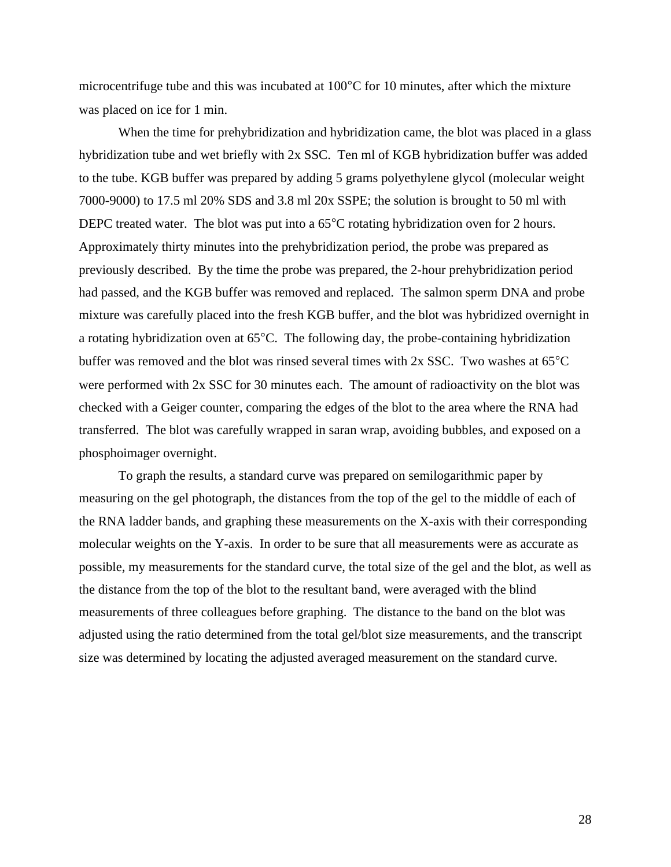microcentrifuge tube and this was incubated at 100°C for 10 minutes, after which the mixture was placed on ice for 1 min.

When the time for prehybridization and hybridization came, the blot was placed in a glass hybridization tube and wet briefly with 2x SSC. Ten ml of KGB hybridization buffer was added to the tube. KGB buffer was prepared by adding 5 grams polyethylene glycol (molecular weight 7000-9000) to 17.5 ml 20% SDS and 3.8 ml 20x SSPE; the solution is brought to 50 ml with DEPC treated water. The blot was put into a 65<sup>o</sup>C rotating hybridization oven for 2 hours. Approximately thirty minutes into the prehybridization period, the probe was prepared as previously described. By the time the probe was prepared, the 2-hour prehybridization period had passed, and the KGB buffer was removed and replaced. The salmon sperm DNA and probe mixture was carefully placed into the fresh KGB buffer, and the blot was hybridized overnight in a rotating hybridization oven at 65°C. The following day, the probe-containing hybridization buffer was removed and the blot was rinsed several times with 2x SSC. Two washes at 65°C were performed with 2x SSC for 30 minutes each. The amount of radioactivity on the blot was checked with a Geiger counter, comparing the edges of the blot to the area where the RNA had transferred. The blot was carefully wrapped in saran wrap, avoiding bubbles, and exposed on a phosphoimager overnight.

To graph the results, a standard curve was prepared on semilogarithmic paper by measuring on the gel photograph, the distances from the top of the gel to the middle of each of the RNA ladder bands, and graphing these measurements on the X-axis with their corresponding molecular weights on the Y-axis. In order to be sure that all measurements were as accurate as possible, my measurements for the standard curve, the total size of the gel and the blot, as well as the distance from the top of the blot to the resultant band, were averaged with the blind measurements of three colleagues before graphing. The distance to the band on the blot was adjusted using the ratio determined from the total gel/blot size measurements, and the transcript size was determined by locating the adjusted averaged measurement on the standard curve.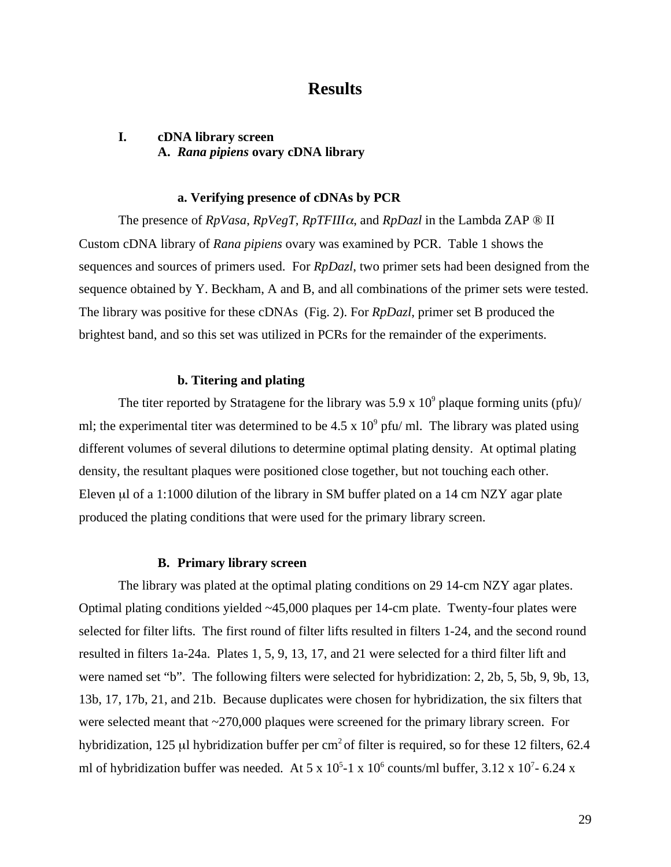# **Results**

# **I. cDNA library screen A.** *Rana pipiens* **ovary cDNA library**

## **a. Verifying presence of cDNAs by PCR**

The presence of *RpVasa*, *RpVegT*, *RpTFIII*α, and *RpDazl* in the Lambda ZAP ® II Custom cDNA library of *Rana pipiens* ovary was examined by PCR. Table 1 shows the sequences and sources of primers used. For *RpDazl*, two primer sets had been designed from the sequence obtained by Y. Beckham, A and B, and all combinations of the primer sets were tested. The library was positive for these cDNAs (Fig. 2). For *RpDazl*, primer set B produced the brightest band, and so this set was utilized in PCRs for the remainder of the experiments.

# **b. Titering and plating**

The titer reported by Stratagene for the library was 5.9 x  $10^9$  plaque forming units (pfu)/ ml; the experimental titer was determined to be  $4.5 \times 10^9$  pfu/ ml. The library was plated using different volumes of several dilutions to determine optimal plating density. At optimal plating density, the resultant plaques were positioned close together, but not touching each other. Eleven µl of a 1:1000 dilution of the library in SM buffer plated on a 14 cm NZY agar plate produced the plating conditions that were used for the primary library screen.

### **B. Primary library screen**

The library was plated at the optimal plating conditions on 29 14-cm NZY agar plates. Optimal plating conditions yielded ~45,000 plaques per 14-cm plate. Twenty-four plates were selected for filter lifts. The first round of filter lifts resulted in filters 1-24, and the second round resulted in filters 1a-24a. Plates 1, 5, 9, 13, 17, and 21 were selected for a third filter lift and were named set "b". The following filters were selected for hybridization: 2, 2b, 5, 5b, 9, 9b, 13, 13b, 17, 17b, 21, and 21b. Because duplicates were chosen for hybridization, the six filters that were selected meant that ~270,000 plaques were screened for the primary library screen. For hybridization, 125 µl hybridization buffer per  $cm<sup>2</sup>$  of filter is required, so for these 12 filters, 62.4 ml of hybridization buffer was needed. At 5 x  $10^5$ -1 x  $10^6$  counts/ml buffer, 3.12 x  $10^7$ - 6.24 x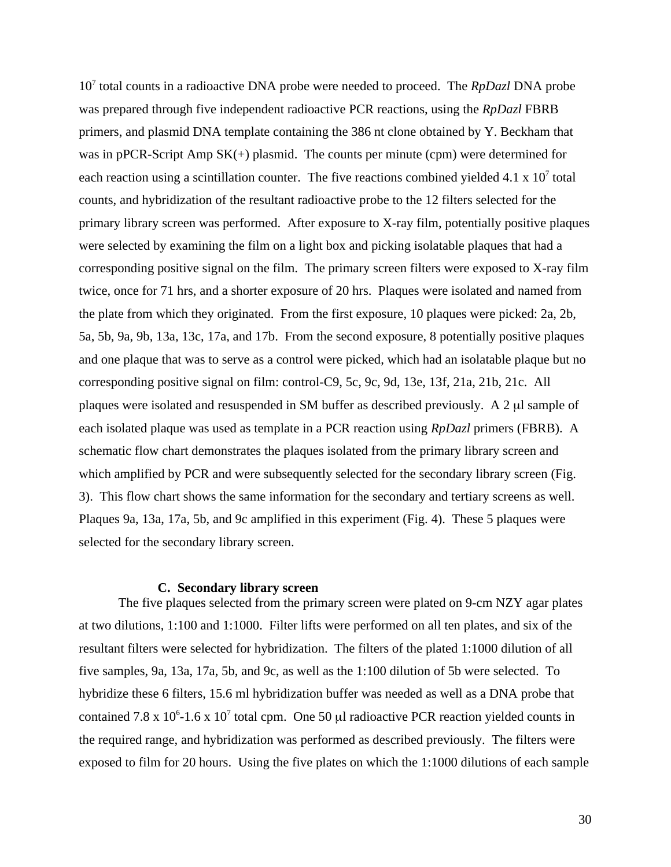10<sup>7</sup> total counts in a radioactive DNA probe were needed to proceed. The *RpDazl* DNA probe was prepared through five independent radioactive PCR reactions, using the *RpDazl* FBRB primers, and plasmid DNA template containing the 386 nt clone obtained by Y. Beckham that was in pPCR-Script Amp  $SK(+)$  plasmid. The counts per minute (cpm) were determined for each reaction using a scintillation counter. The five reactions combined yielded  $4.1 \times 10^{7}$  total counts, and hybridization of the resultant radioactive probe to the 12 filters selected for the primary library screen was performed. After exposure to X-ray film, potentially positive plaques were selected by examining the film on a light box and picking isolatable plaques that had a corresponding positive signal on the film. The primary screen filters were exposed to X-ray film twice, once for 71 hrs, and a shorter exposure of 20 hrs. Plaques were isolated and named from the plate from which they originated. From the first exposure, 10 plaques were picked: 2a, 2b, 5a, 5b, 9a, 9b, 13a, 13c, 17a, and 17b. From the second exposure, 8 potentially positive plaques and one plaque that was to serve as a control were picked, which had an isolatable plaque but no corresponding positive signal on film: control-C9, 5c, 9c, 9d, 13e, 13f, 21a, 21b, 21c. All plaques were isolated and resuspended in SM buffer as described previously. A 2 µl sample of each isolated plaque was used as template in a PCR reaction using *RpDazl* primers (FBRB). A schematic flow chart demonstrates the plaques isolated from the primary library screen and which amplified by PCR and were subsequently selected for the secondary library screen (Fig. 3). This flow chart shows the same information for the secondary and tertiary screens as well. Plaques 9a, 13a, 17a, 5b, and 9c amplified in this experiment (Fig. 4). These 5 plaques were selected for the secondary library screen.

#### **C. Secondary library screen**

The five plaques selected from the primary screen were plated on 9-cm NZY agar plates at two dilutions, 1:100 and 1:1000. Filter lifts were performed on all ten plates, and six of the resultant filters were selected for hybridization. The filters of the plated 1:1000 dilution of all five samples, 9a, 13a, 17a, 5b, and 9c, as well as the 1:100 dilution of 5b were selected. To hybridize these 6 filters, 15.6 ml hybridization buffer was needed as well as a DNA probe that contained 7.8 x 10<sup>6</sup>-1.6 x 10<sup>7</sup> total cpm. One 50  $\mu$ l radioactive PCR reaction yielded counts in the required range, and hybridization was performed as described previously. The filters were exposed to film for 20 hours. Using the five plates on which the 1:1000 dilutions of each sample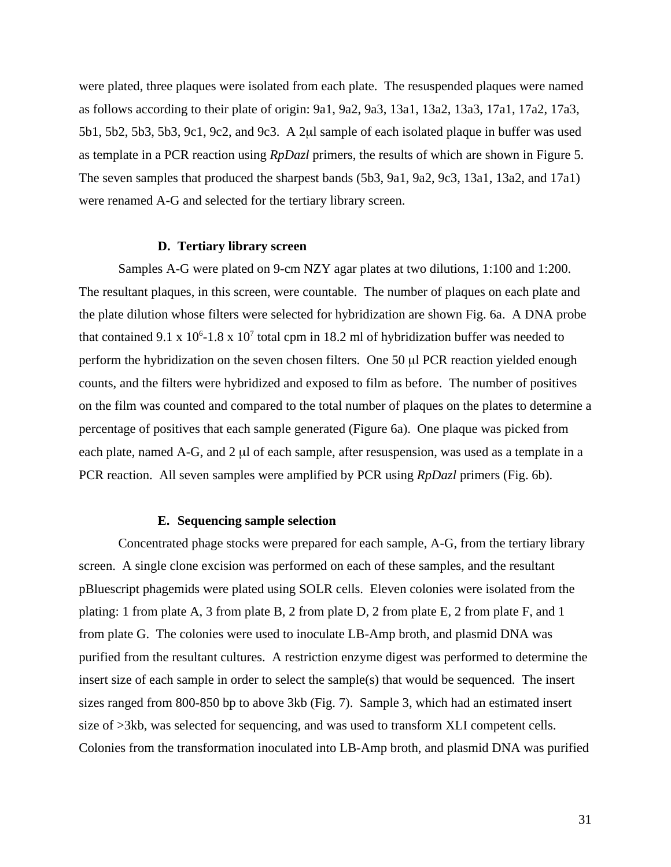were plated, three plaques were isolated from each plate. The resuspended plaques were named as follows according to their plate of origin: 9a1, 9a2, 9a3, 13a1, 13a2, 13a3, 17a1, 17a2, 17a3, 5b1, 5b2, 5b3, 5b3, 9c1, 9c2, and 9c3. A 2µl sample of each isolated plaque in buffer was used as template in a PCR reaction using *RpDazl* primers, the results of which are shown in Figure 5. The seven samples that produced the sharpest bands (5b3, 9a1, 9a2, 9c3, 13a1, 13a2, and 17a1) were renamed A-G and selected for the tertiary library screen.

#### **D. Tertiary library screen**

Samples A-G were plated on 9-cm NZY agar plates at two dilutions, 1:100 and 1:200. The resultant plaques, in this screen, were countable. The number of plaques on each plate and the plate dilution whose filters were selected for hybridization are shown Fig. 6a. A DNA probe that contained 9.1 x  $10^6$ -1.8 x  $10^7$  total cpm in 18.2 ml of hybridization buffer was needed to perform the hybridization on the seven chosen filters. One 50 µl PCR reaction yielded enough counts, and the filters were hybridized and exposed to film as before. The number of positives on the film was counted and compared to the total number of plaques on the plates to determine a percentage of positives that each sample generated (Figure 6a). One plaque was picked from each plate, named A-G, and 2 µl of each sample, after resuspension, was used as a template in a PCR reaction. All seven samples were amplified by PCR using *RpDazl* primers (Fig. 6b).

#### **E. Sequencing sample selection**

Concentrated phage stocks were prepared for each sample, A-G, from the tertiary library screen. A single clone excision was performed on each of these samples, and the resultant pBluescript phagemids were plated using SOLR cells. Eleven colonies were isolated from the plating: 1 from plate A, 3 from plate B, 2 from plate D, 2 from plate E, 2 from plate F, and 1 from plate G. The colonies were used to inoculate LB-Amp broth, and plasmid DNA was purified from the resultant cultures. A restriction enzyme digest was performed to determine the insert size of each sample in order to select the sample(s) that would be sequenced. The insert sizes ranged from 800-850 bp to above 3kb (Fig. 7). Sample 3, which had an estimated insert size of >3kb, was selected for sequencing, and was used to transform XLI competent cells. Colonies from the transformation inoculated into LB-Amp broth, and plasmid DNA was purified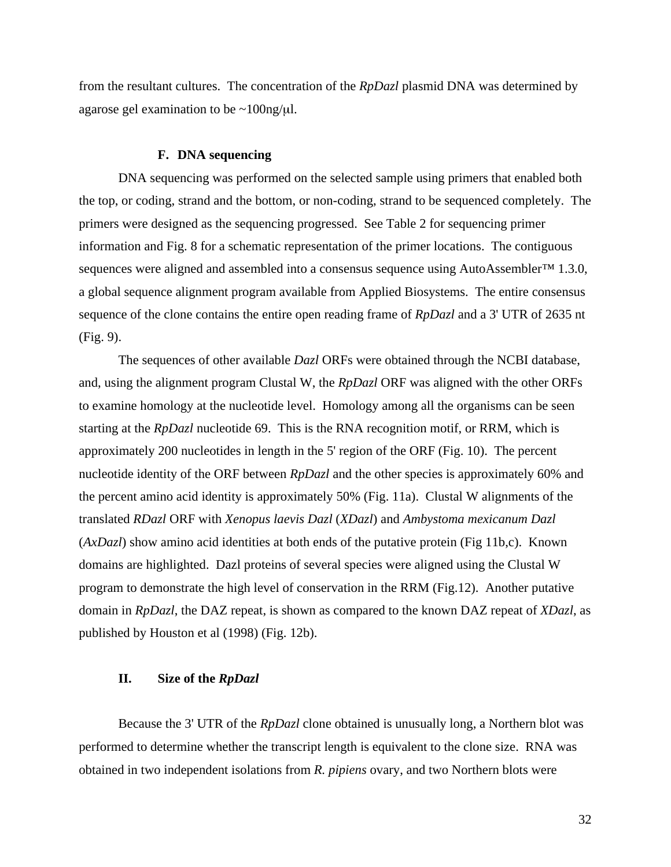from the resultant cultures. The concentration of the *RpDazl* plasmid DNA was determined by agarose gel examination to be  $\sim 100$ ng/ $\mu$ l.

#### **F. DNA sequencing**

DNA sequencing was performed on the selected sample using primers that enabled both the top, or coding, strand and the bottom, or non-coding, strand to be sequenced completely. The primers were designed as the sequencing progressed. See Table 2 for sequencing primer information and Fig. 8 for a schematic representation of the primer locations. The contiguous sequences were aligned and assembled into a consensus sequence using AutoAssembler<sup>™</sup> 1.3.0, a global sequence alignment program available from Applied Biosystems. The entire consensus sequence of the clone contains the entire open reading frame of *RpDazl* and a 3' UTR of 2635 nt (Fig. 9).

The sequences of other available *Dazl* ORFs were obtained through the NCBI database, and, using the alignment program Clustal W, the *RpDazl* ORF was aligned with the other ORFs to examine homology at the nucleotide level. Homology among all the organisms can be seen starting at the *RpDazl* nucleotide 69. This is the RNA recognition motif, or RRM, which is approximately 200 nucleotides in length in the 5' region of the ORF (Fig. 10). The percent nucleotide identity of the ORF between *RpDazl* and the other species is approximately 60% and the percent amino acid identity is approximately 50% (Fig. 11a). Clustal W alignments of the translated *RDazl* ORF with *Xenopus laevis Dazl* (*XDazl*) and *Ambystoma mexicanum Dazl* (*AxDazl*) show amino acid identities at both ends of the putative protein (Fig 11b,c). Known domains are highlighted. Dazl proteins of several species were aligned using the Clustal W program to demonstrate the high level of conservation in the RRM (Fig.12). Another putative domain in *RpDazl*, the DAZ repeat, is shown as compared to the known DAZ repeat of *XDazl*, as published by Houston et al (1998) (Fig. 12b).

# **II. Size of the** *RpDazl*

Because the 3' UTR of the *RpDazl* clone obtained is unusually long, a Northern blot was performed to determine whether the transcript length is equivalent to the clone size. RNA was obtained in two independent isolations from *R. pipiens* ovary, and two Northern blots were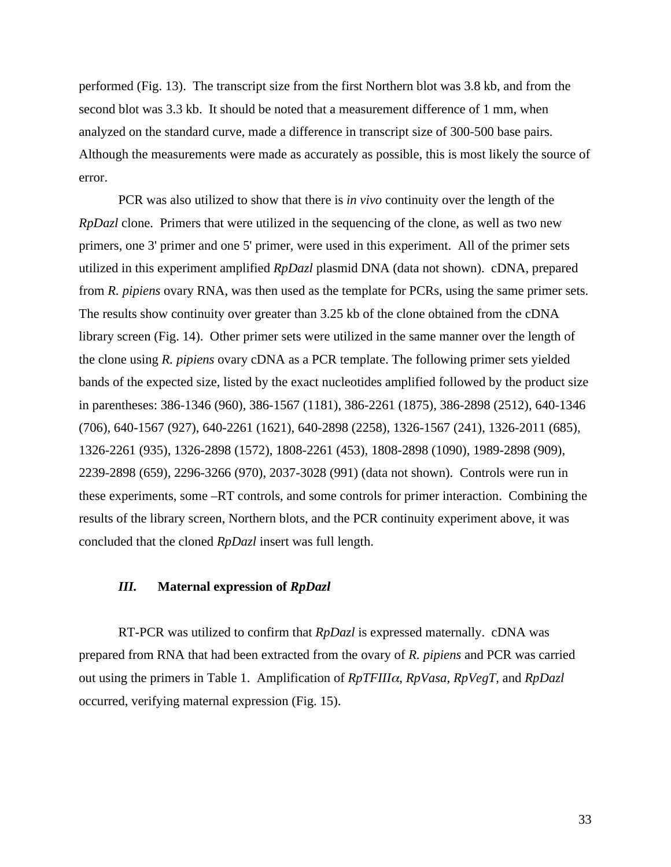performed (Fig. 13). The transcript size from the first Northern blot was 3.8 kb, and from the second blot was 3.3 kb. It should be noted that a measurement difference of 1 mm, when analyzed on the standard curve, made a difference in transcript size of 300-500 base pairs. Although the measurements were made as accurately as possible, this is most likely the source of error.

PCR was also utilized to show that there is *in vivo* continuity over the length of the *RpDazl* clone. Primers that were utilized in the sequencing of the clone, as well as two new primers, one 3' primer and one 5' primer, were used in this experiment. All of the primer sets utilized in this experiment amplified *RpDazl* plasmid DNA (data not shown). cDNA, prepared from *R. pipiens* ovary RNA, was then used as the template for PCRs, using the same primer sets. The results show continuity over greater than 3.25 kb of the clone obtained from the cDNA library screen (Fig. 14). Other primer sets were utilized in the same manner over the length of the clone using *R. pipiens* ovary cDNA as a PCR template. The following primer sets yielded bands of the expected size, listed by the exact nucleotides amplified followed by the product size in parentheses: 386-1346 (960), 386-1567 (1181), 386-2261 (1875), 386-2898 (2512), 640-1346 (706), 640-1567 (927), 640-2261 (1621), 640-2898 (2258), 1326-1567 (241), 1326-2011 (685), 1326-2261 (935), 1326-2898 (1572), 1808-2261 (453), 1808-2898 (1090), 1989-2898 (909), 2239-2898 (659), 2296-3266 (970), 2037-3028 (991) (data not shown). Controls were run in these experiments, some –RT controls, and some controls for primer interaction. Combining the results of the library screen, Northern blots, and the PCR continuity experiment above, it was concluded that the cloned *RpDazl* insert was full length.

# *III.* **Maternal expression of** *RpDazl*

RT-PCR was utilized to confirm that *RpDazl* is expressed maternally. cDNA was prepared from RNA that had been extracted from the ovary of *R. pipiens* and PCR was carried out using the primers in Table 1. Amplification of *RpTFIII*α, *RpVasa*, *RpVegT*, and *RpDazl* occurred, verifying maternal expression (Fig. 15).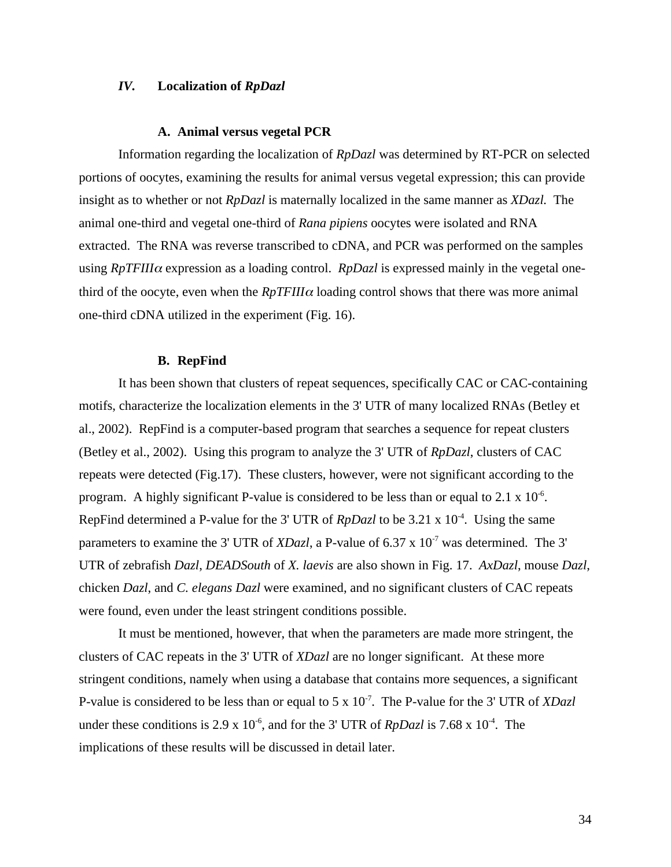# *IV.* **Localization of** *RpDazl*

#### **A. Animal versus vegetal PCR**

Information regarding the localization of *RpDazl* was determined by RT-PCR on selected portions of oocytes, examining the results for animal versus vegetal expression; this can provide insight as to whether or not *RpDazl* is maternally localized in the same manner as *XDazl.* The animal one-third and vegetal one-third of *Rana pipiens* oocytes were isolated and RNA extracted. The RNA was reverse transcribed to cDNA, and PCR was performed on the samples using *RpTFIII*α expression as a loading control. *RpDazl* is expressed mainly in the vegetal onethird of the oocyte, even when the  $RpTFIII\alpha$  loading control shows that there was more animal one-third cDNA utilized in the experiment (Fig. 16).

#### **B. RepFind**

It has been shown that clusters of repeat sequences, specifically CAC or CAC-containing motifs, characterize the localization elements in the 3' UTR of many localized RNAs (Betley et al., 2002). RepFind is a computer-based program that searches a sequence for repeat clusters (Betley et al., 2002). Using this program to analyze the 3' UTR of *RpDazl*, clusters of CAC repeats were detected (Fig.17). These clusters, however, were not significant according to the program. A highly significant P-value is considered to be less than or equal to 2.1 x  $10^{-6}$ . RepFind determined a P-value for the 3' UTR of *RpDazl* to be 3.21 x 10<sup>-4</sup>. Using the same parameters to examine the 3' UTR of *XDazl*, a P-value of 6.37 x  $10^{-7}$  was determined. The 3' UTR of zebrafish *Dazl*, *DEADSouth* of *X. laevis* are also shown in Fig. 17. *AxDazl*, mouse *Dazl*, chicken *Dazl*, and *C. elegans Dazl* were examined, and no significant clusters of CAC repeats were found, even under the least stringent conditions possible.

It must be mentioned, however, that when the parameters are made more stringent, the clusters of CAC repeats in the 3' UTR of *XDazl* are no longer significant. At these more stringent conditions, namely when using a database that contains more sequences, a significant P-value is considered to be less than or equal to 5 x 10<sup>-7</sup>. The P-value for the 3' UTR of *XDazl* under these conditions is 2.9 x  $10^{-6}$ , and for the 3' UTR of *RpDazl* is 7.68 x  $10^{-4}$ . The implications of these results will be discussed in detail later.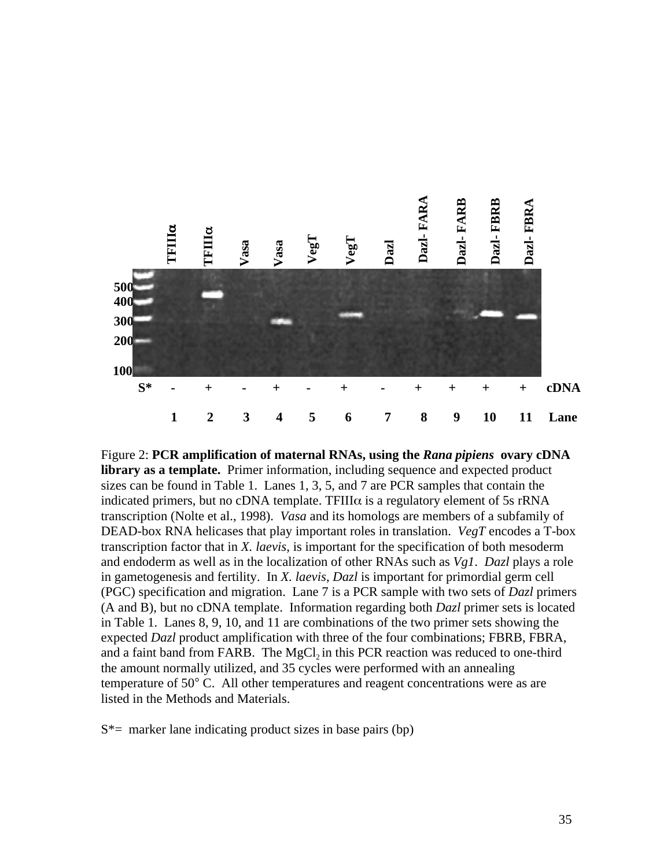

Figure 2: **PCR amplification of maternal RNAs, using the** *Rana pipiens* **ovary cDNA library as a template.** Primer information, including sequence and expected product sizes can be found in Table 1. Lanes 1, 3, 5, and 7 are PCR samples that contain the indicated primers, but no cDNA template. TFIII $\alpha$  is a regulatory element of 5s rRNA transcription (Nolte et al., 1998). *Vasa* and its homologs are members of a subfamily of DEAD-box RNA helicases that play important roles in translation. *VegT* encodes a T-box transcription factor that in *X. laevis*, is important for the specification of both mesoderm and endoderm as well as in the localization of other RNAs such as *Vg1*. *Dazl* plays a role in gametogenesis and fertility. In *X. laevis*, *Dazl* is important for primordial germ cell (PGC) specification and migration. Lane 7 is a PCR sample with two sets of *Dazl* primers (A and B), but no cDNA template. Information regarding both *Dazl* primer sets is located in Table 1. Lanes 8, 9, 10, and 11 are combinations of the two primer sets showing the expected *Dazl* product amplification with three of the four combinations; FBRB, FBRA, and a faint band from FARB. The MgCl<sub>2</sub> in this PCR reaction was reduced to one-third the amount normally utilized, and 35 cycles were performed with an annealing temperature of 50° C. All other temperatures and reagent concentrations were as are listed in the Methods and Materials.

 $S^*$  marker lane indicating product sizes in base pairs (bp)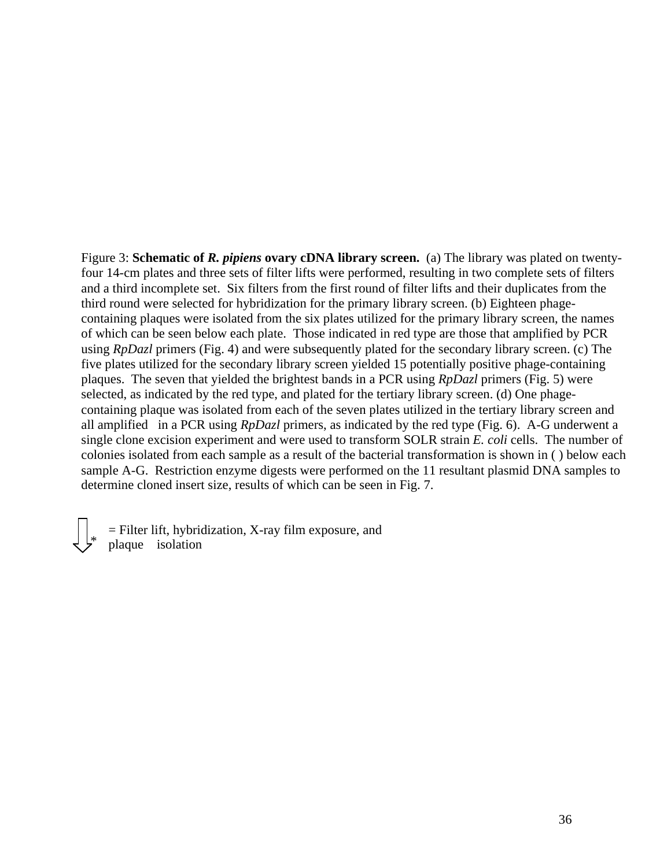Figure 3: **Schematic of** *R. pipiens* **ovary cDNA library screen.** (a) The library was plated on twentyfour 14-cm plates and three sets of filter lifts were performed, resulting in two complete sets of filters and a third incomplete set. Six filters from the first round of filter lifts and their duplicates from the third round were selected for hybridization for the primary library screen. (b) Eighteen phagecontaining plaques were isolated from the six plates utilized for the primary library screen, the names of which can be seen below each plate. Those indicated in red type are those that amplified by PCR using *RpDazl* primers (Fig. 4) and were subsequently plated for the secondary library screen. (c) The five plates utilized for the secondary library screen yielded 15 potentially positive phage-containing plaques. The seven that yielded the brightest bands in a PCR using *RpDazl* primers (Fig. 5) were selected, as indicated by the red type, and plated for the tertiary library screen. (d) One phagecontaining plaque was isolated from each of the seven plates utilized in the tertiary library screen and all amplified in a PCR using *RpDazl* primers, as indicated by the red type (Fig. 6). A-G underwent a single clone excision experiment and were used to transform SOLR strain *E. coli* cells. The number of colonies isolated from each sample as a result of the bacterial transformation is shown in ( ) below each sample A-G. Restriction enzyme digests were performed on the 11 resultant plasmid DNA samples to determine cloned insert size, results of which can be seen in Fig. 7.

= Filter lift, hybridization, X-ray film exposure, and plaque isolation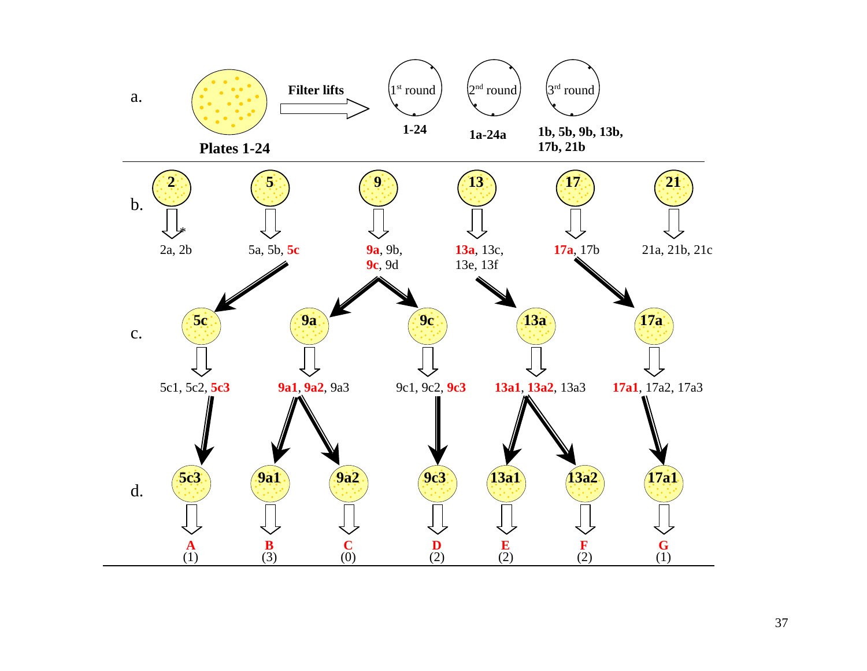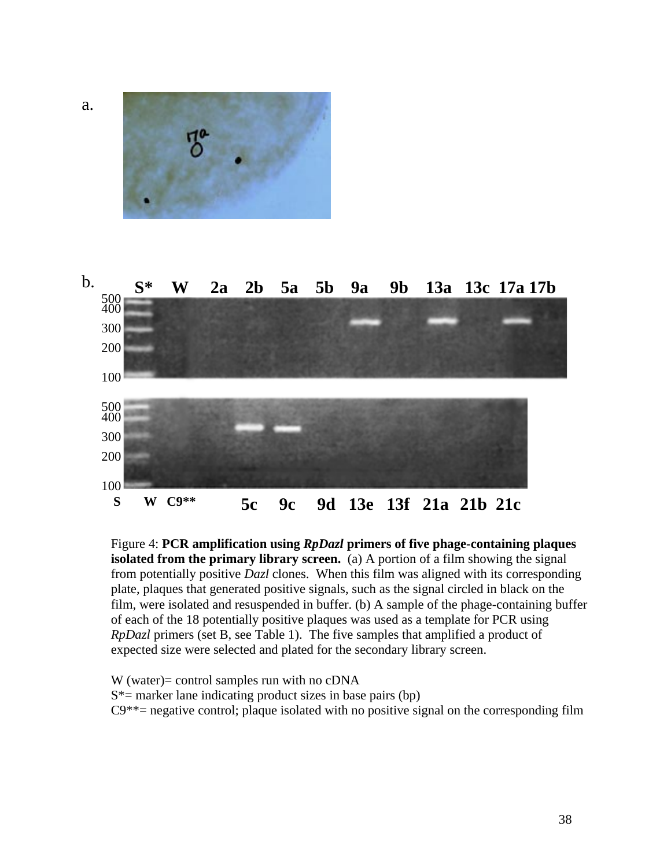

Figure 4: **PCR amplification using** *RpDazl* **primers of five phage-containing plaques isolated from the primary library screen.** (a) A portion of a film showing the signal from potentially positive *Dazl* clones. When this film was aligned with its corresponding plate, plaques that generated positive signals, such as the signal circled in black on the film, were isolated and resuspended in buffer. (b) A sample of the phage-containing buffer of each of the 18 potentially positive plaques was used as a template for PCR using *RpDazl* primers (set B, see Table 1). The five samples that amplified a product of expected size were selected and plated for the secondary library screen.

W (water)= control samples run with no cDNA  $S^*$  = marker lane indicating product sizes in base pairs (bp)  $C9^{**}$ = negative control; plaque isolated with no positive signal on the corresponding film

a.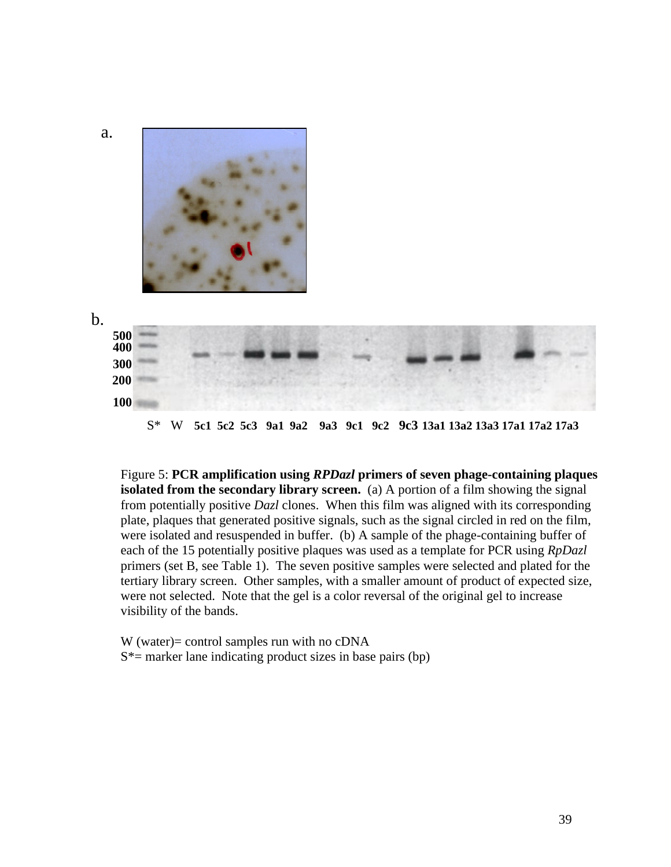

Figure 5: **PCR amplification using** *RPDazl* **primers of seven phage-containing plaques isolated from the secondary library screen.** (a) A portion of a film showing the signal from potentially positive *Dazl* clones. When this film was aligned with its corresponding plate, plaques that generated positive signals, such as the signal circled in red on the film, were isolated and resuspended in buffer. (b) A sample of the phage-containing buffer of each of the 15 potentially positive plaques was used as a template for PCR using *RpDazl* primers (set B, see Table 1). The seven positive samples were selected and plated for the tertiary library screen. Other samples, with a smaller amount of product of expected size, were not selected. Note that the gel is a color reversal of the original gel to increase visibility of the bands.

W (water)= control samples run with no cDNA  $S^*$  = marker lane indicating product sizes in base pairs (bp)

39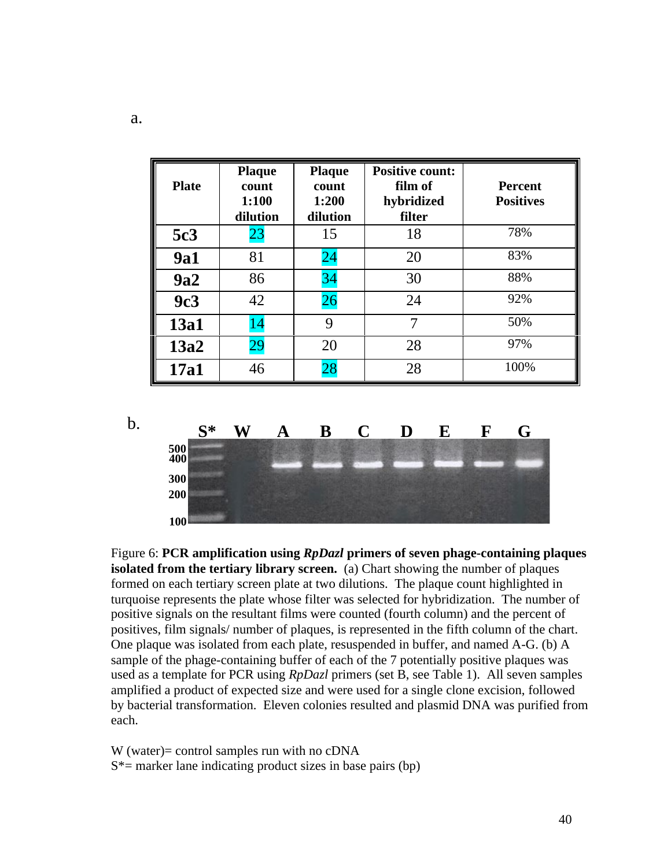| <b>Plate</b> | <b>Plaque</b><br>count<br>1:100<br>dilution | <b>Plaque</b><br>count<br>1:200<br>dilution | <b>Positive count:</b><br>film of<br>hybridized<br>filter | <b>Percent</b><br><b>Positives</b> |
|--------------|---------------------------------------------|---------------------------------------------|-----------------------------------------------------------|------------------------------------|
| 5c3          | 23                                          | 15                                          | 18                                                        | 78%                                |
| <b>9a1</b>   | 81                                          | 24                                          | 20                                                        | 83%                                |
| 9a2          | 86                                          | 34                                          | 30                                                        | 88%                                |
| 9c3          | 42                                          | 26                                          | 24                                                        | 92%                                |
| 13a1         | 14                                          | 9                                           | 7                                                         | 50%                                |
| 13a2         | 29                                          | 20                                          | 28                                                        | 97%                                |
| <b>17a1</b>  | 46                                          | 28                                          | 28                                                        | 100%                               |



Figure 6: **PCR amplification using** *RpDazl* **primers of seven phage-containing plaques isolated from the tertiary library screen.** (a) Chart showing the number of plaques formed on each tertiary screen plate at two dilutions. The plaque count highlighted in turquoise represents the plate whose filter was selected for hybridization. The number of positive signals on the resultant films were counted (fourth column) and the percent of positives, film signals/ number of plaques, is represented in the fifth column of the chart. One plaque was isolated from each plate, resuspended in buffer, and named A-G. (b) A sample of the phage-containing buffer of each of the 7 potentially positive plaques was used as a template for PCR using *RpDazl* primers (set B, see Table 1). All seven samples amplified a product of expected size and were used for a single clone excision, followed by bacterial transformation. Eleven colonies resulted and plasmid DNA was purified from each.

W (water)= control samples run with no cDNA  $S^*$  = marker lane indicating product sizes in base pairs (bp)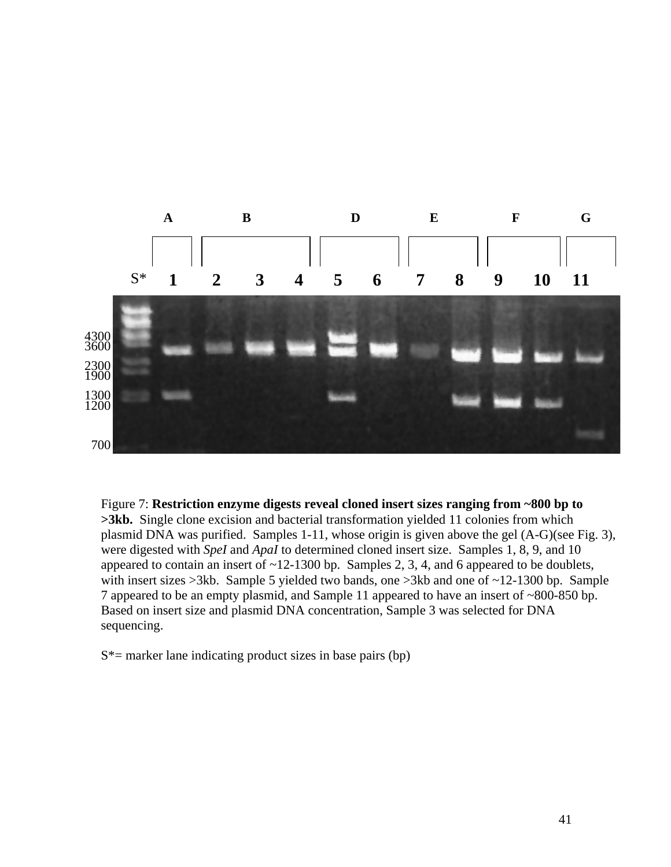

Figure 7: **Restriction enzyme digests reveal cloned insert sizes ranging from ~800 bp to >3kb.** Single clone excision and bacterial transformation yielded 11 colonies from which plasmid DNA was purified. Samples 1-11, whose origin is given above the gel (A-G)(see Fig. 3), were digested with *SpeI* and *ApaI* to determined cloned insert size. Samples 1, 8, 9, and 10 appeared to contain an insert of ~12-1300 bp. Samples 2, 3, 4, and 6 appeared to be doublets, with insert sizes >3kb. Sample 5 yielded two bands, one >3kb and one of ~12-1300 bp. Sample 7 appeared to be an empty plasmid, and Sample 11 appeared to have an insert of ~800-850 bp. Based on insert size and plasmid DNA concentration, Sample 3 was selected for DNA sequencing.

 $S^*$  = marker lane indicating product sizes in base pairs (bp)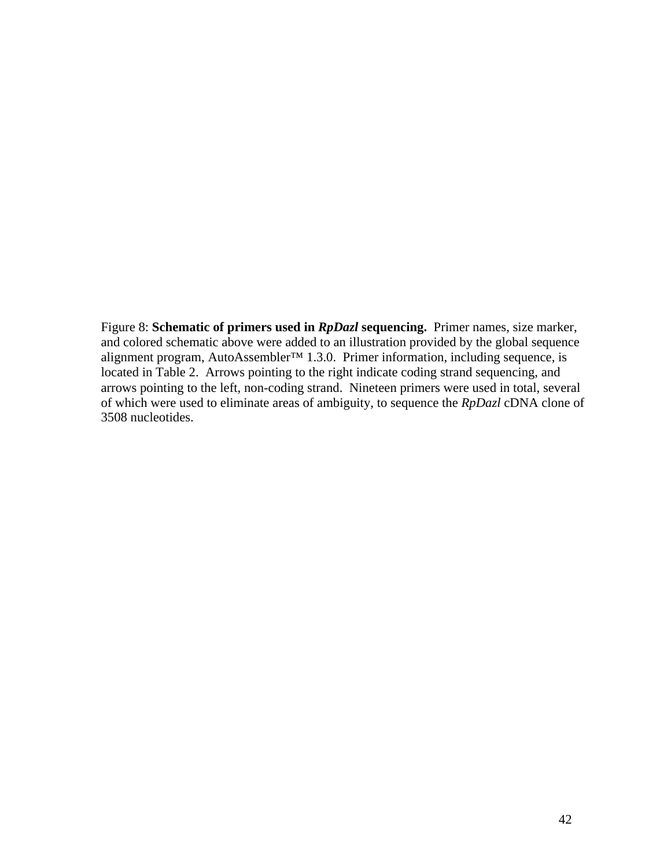Figure 8: **Schematic of primers used in** *RpDazl* **sequencing.** Primer names, size marker, and colored schematic above were added to an illustration provided by the global sequence alignment program, AutoAssembler™ 1.3.0. Primer information, including sequence, is located in Table 2. Arrows pointing to the right indicate coding strand sequencing, and arrows pointing to the left, non-coding strand. Nineteen primers were used in total, several of which were used to eliminate areas of ambiguity, to sequence the *RpDazl* cDNA clone of 3508 nucleotides.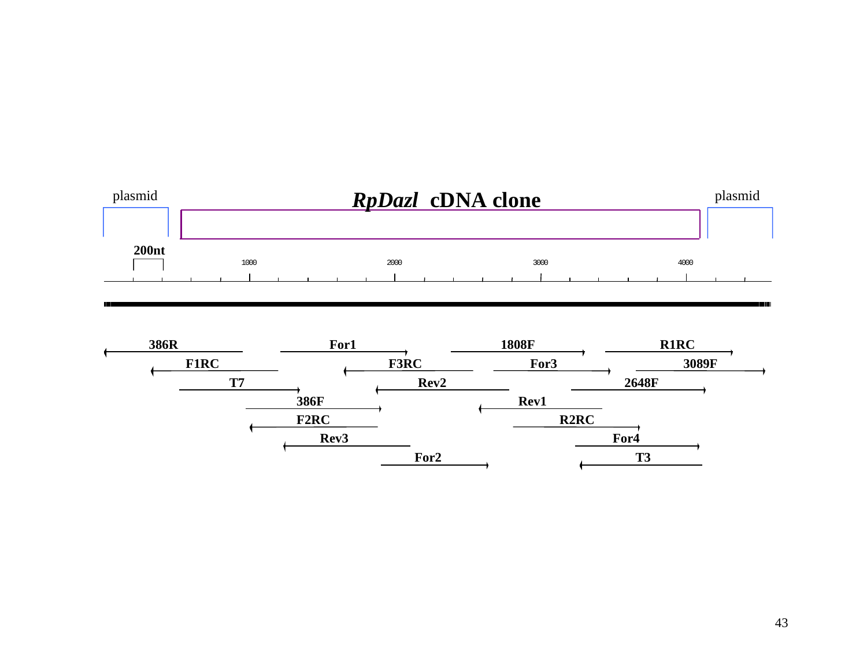



ألالدا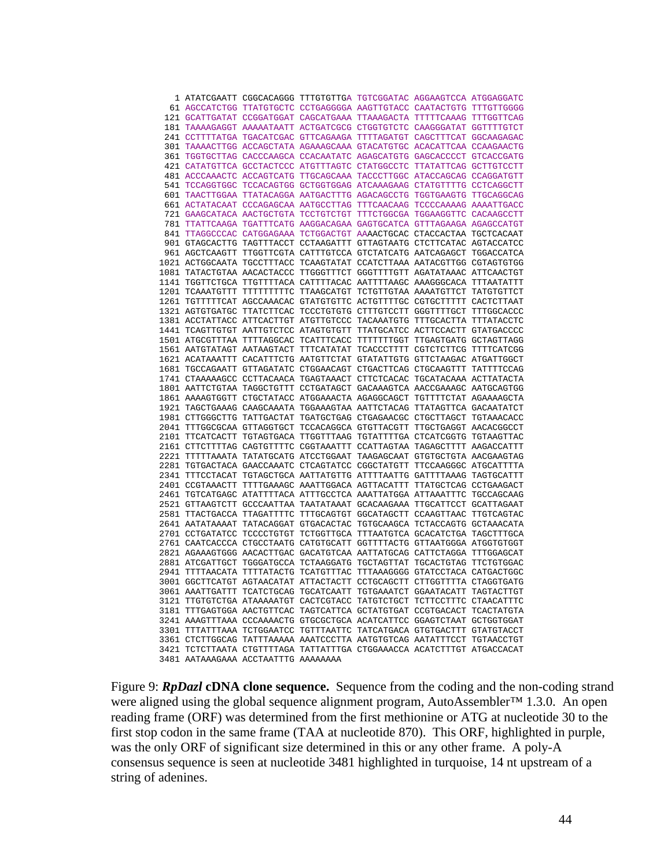| 1 ATATCGAATT CGGCACAGGG TTTGTGTTGA TGTCGGATAC AGGAAGTCCA ATGGAGGATC    |  |  |  |
|------------------------------------------------------------------------|--|--|--|
|                                                                        |  |  |  |
| 61 AGCCATCTGG TTATGTGCTC CCTGAGGGGA AAGTTGTACC CAATACTGTG TTTGTTGGGG   |  |  |  |
| 121 GCATTGATAT CCGGATGGAT CAGCATGAAA TTAAAGACTA TTTTTCAAAG TTTGGTTCAG  |  |  |  |
| 181 TAAAAGAGGT AAAAATAATT ACTGATCGCG CTGGTGTCTC CAAGGGATAT GGTTTTGTCT  |  |  |  |
| 241 CCTTTTATGA TGACATCGAC GTTCAGAAGA TTTTAGATGT CAGCTTTCAT GGCAAGAGAC  |  |  |  |
| 301 TAAAACTTGG ACCAGCTATA AGAAAGCAAA GTACATGTGC ACACATTCAA CCAAGAACTG  |  |  |  |
| 361 TGGTGCTTAG CACCCAAGCA CCACAATATC AGAGCATGTG GAGCACCCCT GTCACCGATG  |  |  |  |
| 421 CATATGTTCA GCCTACTCCC ATGTTTAGTC CTATGGCCTC TTATATTCAG GCTTGTCCTT  |  |  |  |
| 481 ACCCAAACTC ACCAGTCATG TTGCAGCAAA TACCCTTGGC ATACCAGCAG CCAGGATGTT  |  |  |  |
| 541 TCCAGGTGGC TCCACAGTGG GCTGGTGGAG ATCAAAGAAG CTATGTTTTG CCTCAGGCTT  |  |  |  |
| 601 TAACTTGGAA TTATACAGGA AATGACTTTG AGACAGCCTG TGGTGAAGTG TTGCAGGCAG  |  |  |  |
| 661 ACTATACAAT CCCAGAGCAA AATGCCTTAG TTTCAACAAG TCCCCAAAAG AAAATTGACC  |  |  |  |
| 721 GAAGCATACA AACTGCTGTA TCCTGTCTGT TTTCTGGCGA TGGAAGGTTC CACAAGCCTT  |  |  |  |
| 781 TTATTCAAGA TGATTTCATG AAGGACAGAA GAGTGCATCA GTTTAGAAGA AGAGCCATGT  |  |  |  |
| 841 TTAGGCCCAC CATGGAGAAA TCTGGACTGT AAAACTGCAC CTACCACTAA TGCTCACAAT  |  |  |  |
| 901 GTAGCACTTG TAGTTTACCT CCTAAGATTT GTTAGTAATG CTCTTCATAC AGTACCATCC  |  |  |  |
| 961 AGCTCAAGTT TTGGTTCGTA CATTTGTCCA GTCTATCATG AATCAGAGCT TGGACCATCA  |  |  |  |
| 1021 ACTGGCAATA TGCCTTTACC TCAAGTATAT CCATCTTAAA AATACGTTGG CGTAGTGTGG |  |  |  |
| 1081 TATACTGTAA AACACTACCC TTGGGTTTCT GGGTTTTGTT AGATATAAAC ATTCAACTGT |  |  |  |
| 1141 TGGTTCTGCA TTGTTTTACA CATTTTACAC AATTTTAAGC AAAGGGCACA TTTAATATTT |  |  |  |
| 1201 TCAAATGTTT TTTTTTTTTC TTAAGCATGT TCTGTTGTAA AAAATGTTCT TATGTGTTCT |  |  |  |
| 1261 TGTTTTTCAT AGCCAAACAC GTATGTGTTC ACTGTTTTGC CGTGCTTTTT CACTCTTAAT |  |  |  |
|                                                                        |  |  |  |
| 1321 AGTGTGATGC TTATCTTCAC TCCCTGTGTG CTTTGTCCTT GGGTTTTGCT TTTGGCACCC |  |  |  |
| 1381 ACCTATTACC ATTCACTTGT ATGTTGTCCC TACAAATGTG TTTGCACTTA TTTATACCTC |  |  |  |
| 1441 TCAGTTGTGT AATTGTCTCC ATAGTGTGTT TTATGCATCC ACTTCCACTT GTATGACCCC |  |  |  |
| 1501 ATGCGTTTAA TTTTAGGCAC TCATTTCACC TTTTTTTGGT TTGAGTGATG GCTAGTTAGG |  |  |  |
| 1561 AATGTATAGT AATAAGTACT TTTCATATAT TCACCCTTTT CGTCTCTTCG TTTTCATCGG |  |  |  |
| 1621 ACATAAATTT CACATTTCTG AATGTTCTAT GTATATTGTG GTTCTAAGAC ATGATTGGCT |  |  |  |
| 1681 TGCCAGAATT GTTAGATATC CTGGAACAGT CTGACTTCAG CTGCAAGTTT TATTTTCCAG |  |  |  |
| 1741 CTAAAAAGCC CCTTACAACA TGAGTAAACT CTTCTCACAC TGCATACAAA ACTTATACTA |  |  |  |
| 1801 AATTCTGTAA TAGGCTGTTT CCTGATAGCT GACAAAGTCA AACCGAAAGC AATGCAGTGG |  |  |  |
| 1861 AAAAGTGGTT CTGCTATACC ATGGAAACTA AGAGGCAGCT TGTTTTCTAT AGAAAAGCTA |  |  |  |
| 1921 TAGCTGAAAG CAAGCAAATA TGGAAAGTAA AATTCTACAG TTATAGTTCA GACAATATCT |  |  |  |
| 1981 CTTGGGCTTG TATTGACTAT TGATGCTGAG CTGAGAACGC CTGCTTAGCT TGTAAACACC |  |  |  |
| 2041 TTTGGCGCAA GTTAGGTGCT TCCACAGGCA GTGTTACGTT TTGCTGAGGT AACACGGCCT |  |  |  |
| 2101 TTCATCACTT TGTAGTGACA TTGGTTTAAG TGTATTTTGA CTCATCGGTG TGTAAGTTAC |  |  |  |
| 2161 CTTCTTTTAG CAGTGTTTTC CGGTAAATTT CCATTAGTAA TAGAGCTTTT AAGACCATTT |  |  |  |
| 2221 TTTTTAAATA TATATGCATG ATCCTGGAAT TAAGAGCAAT GTGTGCTGTA AACGAAGTAG |  |  |  |
| 2281 TGTGACTACA GAACCAAATC CTCAGTATCC CGGCTATGTT TTCCAAGGGC ATGCATTTTA |  |  |  |
| 2341 TTTCCTACAT TGTAGCTGCA AATTATGTTG ATTTTAATTG GATTTTAAAG TAGTGCATTT |  |  |  |
| 2401 CCGTAAACTT TTTTGAAAGC AAATTGGACA AGTTACATTT TTATGCTCAG CCTGAAGACT |  |  |  |
| 2461 TGTCATGAGC ATATTTTACA ATTTGCCTCA AAATTATGGA ATTAAATTTC TGCCAGCAAG |  |  |  |
| 2521 GTTAAGTCTT GCCCAATTAA TAATATAAAT GCACAAGAAA TTGCATTCCT GCATTAGAAT |  |  |  |
| 2581 TTACTGACCA TTAGATTTTC TTTGCAGTGT GGCATAGCTT CCAAGTTAAC TTGTCAGTAC |  |  |  |
| 2641 AATATAAAAT TATACAGGAT GTGACACTAC TGTGCAAGCA TCTACCAGTG GCTAAACATA |  |  |  |
|                                                                        |  |  |  |
| 2701 CCTGATATCC TCCCCTGTGT TCTGGTTGCA TTTAATGTCA GCACATCTGA TAGCTTTGCA |  |  |  |
| 2761 CAATCACCCA CTGCCTAATG CATGTGCATT GGTTTTACTG GTTAATGGGA ATGGTGTGGT |  |  |  |
| 2821 AGAAAGTGGG AACACTTGAC GACATGTCAA AATTATGCAG CATTCTAGGA TTTGGAGCAT |  |  |  |
| 2881 ATCGATTGCT TGGGATGCCA TCTAAGGATG TGCTAGTTAT TGCACTGTAG TTCTGTGGAC |  |  |  |
| 2941 TTTTAACATA TTTTATACTG TCATGTTTAC TTTAAAGGGG GTATCCTACA CATGACTGGC |  |  |  |
| 3001 GGCTTCATGT AGTAACATAT ATTACTACTT CCTGCAGCTT CTTGGTTTTA CTAGGTGATG |  |  |  |
| 3061 AAATTGATTT TCATCTGCAG TGCATCAATT TGTGAAATCT GGAATACATT TAGTACTTGT |  |  |  |
| 3121 TTGTGTCTGA ATAAAAATGT CACTCGTACC TATGTCTGCT TCTTCCTTTC CTAACATTTC |  |  |  |
| 3181 TTTGAGTGGA AACTGTTCAC TAGTCATTCA GCTATGTGAT CCGTGACACT TCACTATGTA |  |  |  |
| 3241 AAAGTTTAAA CCCAAAACTG GTGCGCTGCA ACATCATTCC GGAGTCTAAT GCTGGTGGAT |  |  |  |
| 3301 TTTATTTAAA TCTGGAATCC TGTTTAATTC TATCATGACA GTGTGACTTT GTATGTACCT |  |  |  |
| 3361 CTCTTGGCAG TATTTAAAAA AAATCCCTTA AATGTGTCAG AATATTTCCT TGTAACCTGT |  |  |  |
| 3421 TCTCTTAATA CTGTTTTAGA TATTATTTGA CTGGAAACCA ACATCTTTGT ATGACCACAT |  |  |  |
| 3481 AATAAAGAAA ACCTAATTTG AAAAAAAA                                    |  |  |  |

Figure 9: *RpDazl* **cDNA clone sequence.** Sequence from the coding and the non-coding strand were aligned using the global sequence alignment program, AutoAssembler<sup>™</sup> 1.3.0. An open reading frame (ORF) was determined from the first methionine or ATG at nucleotide 30 to the first stop codon in the same frame (TAA at nucleotide 870). This ORF, highlighted in purple, was the only ORF of significant size determined in this or any other frame. A poly-A consensus sequence is seen at nucleotide 3481 highlighted in turquoise, 14 nt upstream of a string of adenines.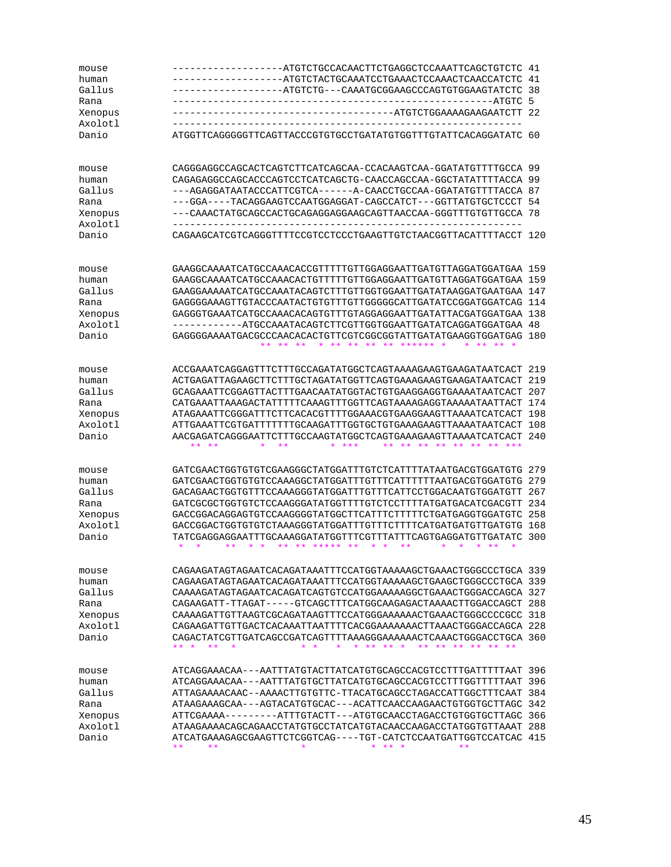| mouse   | --ATGTCTGCCACAACTTCTGAGGCTCCAAATTCAGCTGTCTC                                                                                                                                                                                           | 41  |
|---------|---------------------------------------------------------------------------------------------------------------------------------------------------------------------------------------------------------------------------------------|-----|
| human   | -ATGTCTACTGCAAATCCTGAAACTCCAAACTCAACCATCTC                                                                                                                                                                                            | 41  |
| Gallus  | -ATGTCTG---CAAATGCGGAAGCCCAGTGTGGAAGTATCTC                                                                                                                                                                                            | 38  |
| Rana    | ---ATGTC<br>----------------------                                                                                                                                                                                                    | 5   |
| Xenopus | ---ATGTCTGGAAAAGAAGAATCTT 22                                                                                                                                                                                                          |     |
|         |                                                                                                                                                                                                                                       |     |
| Axolotl |                                                                                                                                                                                                                                       |     |
| Danio   | ATGGTTCAGGGGGTTCAGTTACCCGTGTGCCTGATATGTGGTTTGTATTCACAGGATATC 60                                                                                                                                                                       |     |
| mouse   | CAGGGAGGCCAGCACTCAGTCTTCATCAGCAA-CCACAAGTCAA-GGATATGTTTTGCCA 99                                                                                                                                                                       |     |
| human   | CAGAGAGGCCAGCACCCAGTCCTCATCAGCTG-CAACCAGCCAA-GGCTATATTTTACCA 99                                                                                                                                                                       |     |
| Gallus  | ---AGAGGATAATACCCATTCGTCA------A-CAACCTGCCAA-GGATATGTTTTACCA 87                                                                                                                                                                       |     |
| Rana    | ---GGA----TACAGGAAGTCCAATGGAGGAT-CAGCCATCT---GGTTATGTGCTCCCT 54                                                                                                                                                                       |     |
| Xenopus | ---CAAACTATGCAGCCACTGCAGAGGAGGAAGCAGTTAACCAA-GGGTTTGTGTTGCCA 78                                                                                                                                                                       |     |
| Axolotl |                                                                                                                                                                                                                                       |     |
| Danio   | CAGAAGCATCGTCAGGGTTTTCCGTCCTCCCTGAAGTTGTCTAACGGTTACATTTTACCT 120                                                                                                                                                                      |     |
|         |                                                                                                                                                                                                                                       |     |
| mouse   |                                                                                                                                                                                                                                       |     |
| human   |                                                                                                                                                                                                                                       | 159 |
| Gallus  |                                                                                                                                                                                                                                       | 147 |
| Rana    |                                                                                                                                                                                                                                       | 114 |
| Xenopus |                                                                                                                                                                                                                                       | 138 |
| Axolotl |                                                                                                                                                                                                                                       | 48  |
| Danio   | GAGGGGAAAATGACGCCCAACACACTGTTCGTCGGCGGTATTGATATGAAGGTGGATGAG                                                                                                                                                                          | 180 |
|         | $* *$                                                                                                                                                                                                                                 |     |
| mouse   | ACCGAAATCAGGAGTTTCTTTGCCAGATATGGCTCAGTAAAAGAAGTGAAGATAATCACT                                                                                                                                                                          | 219 |
| human   | ACTGAGATTAGAAGCTTCTTTGCTAGATATGGTTCAGTGAAAGAAGTGAAGATAATCACT                                                                                                                                                                          | 219 |
| Gallus  | GCAGAAATTCGGAGTTACTTTGAACAATATGGTACTGTGAAGGAGGTGAAAATAATCACT                                                                                                                                                                          | 207 |
| Rana    | CATGAAATTAAAGACTATTTTTCAAAGTTTGGTTCAGTAAAAGAGGTAAAAATAATTACT                                                                                                                                                                          | 174 |
| Xenopus |                                                                                                                                                                                                                                       | 198 |
| Axolotl | ATTGAAATTCGTGATTTTTTTGCAAGATTTGGTGCTGTGAAAGAAGTTAAAATAATCACT                                                                                                                                                                          | 108 |
| Danio   | AACGAGATCAGGGAATTCTTTGCCAAGTATGGCTCAGTGAAAGAAGTTAAAATCATCACT                                                                                                                                                                          | 240 |
|         | $* *$<br>** **<br>***<br>$***$                                                                                                                                                                                                        |     |
| mouse   | GATCGAACTGGTGTGTCGAAGGGCTATGGATTTGTCTCATTTTATAATGACGTGGATGTG                                                                                                                                                                          | 279 |
| human   | GATCGAACTGGTGTGTCCAAAGGCTATGGATTTGTTTCATTTTTTAATGACGTGGATGTG                                                                                                                                                                          | 279 |
| Gallus  | GACAGAACTGGTGTTTCCAAAGGGTATGGATTTGTTTCATTCCTGGACAATGTGGATGTT                                                                                                                                                                          | 267 |
| Rana    | GATCGCGCTGGTGTCTCCAAGGGATATGGTTTTGTCTCCTTTTATGATGACATCGACGTT                                                                                                                                                                          | 234 |
| Xenopus | GACCGGACAGGAGTGTCCAAGGGGTATGGCTTCATTTCTTTTTCTGATGAGGTGGATGTC                                                                                                                                                                          | 258 |
| Axolotl |                                                                                                                                                                                                                                       | 168 |
| Danio   | TATCGAGGAGGAATTTGCAAAGGATATGGTTTCGTTTATTTCAGTGAGGATGTTGATATC<br>$\star$<br>$\star$<br>$***$<br>$\star$<br>$\star$<br>$***$<br>$***$<br>*****<br>$***$<br>$\star$ $\star$<br>$***$<br>$\star$<br>$\star$<br>$\ast$<br>$***$<br>$\star$ | 300 |
| mouse   | CAGAAGATAGTAGAATCACAGATAAATTTCCATGGTAAAAAGCTGAAACTGGGCCCTGCA 339                                                                                                                                                                      |     |
| human   | CAGAAGATAGTAGAATCACAGATAAATTTCCATGGTAAAAAGCTGAAGCTGGGCCCTGCA 339                                                                                                                                                                      |     |
| Gallus  | CAAAAGATAGTAGAATCACAGATCAGTGTCCATGGAAAAAGGCTGAAACTGGGACCAGCA 327                                                                                                                                                                      |     |
| Rana    | CAGAAGATT-TTAGAT-----GTCAGCTTTCATGGCAAGAGACTAAAACTTGGACCAGCT 288                                                                                                                                                                      |     |
|         | CAAAAGATTGTTAAGTCGCAGATAAGTTTCCATGGGAAAAAACTGAAACTGGGCCCCCCC 318                                                                                                                                                                      |     |
| Xenopus |                                                                                                                                                                                                                                       |     |
| Axolotl | CAGAAGATTGTTGACTCACAAATTAATTTTCACGGAAAAAAACTTAAACTGGGACCAGCA 228                                                                                                                                                                      |     |
| Danio   | CAGACTATCGTTGATCAGCCGATCAGTTTTAAAGGGAAAAAACTCAAACTGGGACCTGCA 360<br>$***$<br>$***$<br>$***$<br>$***$<br>$***$<br>$***$<br>** *<br>$***$<br>$***$<br>$\star$                                                                           |     |
| mouse   | ATCAGGAAACAA---AATTTATGTACTTATCATGTGCAGCCACGTCCTTTGATTTTTAAT 396                                                                                                                                                                      |     |
| human   | ATCAGGAAACAA---AATTTATGTGCTTATCATGTGCAGCCACGTCCTTTGGTTTTTAAT 396                                                                                                                                                                      |     |
| Gallus  | ATTAGAAAACAAC--AAAACTTGTGTTC-TTACATGCAGCCTAGACCATTGGCTTTCAAT                                                                                                                                                                          | 384 |
| Rana    | ATAAGAAAGCAA---AGTACATGTGCAC---ACATTCAACCAAGAACTGTGGTGCTTAGC 342                                                                                                                                                                      |     |
| Xenopus | ATTCGAAAA---------ATTTGTACTT---ATGTGCAACCTAGACCTGTGGTGCTTAGC 366                                                                                                                                                                      |     |
| Axolotl | ATAAGAAAACAGCAGAACCTATGTGCCTATCATGTACAACCAAGACCTATGGTGTTAAAT 288                                                                                                                                                                      |     |
| Danio   | ATCATGAAAGAGCGAAGTTCTCGGTCAG----TGT-CATCTCCAATGATTGGTCCATCAC 415                                                                                                                                                                      |     |
|         | $***$<br>$***$<br>* ** *<br>$***$                                                                                                                                                                                                     |     |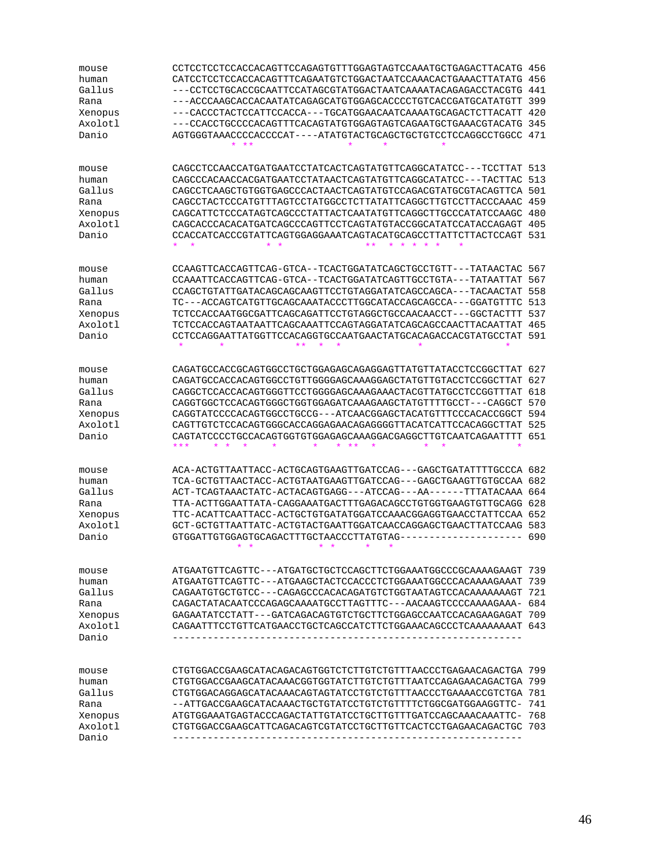| mouse   | CCTCCTCCTCCACCACAGTTCCAGAGTGTTTGGAGTAGTCCAAATGCTGAGACTTACATG 456 |      |
|---------|------------------------------------------------------------------|------|
| human   | CATCCTCCTCCACCACAGTTTCAGAATGTCTGGACTAATCCAAACACTGAAACTTATATG     | 456  |
| Gallus  | ---CCTCCTGCACCGCAATTCCATAGCGTATGGACTAATCAAAATACAGAGACCTACGTG     | 441  |
| Rana    | ---ACCCAAGCACCACAATATCAGAGCATGTGGAGCACCCCTGTCACCGATGCATATGTT     | 399  |
| Xenopus | ---CACCCTACTCCATTCCACCA---TGCATGGAACAATCAAAATGCAGACTCTTACATT 420 |      |
| Axolotl | ---CCACCTGCCCCACAGTTTCACAGTATGTGGAGTAGTCAGAATGCTGAAACGTACATG 345 |      |
| Danio   | AGTGGGTAAACCCCACCCCAT----ATATGTACTGCAGCTGCTGTCCTCCAGGCCTGGCC 471 |      |
|         | * **                                                             |      |
| mouse   | CAGCCTCCAACCATGATGAATCCTATCACTCAGTATGTTCAGGCATATCC---TCCTTAT 513 |      |
| human   | CAGCCCACAACCACGATGAATCCTATAACTCAGTATGTTCAGGCATATCC---TACTTAC     | 513  |
| Gallus  | CAGCCTCAAGCTGTGGTGAGCCCACTAACTCAGTATGTCCAGACGTATGCGTACAGTTCA 501 |      |
| Rana    | CAGCCTACTCCCATGTTTAGTCCTATGGCCTCTTATATTCAGGCTTGTCCTTACCCAAAC 459 |      |
| Xenopus | CAGCATTCTCCCATAGTCAGCCCTATTACTCAATATGTTCAGGCTTGCCCATATCCAAGC     | 480  |
| Axolotl | CAGCACCCACACATGATCAGCCCAGTTCCTCAGTATGTACCGGCATATCCATACCAGAGT     | 405  |
| Danio   | CCACCATCACCCGTATTCAGTGGAGGAAATCAGTACATGCAGCCTTATTCTTACTCCAGT 531 |      |
|         | $\star$<br>$\star$                                               |      |
| mouse   | CCAAGTTCACCAGTTCAG-GTCA--TCACTGGATATCAGCTGCCTGTT---TATAACTAC 567 |      |
| human   | CCAAATTCACCAGTTCAG-GTCA--TCACTGGATATCAGTTGCCTGTA---TATAATTAT     | 567  |
| Gallus  |                                                                  | 558  |
| Rana    | TC---ACCAGTCATGTTGCAGCAAATACCCTTGGCATACCAGCAGCCA---GGATGTTTC 513 |      |
| Xenopus | TCTCCACCAATGGCGATTCAGCAGATTCCTGTAGGCTGCCAACAACCT---GGCTACTTT     | 537  |
| Axolotl | TCTCCACCAGTAATAATTCAGCAAATTCCAGTAGGATATCAGCAGCCAACTTACAATTAT     | 465  |
| Danio   | CCTCCAGGAATTATGGTTCCACAGGTGCCAATGAACTATGCACAGACCACGTATGCCTAT 591 |      |
|         |                                                                  |      |
| mouse   | CAGATGCCACCGCAGTGGCCTGCTGGAGAGCAGAGGAGTTATGTTATACCTCCGGCTTAT 627 |      |
| human   | CAGATGCCACCACAGTGGCCTGTTGGGGAGCAAAGGAGCTATGTTGTACCTCCGGCTTAT 627 |      |
| Gallus  | CAGGCTCCACCACAGTGGGTTCCTGGGGAGCAAAGAAACTACGTTATGCCTCCGGTTTAT     | 618  |
| Rana    | CAGGTGGCTCCACAGTGGGCTGGTGGAGATCAAAGAAGCTATGTTTTGCCT---CAGGCT     | 570  |
| Xenopus | CAGGTATCCCCACAGTGGCCTGCCG---ATCAACGGAGCTACATGTTTCCCACACCGGCT 594 |      |
| Axolotl | CAGTTGTCTCCACAGTGGGCACCAGGAGAACAGAGGGGTTACATCATTCCACAGGCTTAT     | -525 |
| Danio   | CAGTATCCCCTGCCACAGTGGTGTGGAGAGCAAAGGACGAGGCTTGTCAATCAGAATTTT     | 651  |
|         | ***<br>¥<br>$\star$<br>$\star$<br>$\star$<br>$* *$<br>$\star$    |      |
| mouse   | ACA-ACTGTTAATTACC-ACTGCAGTGAAGTTGATCCAG---GAGCTGATATTTTGCCCA 682 |      |
| human   | TCA-GCTGTTAACTACC-ACTGTAATGAAGTTGATCCAG---GAGCTGAAGTTGTGCCAA 682 |      |
| Gallus  | ACT-TCAGTAAACTATC-ACTACAGTGAGG---ATCCAG---AA------TTTATACAAA 664 |      |
| Rana    | TTA-ACTTGGAATTATA-CAGGAAATGACTTTGAGACAGCCTGTGGTGAAGTGTTGCAGG 628 |      |
| Xenopus | TTC-ACATTCAATTACC-ACTGCTGTGATATGGATCCAAACGGAGGTGAACCTATTCCAA 652 |      |
| Axolotl | GCT-GCTGTTAATTATC-ACTGTACTGAATTGGATCAACCAGGAGCTGAACTTATCCAAG 583 |      |
| Danio   | GTGGATTGTGGAGTGCAGACTTTGCTAACCCTTATGTAG-                         | 690  |
|         | $\star$<br>$\star$<br>$\star$<br>$\star$<br>$\star$<br>$\star$   |      |
| mouse   | ATGAATGTTCAGTTC---ATGATGCTGCTCCAGCTTCTGGAAATGGCCCGCAAAAGAAGT 739 |      |
| human   | ATGAATGTTCAGTTC---ATGAAGCTACTCCACCCTCTGGAAATGGCCCACAAAAGAAAT 739 |      |
| Gallus  | CAGAATGTGCTGTCC---CAGAGCCCACACAGATGTCTGGTAATAGTCCACAAAAAAAGT 721 |      |
| Rana    | CAGACTATACAATCCCAGAGCAAAATGCCTTAGTTTC---AACAAGTCCCCAAAAGAAA- 684 |      |
| Xenopus | GAGAATATCCTATT---GATCAGACAGTGTCTGCTTCTGGAGCCAATCCACAGAAGAGAT     | 709  |
| Axolotl |                                                                  |      |
| Danio   |                                                                  |      |
|         |                                                                  |      |
| mouse   | CTGTGGACCGAAGCATACAGACAGTGGTCTCTTGTCTGTTTAACCCTGAGAACAGACTGA 799 |      |
| human   | CTGTGGACCGAAGCATACAAACGGTGGTATCTTGTCTGTTTAATCCAGAGAACAGACTGA 799 |      |
| Gallus  | CTGTGGACAGGAGCATACAAACAGTAGTATCCTGTCTGTTTAACCCTGAAAACCGTCTGA 781 |      |
| Rana    | --ATTGACCGAAGCATACAAACTGCTGTATCCTGTCTGTTTTCTGGCGATGGAAGGTTC- 741 |      |
| Xenopus |                                                                  |      |
| Axolotl | CTGTGGACCGAAGCATTCAGACAGTCGTATCCTGCTTGTTCACTCCTGAGAACAGACTGC 703 |      |
| Danio   |                                                                  |      |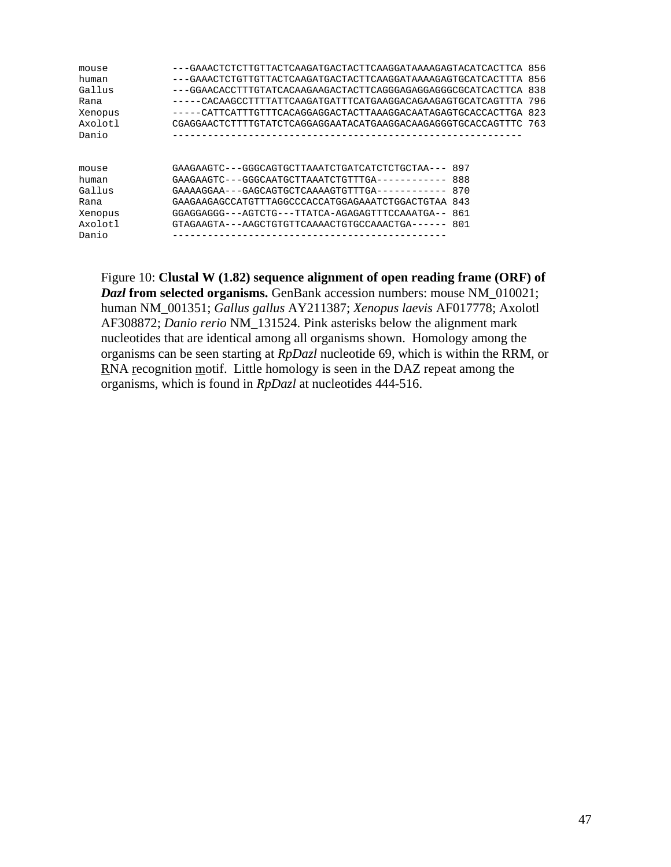| mouse   | ---GAAACTCTCTTGTTACTCAAGATGACTACTTCAAGGATAAAAGAGTACATCACTTCA 856  |     |     |
|---------|-------------------------------------------------------------------|-----|-----|
| human   | ---GAAACTCTGTTGTTACTCAAGATGACTACTTCAAGGATAAAAGAGTGCATCACTTTA      |     | 856 |
| Gallus  | ---GGAACACCTTTGTATCACAAGAAGACTACTTCAGGGAGAGGAGGCGCATCACTTCA       |     | 838 |
| Rana    | -----CACAAGCCTTTTATTCAAGATGATTTCATGAAGGACAGAAGAGTGCATCAGTTTA      |     | 796 |
| Xenopus | -----CATTCATTTGTTTCACAGGAGGACTACTTAAAGGACAATAGAGTGCACCACTTGA      |     | 823 |
| Axolotl | CGAGGAACTCTTTTGTATCTCAGGAGGAATACATGAAGGACAAGAGGGTGCACCAGTTTC 763  |     |     |
| Danio   |                                                                   |     |     |
|         |                                                                   |     |     |
|         |                                                                   |     |     |
| mouse   | GAAGAAGTC---GGGCAGTGCTTAAATCTGATCATCTCTGCTAA--- 897               |     |     |
| human   |                                                                   | 888 |     |
| Gallus  | GAAAAGGAA - - - GAGCAGTGCTCAAAAGTGTTTGA - - - - - - - - - - - - - | 870 |     |
| Rana    | GAAGAAGAGCCATGTTTAGGCCCACCATGGAGAAATCTGGACTGTAA 843               |     |     |
| Xenopus | GGAGGAGGG---AGTCTG---TTATCA-AGAGAGTTTCCAAATGA-- 861               |     |     |
| Axolotl | GTAGAAGTA---AAGCTGTGTTCAAAACTGTGCCAAACTGA------ 801               |     |     |
| Danio   |                                                                   |     |     |

Figure 10: **Clustal W (1.82) sequence alignment of open reading frame (ORF) of** *Dazl* **from selected organisms.** GenBank accession numbers: mouse NM\_010021; human NM\_001351; *Gallus gallus* AY211387; *Xenopus laevis* AF017778; Axolotl AF308872; *Danio rerio* NM\_131524. Pink asterisks below the alignment mark nucleotides that are identical among all organisms shown. Homology among the organisms can be seen starting at *RpDazl* nucleotide 69, which is within the RRM, or RNA recognition motif. Little homology is seen in the DAZ repeat among the organisms, which is found in *RpDazl* at nucleotides 444-516.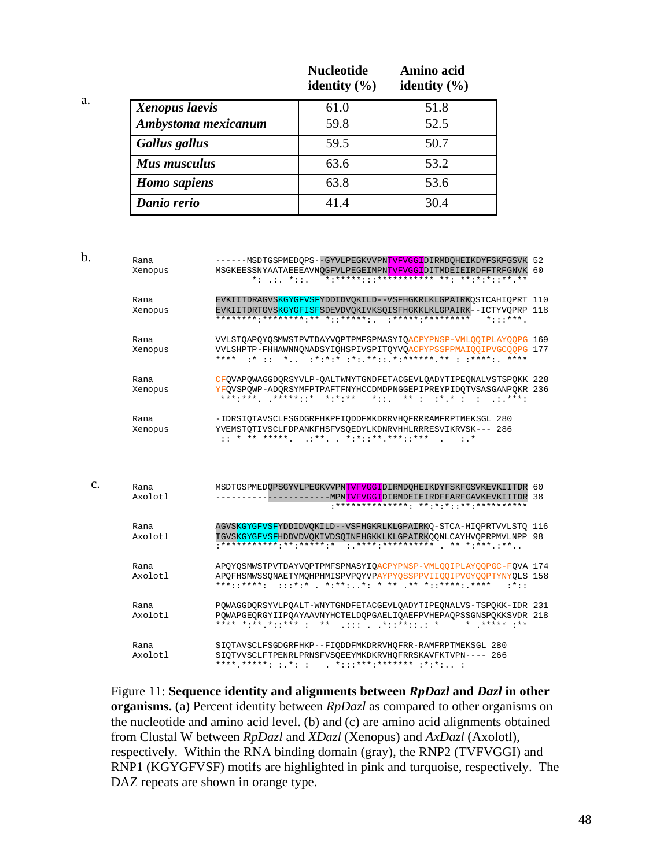|                     | <b>Nucleotide</b><br>identity $(\% )$ | Amino acid<br>identity $(\% )$ |
|---------------------|---------------------------------------|--------------------------------|
| Xenopus laevis      | 61.0                                  | 51.8                           |
| Ambystoma mexicanum | 59.8                                  | 52.5                           |
| Gallus gallus       | 59.5                                  | 50.7                           |
| Mus musculus        | 63.6                                  | 53.2                           |
| <b>Homo</b> sapiens | 63.8                                  | 53.6                           |
| Danio rerio         | 41.4                                  | 30.4                           |

a.

| $b$         | Rana<br>Xenopus | ------MSDTGSPMEDQPS--GYVLPEGKVVPNTVFVGGIDIRMDQHEIKDYFSKFGSVK 52<br>MSGKEESSNYAATAEEEAVNQGFVLPEGEIMPNTVFVGGIDITMDEIEIRDFFTRFGNVK 60<br>*:*****:::*********** **: **:*::** **<br>$* :  * : :$           |  |
|-------------|-----------------|-------------------------------------------------------------------------------------------------------------------------------------------------------------------------------------------------------|--|
|             | Rana<br>Xenopus | EVKIITDRAGVSKGYGFVSFYDDIDVOKILD--VSFHGKRLKLGPAIRKOSTCAHIOPRT 110<br>EVKIITDRTGVSKGYGFISFSDEVDVOKIVKSOISFHGKKLKLGPAIRK--ICTYVOPRP 118<br>$*$ :::***                                                    |  |
|             | Rana<br>Xenopus | VVLSTQAPQYQSMWSTPVTDAYVQPTPMFSPMASYIQACPYPNSP-VMLQQIPLAYQQPG 169<br>VVLSHPTP-FHHAWNNONADSYIOHSPIVSPITOYVOACPYPSSPPMAIOOIPVGCOOPG 177<br>* * * *                                                       |  |
|             | Rana<br>Xenopus | CFQVAPQWAGGDQRSYVLP-QALTWNYTGNDFETACGEVLQADYTIPEQNALVSTSPQKK 228<br>YFOVSPOWP-ADORSYMFPTPAFTFNYHCCDMDPNGGEPIPREYPIDOTVSASGANPOKR 236<br>***:*** *****::* *:*:**<br>$*$ :: $**$ : $**$ : : : : : ***:  |  |
|             | Rana<br>Xenopus | -IDRSIQTAVSCLFSGDGRFHKPFIQDDFMKDRRVHQFRRRAMFRPTMEKSGL 280<br>YVEMSTOTIVSCLFDPANKFHSFVSOEDYLKDNRVHHLRRRESVIKRVSK--- 286<br>$:$ *                                                                       |  |
| $C_{\star}$ | Rana<br>Axolotl | MSDTGSPMEDOPSGYVLPEGKVVPNTVFVGGIDIRMDOHEIKDYFSKFGSVKEVKIITDR 60<br>----------MPNTVFVGGIDIRMDEIEIRDFFARFGAVKEVKIITDR 38                                                                                |  |
|             | Rana<br>Axolotl | AGVSKGYGFVSFYDDIDVOKILD--VSFHGKRLKLGPAIRKO-STCA-HIOPRTVVLSTO 116<br>TGVSKGYGFVSFHDDVDVOKIVDSOINFHGKKLKLGPAIRKOONLCAYHVOPRPMVLNPP 98                                                                   |  |
|             | Rana<br>Axolotl | APOYOSMWSTPVTDAYVOPTPMFSPMASYIOACPYPNSP-VMLOOIPLAYOOPGC-FOVA 174<br>APQFHSMWSSQNAETYMQHPHMISPVPQYVPAYPYQSSPPVIIQQIPVGYOOPTYNYOLS 158<br>***::****: :::*:* *:**: *: * ** ** *::****: ****<br>$: * : :$ |  |
|             | Rana<br>Axolotl | POWAGGDORSYVLPOALT-WNYTGNDFETACGEVLOADYTIPEONALVS-TSPOKK-IDR 231<br>POWAPGEORGYIIPOAYAAVNYHCTELDOPGAELIOAEFPVHEPAOPSSGNSPOKKSVDR 218<br>**** *:** *::*** : ** :::*::**::.: *<br>$*$ ***** :**         |  |
|             | Rana<br>Axolotl | SIQTAVSCLFSGDGRFHKP--FIQDDFMKDRRVHQFRR-RAMFRPTMEKSGL 280<br>SIOTVVSCLFTPENRLPRNSFVSOEEYMKDKRVHOFRRSKAVFKTVPN---- 266                                                                                  |  |

Figure 11: **Sequence identity and alignments between** *RpDazl* **and** *Dazl* **in other organisms.** (a) Percent identity between *RpDazl* as compared to other organisms on the nucleotide and amino acid level. (b) and (c) are amino acid alignments obtained from Clustal W between *RpDazl* and *XDazl* (Xenopus) and *AxDazl* (Axolotl)*,* respectively. Within the RNA binding domain (gray), the RNP2 (TVFVGGI) and RNP1 (KGYGFVSF) motifs are highlighted in pink and turquoise, respectively. The DAZ repeats are shown in orange type.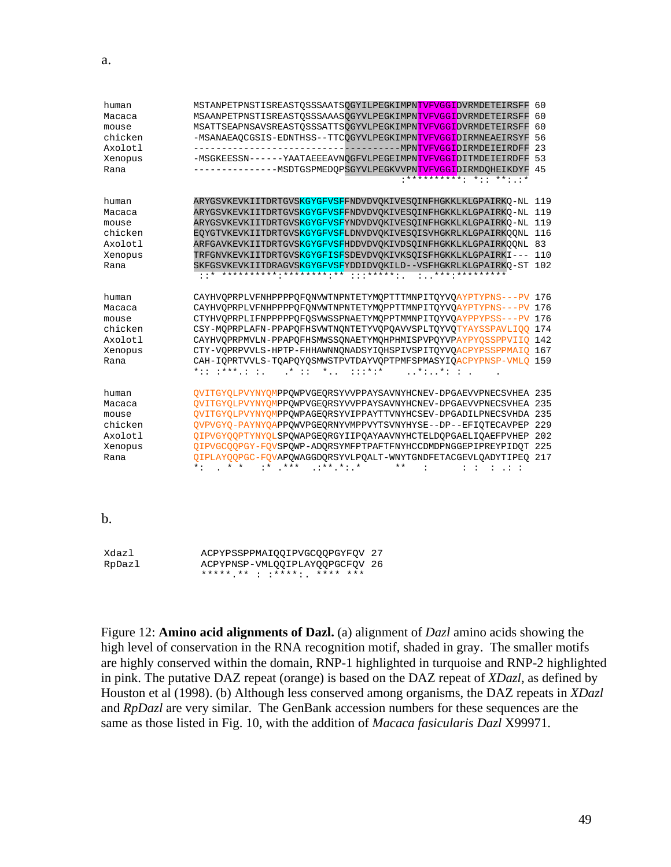| human   | MSTANPETPNSTISREASTOSSSAATSOGYILPEGKIMPNTVFVGGIDVRMDETEIRSFF                                    | 60  |
|---------|-------------------------------------------------------------------------------------------------|-----|
| Macaca  | MSAANPETPNSTISREASTQSSSAAASQGYVLPEGKIMPNTVFVGGIDVRMDETEIRSFF                                    | 60  |
| mouse   | MSATTSEAPNSAVSREASTOSSSATTSOGYVLPEGKIMPNTVFVGGIDVRMDETEIRSFF                                    | 60  |
| chicken | -MSANAEAOCGSIS-EDNTHSS--TTCOGYVLPEGKIMPNTVFVGGIDIRMNEAEIRSYF                                    | 56  |
| Axolotl | ---------------------------- <b>--</b> --<br>-MPNTVFVGGIDIRMDEIEIRDFF                           | 23  |
| Xenopus | -MSGKEESSN------YAATAEEEAVNOGFVLPEGEIMPNTVFVGGIDITMDEIEIRDFF                                    | 53  |
| Rana    | -----------------MSDTGSPMEDOPSGYVLPEGKVVPNTVFVGGIDIRMDOHEIKDYF                                  | 45  |
|         | ************ *:: **: :*                                                                         |     |
| human   | ARYGSVKEVKIITDRTGVSKGYGFVSFFNDVDVQKIVESQINFHGKKLKLGPAIRKQ-NL 119                                |     |
| Macaca  | ARYGSVKEVKIITDRTGVSKGYGFVSFFNDVDVOKIVESOINFHGKKLKLGPAIRKO-NL 119                                |     |
| mouse   | ARYGSVKEVKIITDRTGVSKGYGFVSFYNDVDVQKIVESQINFHGKKLKLGPAIRKQ-NL 119                                |     |
| chicken | EOYGTVKEVKIITDRTGVSKGYGFVSFLDNVDVOKIVESOISVHGKRLKLGPAIRKOONL 116                                |     |
| Axolotl | ARFGAVKEVKIITDRTGVSKGYGFVSFHDDVDVOKIVDSOINFHGKKLKLGPAIRKOONL 83                                 |     |
| Xenopus | TRFGNVKEVKIITDRTGVSKGYGFISFSDEVDVOKIVKSOISFHGKKLKLGPAIRKI--- 110                                |     |
| Rana    | SKFGSVKEVKIITDRAGVSKGYGFVSFYDDIDVQKILD--VSFHGKRLKLGPAIRKO-ST 102                                |     |
|         |                                                                                                 |     |
| human   | CAYHVOPRPLVFNHPPPPOFONVWTNPNTETYMOPTTTMNPITOYVOAYPTYPNS---PV 176                                |     |
| Macaca  | CAYHVQPRPLVFNHPPPPQFQNVWTNPNTETYMQPPTTMNPITQYVQAYPTYPNS---PV 176                                |     |
| mouse   | CTYHVOPRPLIFNPPPPPOFOSVWSSPNAETYMOPPTMMNPITOYVOAYPPYPSS---PV 176                                |     |
| chicken | CSY-MOPRPLAFN-PPAPOFHSVWTNONTETYVOPOAVVSPLTOYVOTYAYSSPAVLIOO 174                                |     |
| Axolotl | CAYHVOPRPMVLN-PPAPOFHSMWSSONAETYMOHPHMISPVPOYVPAYPYOSSPPVIIO 142                                |     |
| Xenopus | CTY-VQPRPVVLS-HPTP-FHHAWNNQNADSYIQHSPIVSPITQYVQACPYPSSPPMAIQ 167                                |     |
| Rana    | CAH-IOPRTVVLS-TOAPOYOSMWSTPVTDAYVOPTPMFSPMASYIOACPYPNSP-VMLO 159                                |     |
|         | $*$ , :::*:*<br>$\ldots$ *: $\ldots$ *: :<br>$*$ : : : * * * . : :<br>$\star$ : :               |     |
| human   | QVITGYQLPVYNYQMPPQWPVGEQRSYVVPPAYSAVNYHCNEV-DPGAEVVPNECSVHEA 235                                |     |
| Macaca  | OVITGYOLPVYNYOMPPOWPVGEORSYVVPPAYSAVNYHCNEV-DPGAEVVPNECSVHEA 235                                |     |
| mouse   | OVITGYOLPVYNYOMPPOWPAGEORSYVIPPAYTTVNYHCSEV-DPGADILPNECSVHDA 235                                |     |
| chicken | OVPVGYO-PAYNYOAPPOWVPGEORNYVMPPVYTSVNYHYSE--DP--EFIOTECAVPEP                                    | 229 |
| Axolotl | OIPVGYOOPTYNYOLSPOWAPGEORGYIIPOAYAAVNYHCTELDOPGAELIOAEFPVHEP                                    | 202 |
| Xenopus | OIPVGCOOPGY-FOVSPOWP-ADORSYMFPTPAFTFNYHCCDMDPNGGEPIPREYPIDOT 225                                |     |
| Rana    | OIPLAYOOPGC-FOVAPOWAGGDORSYVLPOALT-WNYTGNDFETACGEVLOADYTIPEO 217                                |     |
|         | $: *$ ***<br>$:***$ *: *<br>$***$<br>$\star$ :<br>$\star$ $\star$<br>$\ddot{\cdot}$<br>$\ldots$ |     |
|         |                                                                                                 |     |

b.

| Xdazl  | ACPYPSSPPMAIQQIPVGCQQPGYFQV 27 |  |
|--------|--------------------------------|--|
| RpDazl | ACPYPNSP-VMLQQIPLAYQQPGCFQV 26 |  |
|        | ***** ** : :****: **** ***     |  |

Figure 12: **Amino acid alignments of Dazl.** (a) alignment of *Dazl* amino acids showing the high level of conservation in the RNA recognition motif, shaded in gray. The smaller motifs are highly conserved within the domain, RNP-1 highlighted in turquoise and RNP-2 highlighted in pink. The putative DAZ repeat (orange) is based on the DAZ repeat of *XDazl*, as defined by Houston et al (1998). (b) Although less conserved among organisms, the DAZ repeats in *XDazl* and *RpDazl* are very similar. The GenBank accession numbers for these sequences are the same as those listed in Fig. 10, with the addition of *Macaca fasicularis Dazl* X99971.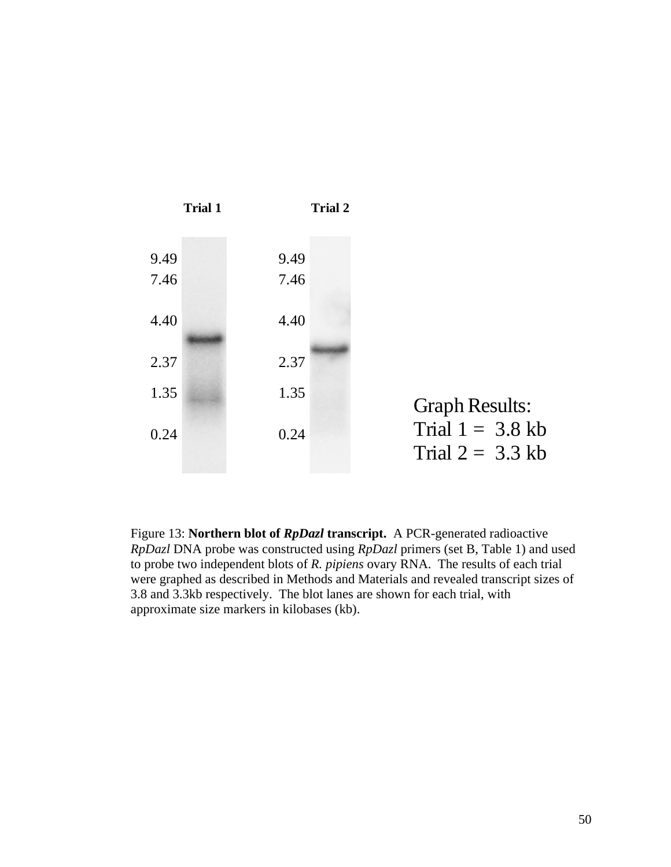

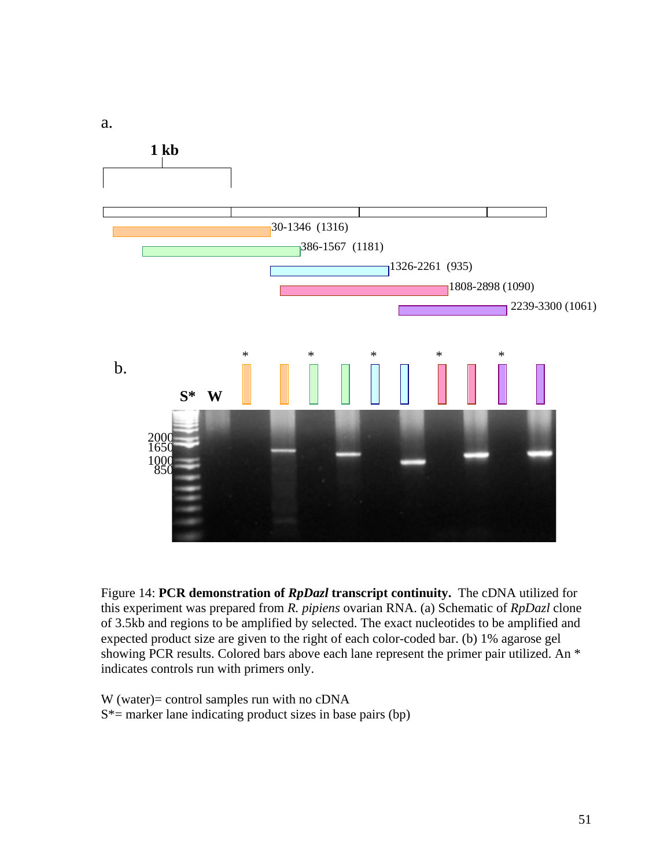

Figure 14: **PCR demonstration of** *RpDazl* **transcript continuity.** The cDNA utilized for this experiment was prepared from *R. pipiens* ovarian RNA. (a) Schematic of *RpDazl* clone of 3.5kb and regions to be amplified by selected. The exact nucleotides to be amplified and expected product size are given to the right of each color-coded bar. (b) 1% agarose gel showing PCR results. Colored bars above each lane represent the primer pair utilized. An \* indicates controls run with primers only.

W (water)= control samples run with no cDNA  $S^*$  = marker lane indicating product sizes in base pairs (bp)

a.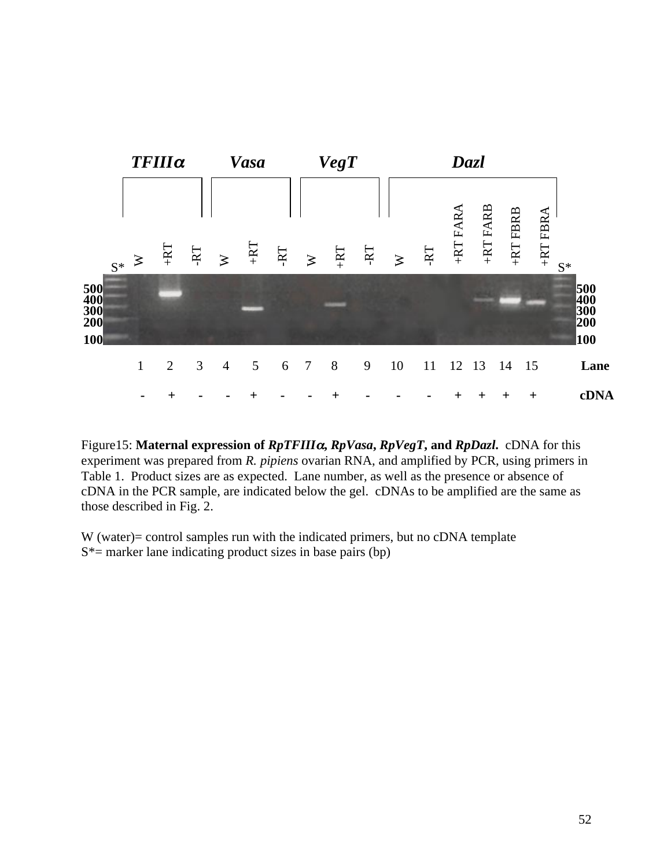



W (water)= control samples run with the indicated primers, but no cDNA template  $S^*$  = marker lane indicating product sizes in base pairs (bp)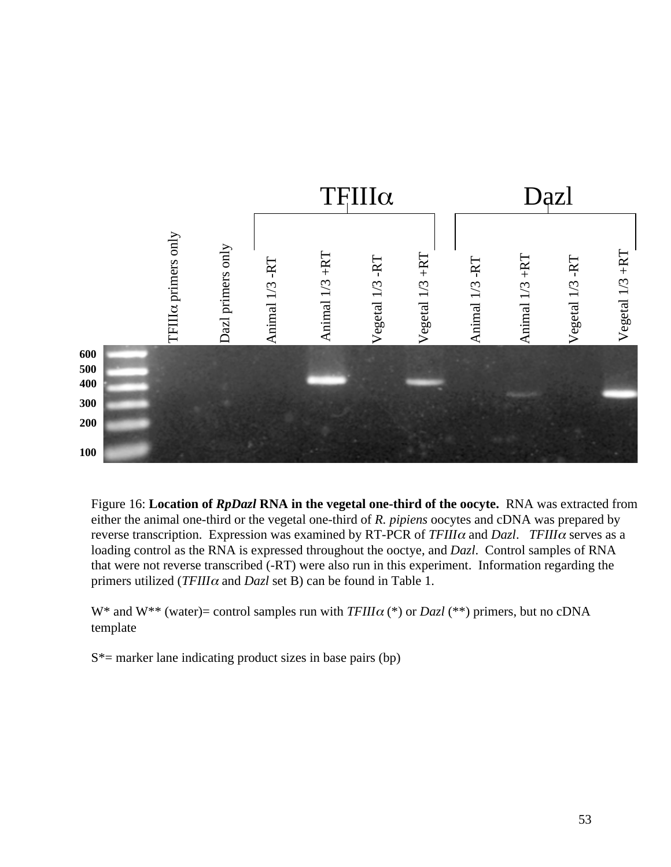

Figure 16: **Location of** *RpDazl* **RNA in the vegetal one-third of the oocyte.** RNA was extracted from either the animal one-third or the vegetal one-third of *R. pipiens* oocytes and cDNA was prepared by reverse transcription. Expression was examined by RT-PCR of *TFIII*<sup>α</sup> and *Dazl*. *TFIII*<sup>α</sup> serves as a loading control as the RNA is expressed throughout the ooctye, and *Dazl*. Control samples of RNA that were not reverse transcribed (-RT) were also run in this experiment. Information regarding the primers utilized (*TFIII*<sup>α</sup> and *Dazl* set B) can be found in Table 1.

W\* and W\*\* (water)= control samples run with *TFIII*<sup>α</sup> (\*) or *Dazl* (\*\*) primers, but no cDNA template

 $S^*$  = marker lane indicating product sizes in base pairs (bp)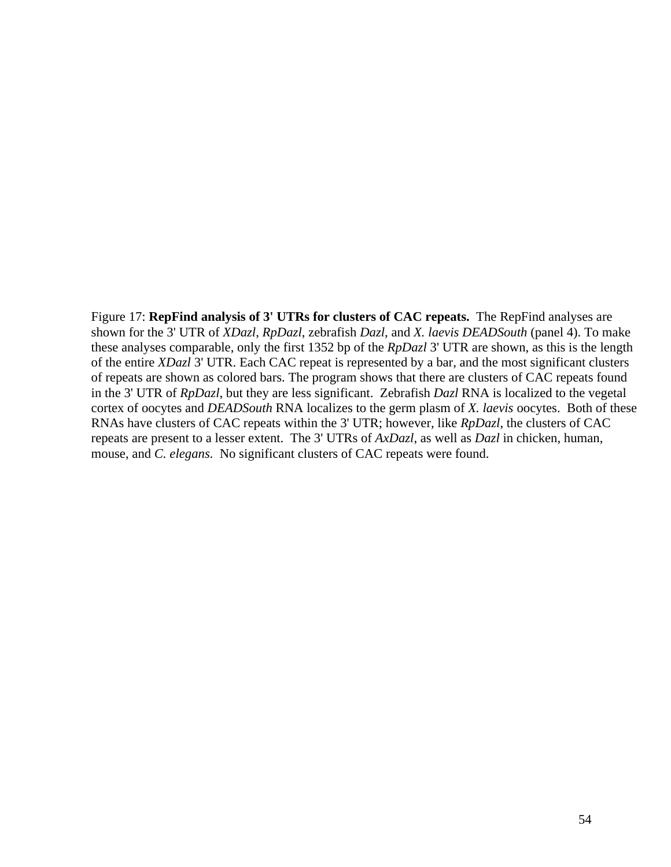Figure 17: **RepFind analysis of 3' UTRs for clusters of CAC repeats.** The RepFind analyses are shown for the 3' UTR of *XDazl*, *RpDazl*, zebrafish *Dazl*, and *X. laevis DEADSouth* (panel 4). To make these analyses comparable, only the first 1352 bp of the *RpDazl* 3' UTR are shown, as this is the length of the entire *XDazl* 3' UTR. Each CAC repeat is represented by a bar, and the most significant clusters of repeats are shown as colored bars. The program shows that there are clusters of CAC repeats found in the 3' UTR of *RpDazl*, but they are less significant. Zebrafish *Dazl* RNA is localized to the vegetal cortex of oocytes and *DEADSouth* RNA localizes to the germ plasm of *X. laevis* oocytes. Both of these RNAs have clusters of CAC repeats within the 3' UTR; however, like *RpDazl*, the clusters of CAC repeats are present to a lesser extent. The 3' UTRs of *AxDazl*, as well as *Dazl* in chicken, human, mouse, and *C. elegans*. No significant clusters of CAC repeats were found.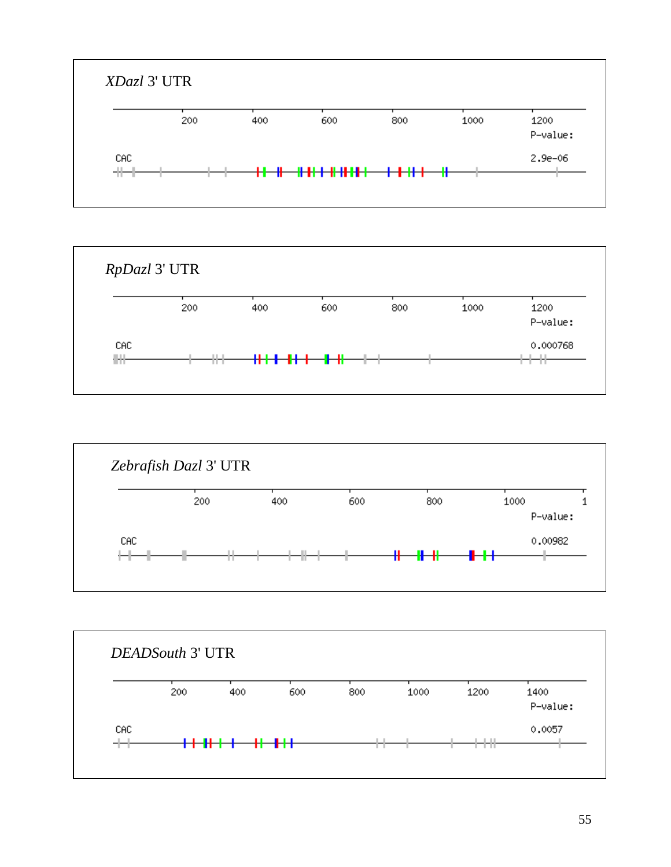





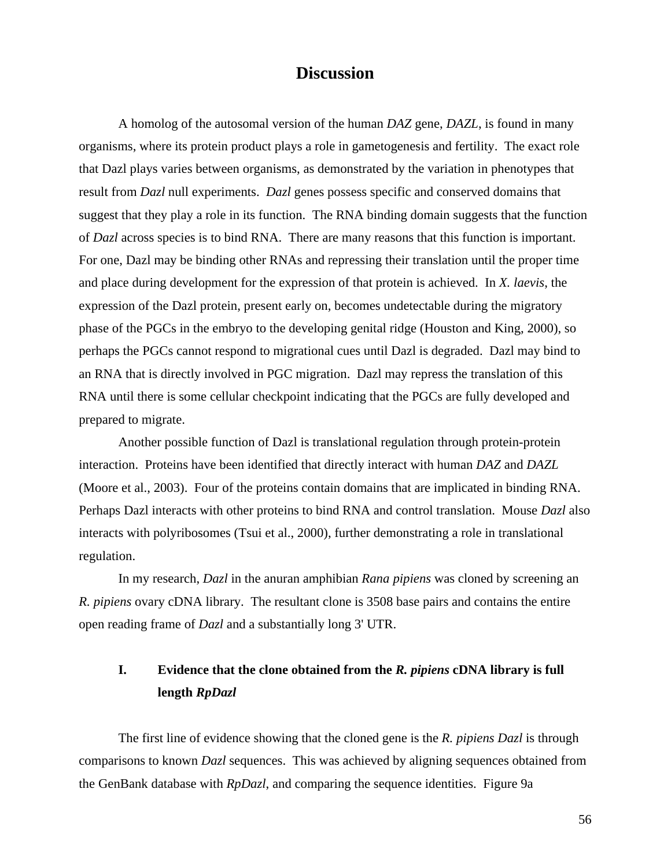# **Discussion**

A homolog of the autosomal version of the human *DAZ* gene, *DAZL*, is found in many organisms, where its protein product plays a role in gametogenesis and fertility. The exact role that Dazl plays varies between organisms, as demonstrated by the variation in phenotypes that result from *Dazl* null experiments. *Dazl* genes possess specific and conserved domains that suggest that they play a role in its function. The RNA binding domain suggests that the function of *Dazl* across species is to bind RNA. There are many reasons that this function is important. For one, Dazl may be binding other RNAs and repressing their translation until the proper time and place during development for the expression of that protein is achieved. In *X. laevis*, the expression of the Dazl protein, present early on, becomes undetectable during the migratory phase of the PGCs in the embryo to the developing genital ridge (Houston and King, 2000), so perhaps the PGCs cannot respond to migrational cues until Dazl is degraded. Dazl may bind to an RNA that is directly involved in PGC migration. Dazl may repress the translation of this RNA until there is some cellular checkpoint indicating that the PGCs are fully developed and prepared to migrate.

Another possible function of Dazl is translational regulation through protein-protein interaction. Proteins have been identified that directly interact with human *DAZ* and *DAZL* (Moore et al., 2003). Four of the proteins contain domains that are implicated in binding RNA. Perhaps Dazl interacts with other proteins to bind RNA and control translation. Mouse *Dazl* also interacts with polyribosomes (Tsui et al., 2000), further demonstrating a role in translational regulation.

In my research, *Dazl* in the anuran amphibian *Rana pipiens* was cloned by screening an *R. pipiens* ovary cDNA library. The resultant clone is 3508 base pairs and contains the entire open reading frame of *Dazl* and a substantially long 3' UTR.

# **I. Evidence that the clone obtained from the** *R. pipiens* **cDNA library is full length** *RpDazl*

The first line of evidence showing that the cloned gene is the *R. pipiens Dazl* is through comparisons to known *Dazl* sequences. This was achieved by aligning sequences obtained from the GenBank database with *RpDazl*, and comparing the sequence identities. Figure 9a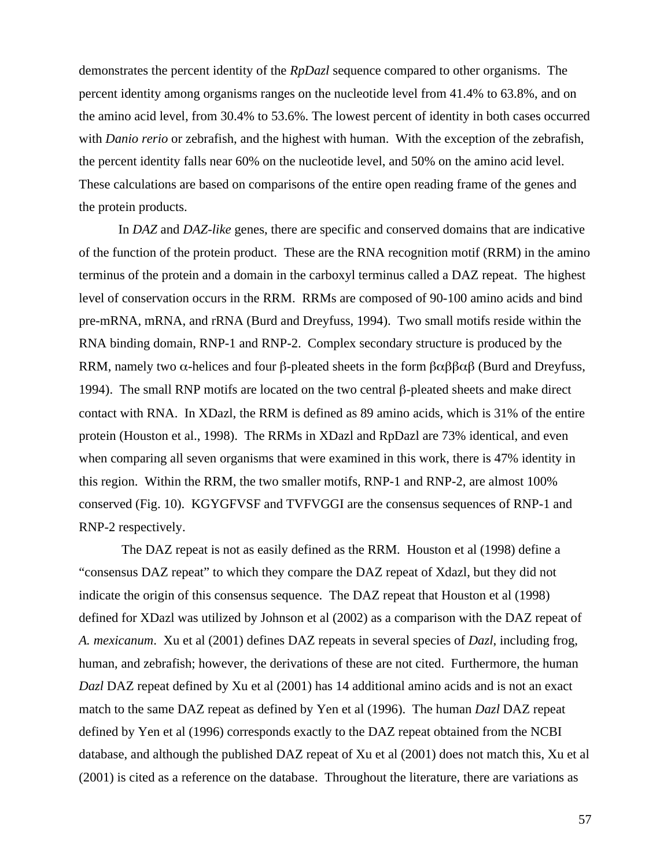demonstrates the percent identity of the *RpDazl* sequence compared to other organisms. The percent identity among organisms ranges on the nucleotide level from 41.4% to 63.8%, and on the amino acid level, from 30.4% to 53.6%. The lowest percent of identity in both cases occurred with *Danio rerio* or zebrafish, and the highest with human. With the exception of the zebrafish, the percent identity falls near 60% on the nucleotide level, and 50% on the amino acid level. These calculations are based on comparisons of the entire open reading frame of the genes and the protein products.

In *DAZ* and *DAZ-like* genes, there are specific and conserved domains that are indicative of the function of the protein product. These are the RNA recognition motif (RRM) in the amino terminus of the protein and a domain in the carboxyl terminus called a DAZ repeat. The highest level of conservation occurs in the RRM. RRMs are composed of 90-100 amino acids and bind pre-mRNA, mRNA, and rRNA (Burd and Dreyfuss, 1994). Two small motifs reside within the RNA binding domain, RNP-1 and RNP-2. Complex secondary structure is produced by the RRM, namely two  $\alpha$ -helices and four β-pleated sheets in the form  $\beta \alpha \beta \beta \alpha \beta$  (Burd and Dreyfuss, 1994). The small RNP motifs are located on the two central β-pleated sheets and make direct contact with RNA. In XDazl, the RRM is defined as 89 amino acids, which is 31% of the entire protein (Houston et al., 1998). The RRMs in XDazl and RpDazl are 73% identical, and even when comparing all seven organisms that were examined in this work, there is 47% identity in this region. Within the RRM, the two smaller motifs, RNP-1 and RNP-2, are almost 100% conserved (Fig. 10). KGYGFVSF and TVFVGGI are the consensus sequences of RNP-1 and RNP-2 respectively.

 The DAZ repeat is not as easily defined as the RRM. Houston et al (1998) define a "consensus DAZ repeat" to which they compare the DAZ repeat of Xdazl, but they did not indicate the origin of this consensus sequence. The DAZ repeat that Houston et al (1998) defined for XDazl was utilized by Johnson et al (2002) as a comparison with the DAZ repeat of *A. mexicanum*. Xu et al (2001) defines DAZ repeats in several species of *Dazl*, including frog, human, and zebrafish; however, the derivations of these are not cited. Furthermore, the human *Dazl* DAZ repeat defined by Xu et al (2001) has 14 additional amino acids and is not an exact match to the same DAZ repeat as defined by Yen et al (1996). The human *Dazl* DAZ repeat defined by Yen et al (1996) corresponds exactly to the DAZ repeat obtained from the NCBI database, and although the published DAZ repeat of Xu et al (2001) does not match this, Xu et al (2001) is cited as a reference on the database. Throughout the literature, there are variations as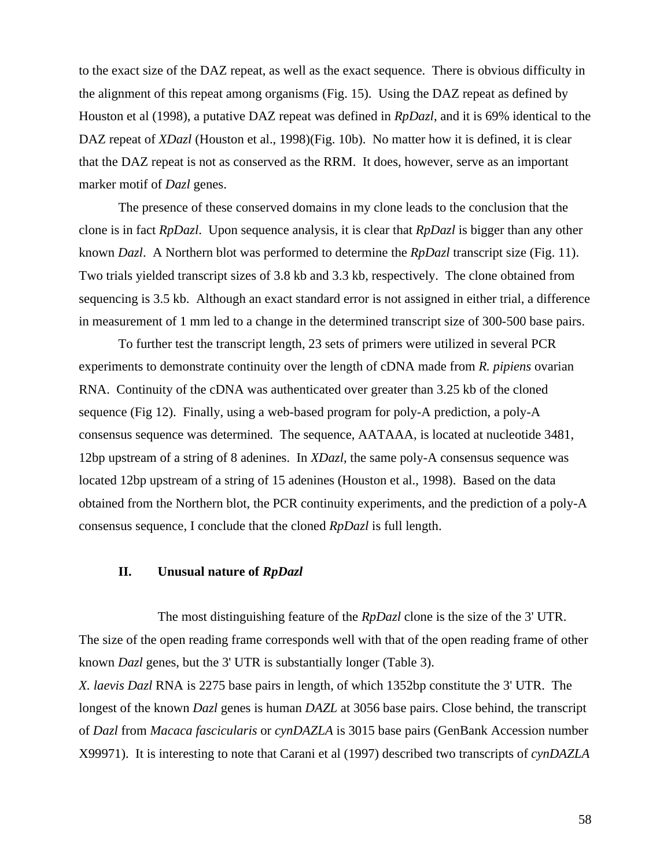to the exact size of the DAZ repeat, as well as the exact sequence. There is obvious difficulty in the alignment of this repeat among organisms (Fig. 15). Using the DAZ repeat as defined by Houston et al (1998), a putative DAZ repeat was defined in *RpDazl*, and it is 69% identical to the DAZ repeat of *XDazl* (Houston et al., 1998)(Fig. 10b). No matter how it is defined, it is clear that the DAZ repeat is not as conserved as the RRM. It does, however, serve as an important marker motif of *Dazl* genes.

The presence of these conserved domains in my clone leads to the conclusion that the clone is in fact *RpDazl*. Upon sequence analysis, it is clear that *RpDazl* is bigger than any other known *Dazl*. A Northern blot was performed to determine the *RpDazl* transcript size (Fig. 11). Two trials yielded transcript sizes of 3.8 kb and 3.3 kb, respectively. The clone obtained from sequencing is 3.5 kb. Although an exact standard error is not assigned in either trial, a difference in measurement of 1 mm led to a change in the determined transcript size of 300-500 base pairs.

To further test the transcript length, 23 sets of primers were utilized in several PCR experiments to demonstrate continuity over the length of cDNA made from *R. pipiens* ovarian RNA. Continuity of the cDNA was authenticated over greater than 3.25 kb of the cloned sequence (Fig 12). Finally, using a web-based program for poly-A prediction, a poly-A consensus sequence was determined. The sequence, AATAAA, is located at nucleotide 3481, 12bp upstream of a string of 8 adenines. In *XDazl*, the same poly-A consensus sequence was located 12bp upstream of a string of 15 adenines (Houston et al., 1998). Based on the data obtained from the Northern blot, the PCR continuity experiments, and the prediction of a poly-A consensus sequence, I conclude that the cloned *RpDazl* is full length.

# **II. Unusual nature of** *RpDazl*

The most distinguishing feature of the *RpDazl* clone is the size of the 3' UTR. The size of the open reading frame corresponds well with that of the open reading frame of other known *Dazl* genes, but the 3' UTR is substantially longer (Table 3).

*X. laevis Dazl* RNA is 2275 base pairs in length, of which 1352bp constitute the 3' UTR. The longest of the known *Dazl* genes is human *DAZL* at 3056 base pairs. Close behind, the transcript of *Dazl* from *Macaca fascicularis* or *cynDAZLA* is 3015 base pairs (GenBank Accession number X99971). It is interesting to note that Carani et al (1997) described two transcripts of *cynDAZLA*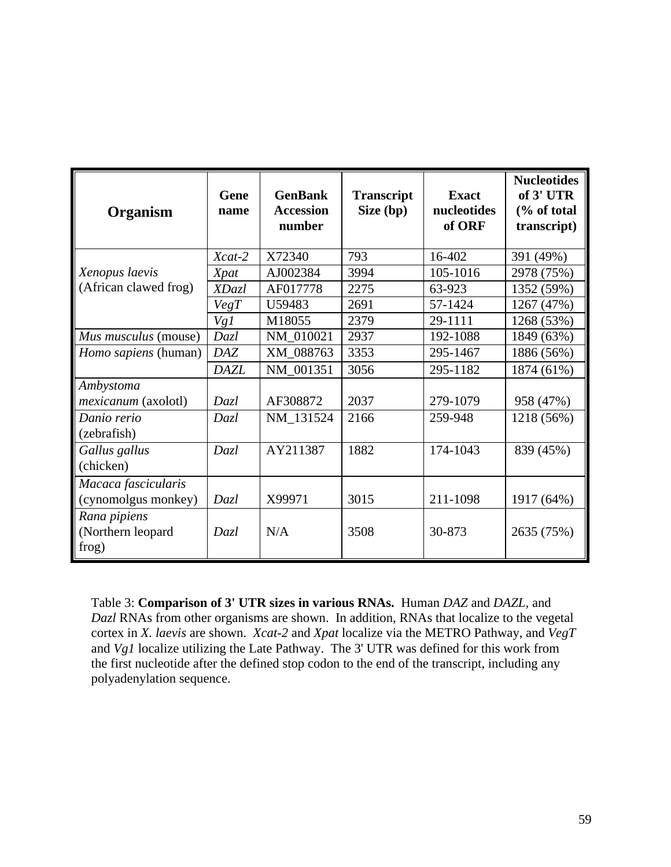| Organism                                   | Gene<br>name | <b>GenBank</b><br><b>Accession</b><br>number | <b>Transcript</b><br>Size (bp) | <b>Exact</b><br>nucleotides<br>of ORF | <b>Nucleotides</b><br>of 3' UTR<br>$\frac{6}{6}$ of total<br>transcript) |
|--------------------------------------------|--------------|----------------------------------------------|--------------------------------|---------------------------------------|--------------------------------------------------------------------------|
|                                            | $Xcat-2$     | X72340                                       | 793                            | 16-402                                | 391 (49%)                                                                |
| Xenopus laevis                             | Xpat         | AJ002384                                     | 3994                           | 105-1016                              | 2978 (75%)                                                               |
| (African clawed frog)                      | XDazl        | AF017778                                     | 2275                           | 63-923                                | 1352 (59%)                                                               |
|                                            | VegT         | U59483                                       | 2691                           | 57-1424                               | 1267 (47%)                                                               |
|                                            | Vg1          | M18055                                       | 2379                           | 29-1111                               | 1268 (53%)                                                               |
| Mus musculus (mouse)                       | Dazl         | NM_010021                                    | 2937                           | 192-1088                              | 1849 (63%)                                                               |
| <i>Homo sapiens</i> (human)                | <b>DAZ</b>   | XM_088763                                    | 3353                           | 295-1467                              | 1886 (56%)                                                               |
|                                            | <b>DAZL</b>  | NM_001351                                    | 3056                           | 295-1182                              | 1874 (61%)                                                               |
| Ambystoma                                  |              |                                              |                                |                                       |                                                                          |
| <i>mexicanum</i> (axolotl)                 | Dazl         | AF308872                                     | 2037                           | 279-1079                              | 958 (47%)                                                                |
| Danio rerio<br>(zebrafish)                 | Dazl         | NM 131524                                    | 2166                           | 259-948                               | 1218 (56%)                                                               |
| Gallus gallus<br>(chicken)                 | Dazl         | AY211387                                     | 1882                           | 174-1043                              | 839 (45%)                                                                |
| Macaca fascicularis<br>(cynomolgus monkey) | Dazl         | X99971                                       | 3015                           | 211-1098                              | 1917 (64%)                                                               |
| Rana pipiens<br>(Northern leopard<br>frog) | Dazl         | N/A                                          | 3508                           | 30-873                                | 2635 (75%)                                                               |

Table 3: **Comparison of 3' UTR sizes in various RNAs.** Human *DAZ* and *DAZL,* and *Dazl* RNAs from other organisms are shown. In addition, RNAs that localize to the vegetal cortex in *X. laevis* are shown. *Xcat-2* and *Xpat* localize via the METRO Pathway, and *VegT* and *Vg1* localize utilizing the Late Pathway. The 3' UTR was defined for this work from the first nucleotide after the defined stop codon to the end of the transcript, including any polyadenylation sequence.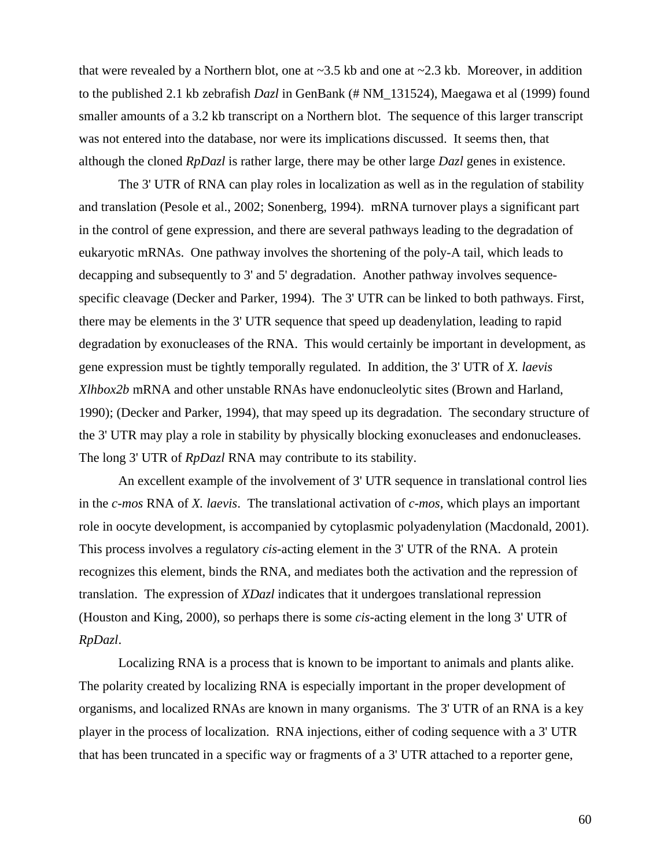that were revealed by a Northern blot, one at  $\sim$ 3.5 kb and one at  $\sim$ 2.3 kb. Moreover, in addition to the published 2.1 kb zebrafish *Dazl* in GenBank (# NM\_131524), Maegawa et al (1999) found smaller amounts of a 3.2 kb transcript on a Northern blot. The sequence of this larger transcript was not entered into the database, nor were its implications discussed. It seems then, that although the cloned *RpDazl* is rather large, there may be other large *Dazl* genes in existence.

The 3' UTR of RNA can play roles in localization as well as in the regulation of stability and translation (Pesole et al., 2002; Sonenberg, 1994). mRNA turnover plays a significant part in the control of gene expression, and there are several pathways leading to the degradation of eukaryotic mRNAs. One pathway involves the shortening of the poly-A tail, which leads to decapping and subsequently to 3' and 5' degradation. Another pathway involves sequencespecific cleavage (Decker and Parker, 1994). The 3' UTR can be linked to both pathways. First, there may be elements in the 3' UTR sequence that speed up deadenylation, leading to rapid degradation by exonucleases of the RNA. This would certainly be important in development, as gene expression must be tightly temporally regulated. In addition, the 3' UTR of *X. laevis Xlhbox2b* mRNA and other unstable RNAs have endonucleolytic sites (Brown and Harland, 1990); (Decker and Parker, 1994), that may speed up its degradation. The secondary structure of the 3' UTR may play a role in stability by physically blocking exonucleases and endonucleases. The long 3' UTR of *RpDazl* RNA may contribute to its stability.

An excellent example of the involvement of 3' UTR sequence in translational control lies in the *c-mos* RNA of *X. laevis*. The translational activation of *c-mos*, which plays an important role in oocyte development, is accompanied by cytoplasmic polyadenylation (Macdonald, 2001). This process involves a regulatory *cis*-acting element in the 3' UTR of the RNA. A protein recognizes this element, binds the RNA, and mediates both the activation and the repression of translation. The expression of *XDazl* indicates that it undergoes translational repression (Houston and King, 2000), so perhaps there is some *cis*-acting element in the long 3' UTR of *RpDazl*.

Localizing RNA is a process that is known to be important to animals and plants alike. The polarity created by localizing RNA is especially important in the proper development of organisms, and localized RNAs are known in many organisms. The 3' UTR of an RNA is a key player in the process of localization. RNA injections, either of coding sequence with a 3' UTR that has been truncated in a specific way or fragments of a 3' UTR attached to a reporter gene,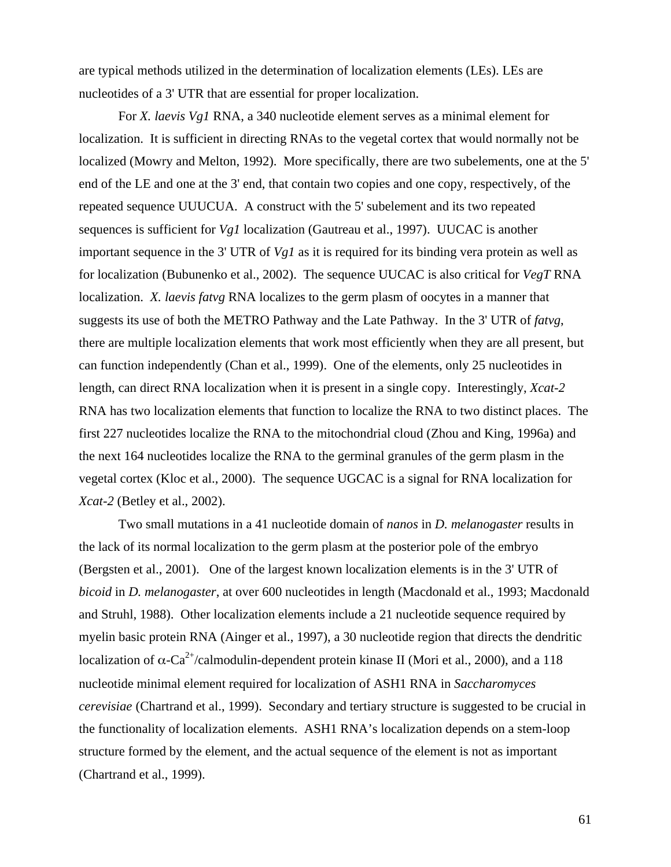are typical methods utilized in the determination of localization elements (LEs). LEs are nucleotides of a 3' UTR that are essential for proper localization.

For *X. laevis Vg1* RNA, a 340 nucleotide element serves as a minimal element for localization. It is sufficient in directing RNAs to the vegetal cortex that would normally not be localized (Mowry and Melton, 1992). More specifically, there are two subelements, one at the 5' end of the LE and one at the 3' end, that contain two copies and one copy, respectively, of the repeated sequence UUUCUA. A construct with the 5' subelement and its two repeated sequences is sufficient for *Vg1* localization (Gautreau et al., 1997). UUCAC is another important sequence in the 3' UTR of *Vg1* as it is required for its binding vera protein as well as for localization (Bubunenko et al., 2002). The sequence UUCAC is also critical for *VegT* RNA localization. *X. laevis fatvg* RNA localizes to the germ plasm of oocytes in a manner that suggests its use of both the METRO Pathway and the Late Pathway. In the 3' UTR of *fatvg*, there are multiple localization elements that work most efficiently when they are all present, but can function independently (Chan et al., 1999). One of the elements, only 25 nucleotides in length, can direct RNA localization when it is present in a single copy. Interestingly, *Xcat-2* RNA has two localization elements that function to localize the RNA to two distinct places. The first 227 nucleotides localize the RNA to the mitochondrial cloud (Zhou and King, 1996a) and the next 164 nucleotides localize the RNA to the germinal granules of the germ plasm in the vegetal cortex (Kloc et al., 2000). The sequence UGCAC is a signal for RNA localization for *Xcat-2* (Betley et al., 2002).

Two small mutations in a 41 nucleotide domain of *nanos* in *D. melanogaster* results in the lack of its normal localization to the germ plasm at the posterior pole of the embryo (Bergsten et al., 2001). One of the largest known localization elements is in the 3' UTR of *bicoid* in *D. melanogaster*, at over 600 nucleotides in length (Macdonald et al., 1993; Macdonald and Struhl, 1988). Other localization elements include a 21 nucleotide sequence required by myelin basic protein RNA (Ainger et al., 1997), a 30 nucleotide region that directs the dendritic localization of  $\alpha$ -Ca<sup>2+</sup>/calmodulin-dependent protein kinase II (Mori et al., 2000), and a 118 nucleotide minimal element required for localization of ASH1 RNA in *Saccharomyces cerevisiae* (Chartrand et al., 1999). Secondary and tertiary structure is suggested to be crucial in the functionality of localization elements. ASH1 RNA's localization depends on a stem-loop structure formed by the element, and the actual sequence of the element is not as important (Chartrand et al., 1999).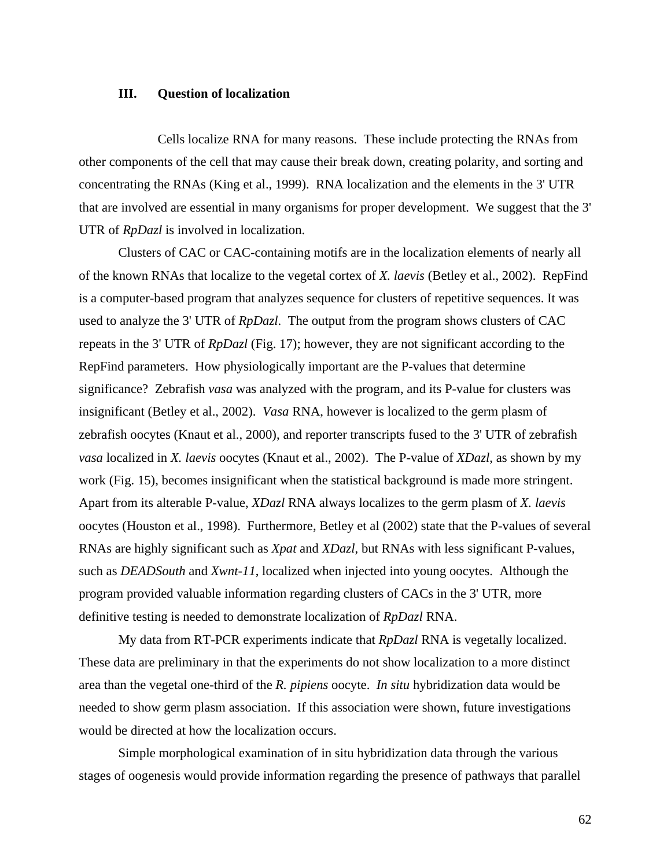# **III. Question of localization**

Cells localize RNA for many reasons. These include protecting the RNAs from other components of the cell that may cause their break down, creating polarity, and sorting and concentrating the RNAs (King et al., 1999). RNA localization and the elements in the 3' UTR that are involved are essential in many organisms for proper development. We suggest that the 3' UTR of *RpDazl* is involved in localization.

Clusters of CAC or CAC-containing motifs are in the localization elements of nearly all of the known RNAs that localize to the vegetal cortex of *X. laevis* (Betley et al., 2002). RepFind is a computer-based program that analyzes sequence for clusters of repetitive sequences. It was used to analyze the 3' UTR of *RpDazl*. The output from the program shows clusters of CAC repeats in the 3' UTR of *RpDazl* (Fig. 17); however, they are not significant according to the RepFind parameters. How physiologically important are the P-values that determine significance? Zebrafish *vasa* was analyzed with the program, and its P-value for clusters was insignificant (Betley et al., 2002). *Vasa* RNA, however is localized to the germ plasm of zebrafish oocytes (Knaut et al., 2000), and reporter transcripts fused to the 3' UTR of zebrafish *vasa* localized in *X. laevis* oocytes (Knaut et al., 2002). The P-value of *XDazl*, as shown by my work (Fig. 15), becomes insignificant when the statistical background is made more stringent. Apart from its alterable P-value, *XDazl* RNA always localizes to the germ plasm of *X. laevis* oocytes (Houston et al., 1998). Furthermore, Betley et al (2002) state that the P-values of several RNAs are highly significant such as *Xpat* and *XDazl*, but RNAs with less significant P-values, such as *DEADSouth* and *Xwnt-11*, localized when injected into young oocytes. Although the program provided valuable information regarding clusters of CACs in the 3' UTR, more definitive testing is needed to demonstrate localization of *RpDazl* RNA.

My data from RT-PCR experiments indicate that *RpDazl* RNA is vegetally localized. These data are preliminary in that the experiments do not show localization to a more distinct area than the vegetal one-third of the *R. pipiens* oocyte. *In situ* hybridization data would be needed to show germ plasm association. If this association were shown, future investigations would be directed at how the localization occurs.

Simple morphological examination of in situ hybridization data through the various stages of oogenesis would provide information regarding the presence of pathways that parallel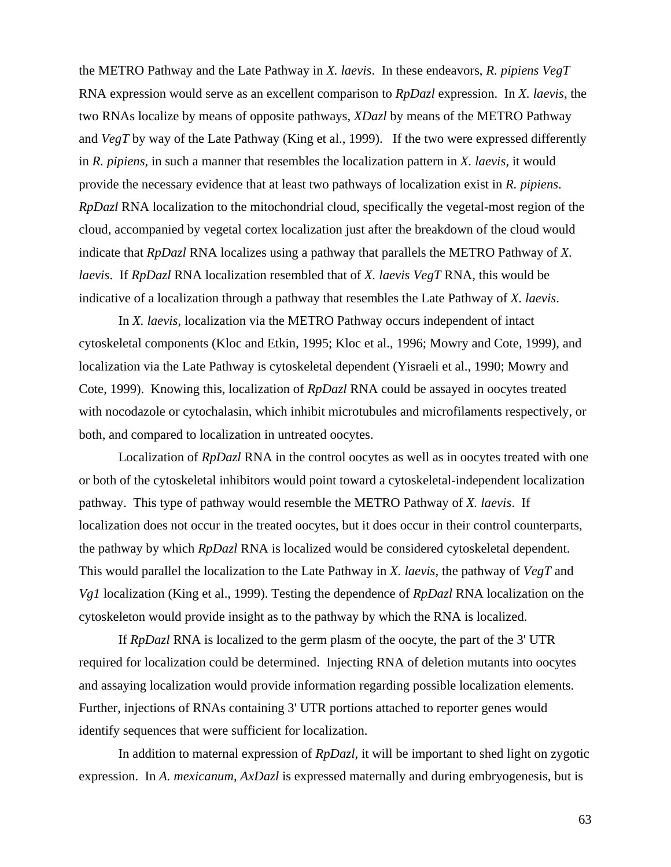the METRO Pathway and the Late Pathway in *X. laevis*. In these endeavors, *R. pipiens VegT* RNA expression would serve as an excellent comparison to *RpDazl* expression. In *X. laevis*, the two RNAs localize by means of opposite pathways, *XDazl* by means of the METRO Pathway and *VegT* by way of the Late Pathway (King et al., 1999). If the two were expressed differently in *R. pipiens*, in such a manner that resembles the localization pattern in *X. laevis*, it would provide the necessary evidence that at least two pathways of localization exist in *R. pipiens*. *RpDazl* RNA localization to the mitochondrial cloud, specifically the vegetal-most region of the cloud, accompanied by vegetal cortex localization just after the breakdown of the cloud would indicate that *RpDazl* RNA localizes using a pathway that parallels the METRO Pathway of *X. laevis*. If *RpDazl* RNA localization resembled that of *X. laevis VegT* RNA, this would be indicative of a localization through a pathway that resembles the Late Pathway of *X. laevis*.

In *X. laevis*, localization via the METRO Pathway occurs independent of intact cytoskeletal components (Kloc and Etkin, 1995; Kloc et al., 1996; Mowry and Cote, 1999), and localization via the Late Pathway is cytoskeletal dependent (Yisraeli et al., 1990; Mowry and Cote, 1999). Knowing this, localization of *RpDazl* RNA could be assayed in oocytes treated with nocodazole or cytochalasin, which inhibit microtubules and microfilaments respectively, or both, and compared to localization in untreated oocytes.

Localization of *RpDazl* RNA in the control oocytes as well as in oocytes treated with one or both of the cytoskeletal inhibitors would point toward a cytoskeletal-independent localization pathway. This type of pathway would resemble the METRO Pathway of *X. laevis*. If localization does not occur in the treated oocytes, but it does occur in their control counterparts, the pathway by which *RpDazl* RNA is localized would be considered cytoskeletal dependent. This would parallel the localization to the Late Pathway in *X. laevis*, the pathway of *VegT* and *Vg1* localization (King et al., 1999). Testing the dependence of *RpDazl* RNA localization on the cytoskeleton would provide insight as to the pathway by which the RNA is localized.

If *RpDazl* RNA is localized to the germ plasm of the oocyte, the part of the 3' UTR required for localization could be determined. Injecting RNA of deletion mutants into oocytes and assaying localization would provide information regarding possible localization elements. Further, injections of RNAs containing 3' UTR portions attached to reporter genes would identify sequences that were sufficient for localization.

In addition to maternal expression of *RpDazl*, it will be important to shed light on zygotic expression. In *A. mexicanum*, *AxDazl* is expressed maternally and during embryogenesis, but is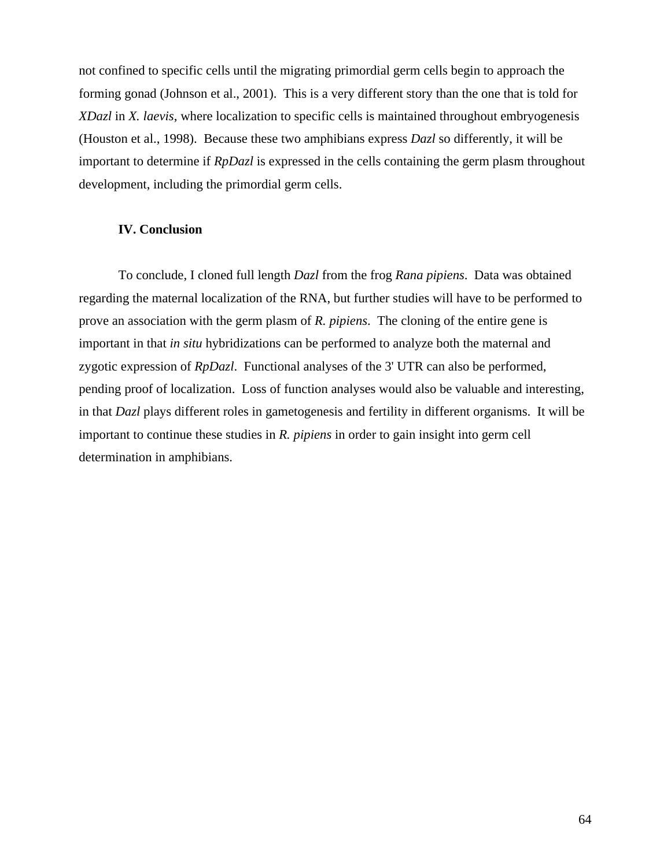not confined to specific cells until the migrating primordial germ cells begin to approach the forming gonad (Johnson et al., 2001). This is a very different story than the one that is told for *XDazl* in *X. laevis*, where localization to specific cells is maintained throughout embryogenesis (Houston et al., 1998). Because these two amphibians express *Dazl* so differently, it will be important to determine if *RpDazl* is expressed in the cells containing the germ plasm throughout development, including the primordial germ cells.

## **IV. Conclusion**

To conclude, I cloned full length *Dazl* from the frog *Rana pipiens*. Data was obtained regarding the maternal localization of the RNA, but further studies will have to be performed to prove an association with the germ plasm of *R. pipiens*. The cloning of the entire gene is important in that *in situ* hybridizations can be performed to analyze both the maternal and zygotic expression of *RpDazl*. Functional analyses of the 3' UTR can also be performed, pending proof of localization. Loss of function analyses would also be valuable and interesting, in that *Dazl* plays different roles in gametogenesis and fertility in different organisms. It will be important to continue these studies in *R. pipiens* in order to gain insight into germ cell determination in amphibians.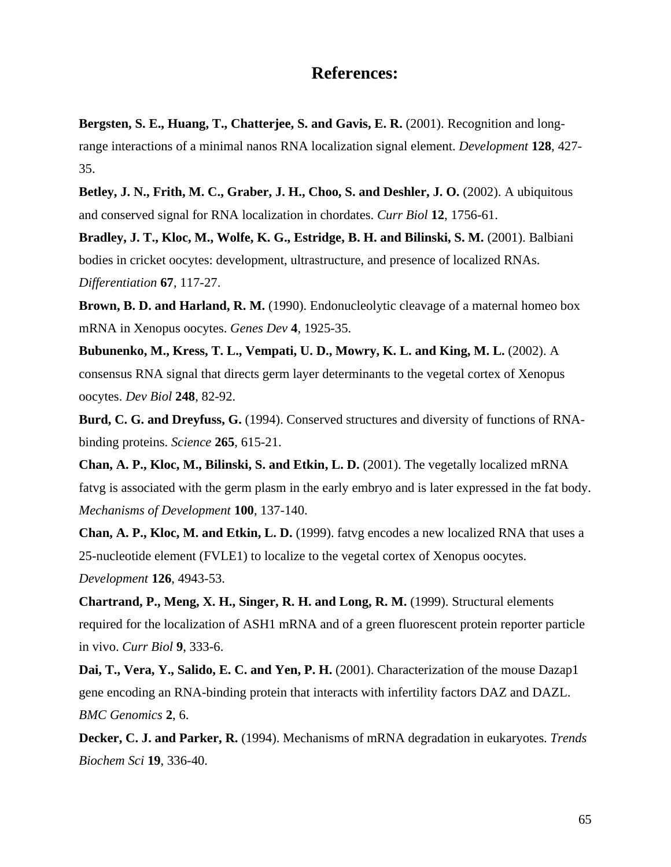## **References:**

**Bergsten, S. E., Huang, T., Chatterjee, S. and Gavis, E. R.** (2001). Recognition and longrange interactions of a minimal nanos RNA localization signal element. *Development* **128**, 427- 35.

**Betley, J. N., Frith, M. C., Graber, J. H., Choo, S. and Deshler, J. O.** (2002). A ubiquitous and conserved signal for RNA localization in chordates. *Curr Biol* **12**, 1756-61.

**Bradley, J. T., Kloc, M., Wolfe, K. G., Estridge, B. H. and Bilinski, S. M.** (2001). Balbiani bodies in cricket oocytes: development, ultrastructure, and presence of localized RNAs. *Differentiation* **67**, 117-27.

**Brown, B. D. and Harland, R. M.** (1990). Endonucleolytic cleavage of a maternal homeo box mRNA in Xenopus oocytes. *Genes Dev* **4**, 1925-35.

**Bubunenko, M., Kress, T. L., Vempati, U. D., Mowry, K. L. and King, M. L.** (2002). A consensus RNA signal that directs germ layer determinants to the vegetal cortex of Xenopus oocytes. *Dev Biol* **248**, 82-92.

**Burd, C. G. and Dreyfuss, G.** (1994). Conserved structures and diversity of functions of RNAbinding proteins. *Science* **265**, 615-21.

**Chan, A. P., Kloc, M., Bilinski, S. and Etkin, L. D.** (2001). The vegetally localized mRNA fatvg is associated with the germ plasm in the early embryo and is later expressed in the fat body. *Mechanisms of Development* **100**, 137-140.

**Chan, A. P., Kloc, M. and Etkin, L. D.** (1999). fatvg encodes a new localized RNA that uses a 25-nucleotide element (FVLE1) to localize to the vegetal cortex of Xenopus oocytes. *Development* **126**, 4943-53.

**Chartrand, P., Meng, X. H., Singer, R. H. and Long, R. M.** (1999). Structural elements required for the localization of ASH1 mRNA and of a green fluorescent protein reporter particle in vivo. *Curr Biol* **9**, 333-6.

**Dai, T., Vera, Y., Salido, E. C. and Yen, P. H.** (2001). Characterization of the mouse Dazap1 gene encoding an RNA-binding protein that interacts with infertility factors DAZ and DAZL. *BMC Genomics* **2**, 6.

**Decker, C. J. and Parker, R.** (1994). Mechanisms of mRNA degradation in eukaryotes. *Trends Biochem Sci* **19**, 336-40.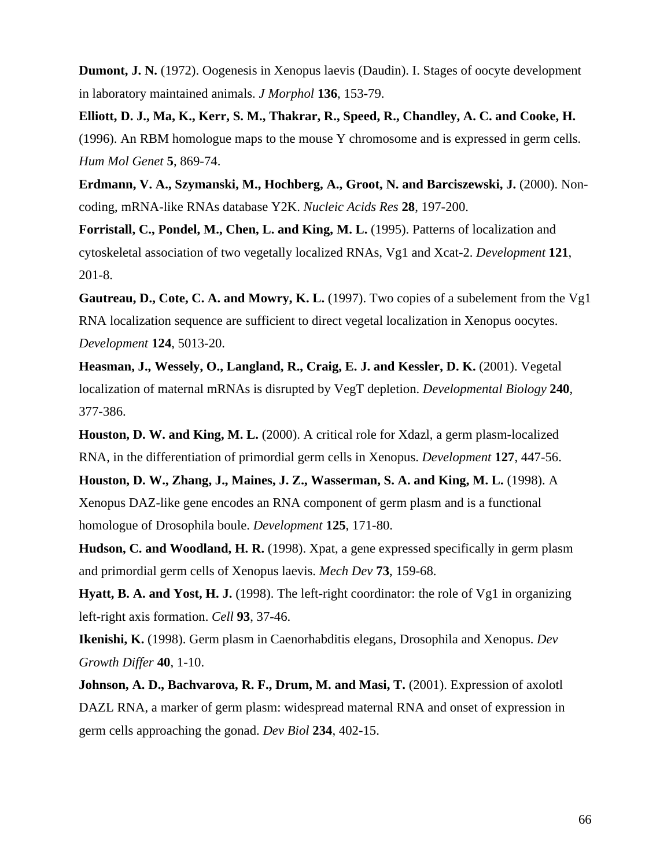**Dumont, J. N.** (1972). Oogenesis in Xenopus laevis (Daudin). I. Stages of oocyte development in laboratory maintained animals. *J Morphol* **136**, 153-79.

**Elliott, D. J., Ma, K., Kerr, S. M., Thakrar, R., Speed, R., Chandley, A. C. and Cooke, H.** (1996). An RBM homologue maps to the mouse Y chromosome and is expressed in germ cells. *Hum Mol Genet* **5**, 869-74.

**Erdmann, V. A., Szymanski, M., Hochberg, A., Groot, N. and Barciszewski, J.** (2000). Noncoding, mRNA-like RNAs database Y2K. *Nucleic Acids Res* **28**, 197-200.

**Forristall, C., Pondel, M., Chen, L. and King, M. L.** (1995). Patterns of localization and cytoskeletal association of two vegetally localized RNAs, Vg1 and Xcat-2. *Development* **121**, 201-8.

Gautreau, D., Cote, C. A. and Mowry, K. L. (1997). Two copies of a subelement from the Vg1 RNA localization sequence are sufficient to direct vegetal localization in Xenopus oocytes. *Development* **124**, 5013-20.

**Heasman, J., Wessely, O., Langland, R., Craig, E. J. and Kessler, D. K.** (2001). Vegetal localization of maternal mRNAs is disrupted by VegT depletion. *Developmental Biology* **240**, 377-386.

**Houston, D. W. and King, M. L.** (2000). A critical role for Xdazl, a germ plasm-localized RNA, in the differentiation of primordial germ cells in Xenopus. *Development* **127**, 447-56.

**Houston, D. W., Zhang, J., Maines, J. Z., Wasserman, S. A. and King, M. L.** (1998). A Xenopus DAZ-like gene encodes an RNA component of germ plasm and is a functional homologue of Drosophila boule. *Development* **125**, 171-80.

**Hudson, C. and Woodland, H. R.** (1998). Xpat, a gene expressed specifically in germ plasm and primordial germ cells of Xenopus laevis. *Mech Dev* **73**, 159-68.

Hyatt, B. A. and Yost, H. J. (1998). The left-right coordinator: the role of Vg1 in organizing left-right axis formation. *Cell* **93**, 37-46.

**Ikenishi, K.** (1998). Germ plasm in Caenorhabditis elegans, Drosophila and Xenopus. *Dev Growth Differ* **40**, 1-10.

**Johnson, A. D., Bachvarova, R. F., Drum, M. and Masi, T.** (2001). Expression of axolotl DAZL RNA, a marker of germ plasm: widespread maternal RNA and onset of expression in germ cells approaching the gonad. *Dev Biol* **234**, 402-15.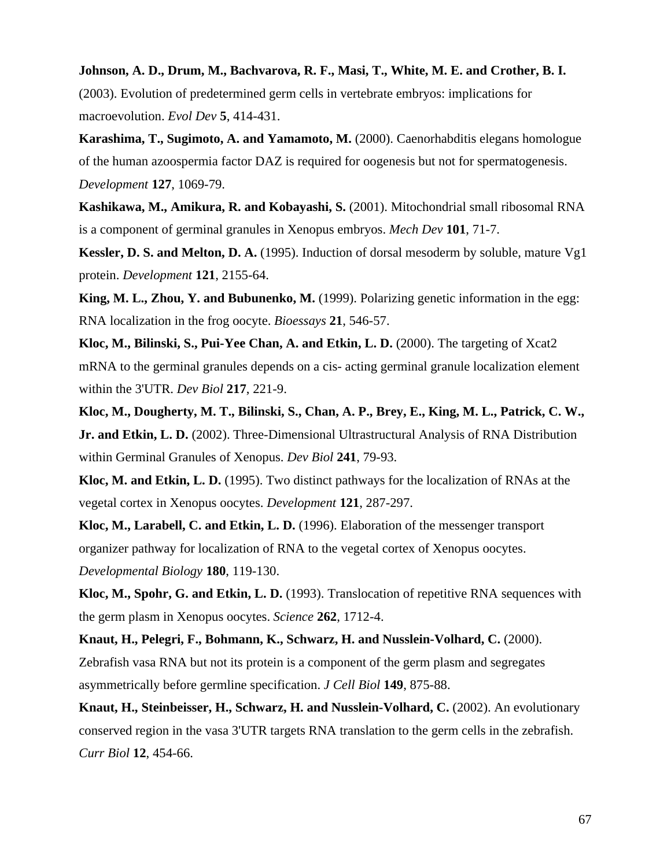## **Johnson, A. D., Drum, M., Bachvarova, R. F., Masi, T., White, M. E. and Crother, B. I.**

(2003). Evolution of predetermined germ cells in vertebrate embryos: implications for macroevolution. *Evol Dev* **5**, 414-431.

**Karashima, T., Sugimoto, A. and Yamamoto, M.** (2000). Caenorhabditis elegans homologue of the human azoospermia factor DAZ is required for oogenesis but not for spermatogenesis. *Development* **127**, 1069-79.

**Kashikawa, M., Amikura, R. and Kobayashi, S.** (2001). Mitochondrial small ribosomal RNA is a component of germinal granules in Xenopus embryos. *Mech Dev* **101**, 71-7.

**Kessler, D. S. and Melton, D. A.** (1995). Induction of dorsal mesoderm by soluble, mature Vg1 protein. *Development* **121**, 2155-64.

**King, M. L., Zhou, Y. and Bubunenko, M.** (1999). Polarizing genetic information in the egg: RNA localization in the frog oocyte. *Bioessays* **21**, 546-57.

**Kloc, M., Bilinski, S., Pui-Yee Chan, A. and Etkin, L. D.** (2000). The targeting of Xcat2 mRNA to the germinal granules depends on a cis- acting germinal granule localization element within the 3'UTR. *Dev Biol* **217**, 221-9.

**Kloc, M., Dougherty, M. T., Bilinski, S., Chan, A. P., Brey, E., King, M. L., Patrick, C. W., Jr. and Etkin, L. D.** (2002). Three-Dimensional Ultrastructural Analysis of RNA Distribution within Germinal Granules of Xenopus. *Dev Biol* **241**, 79-93.

**Kloc, M. and Etkin, L. D.** (1995). Two distinct pathways for the localization of RNAs at the vegetal cortex in Xenopus oocytes. *Development* **121**, 287-297.

**Kloc, M., Larabell, C. and Etkin, L. D.** (1996). Elaboration of the messenger transport organizer pathway for localization of RNA to the vegetal cortex of Xenopus oocytes. *Developmental Biology* **180**, 119-130.

**Kloc, M., Spohr, G. and Etkin, L. D.** (1993). Translocation of repetitive RNA sequences with the germ plasm in Xenopus oocytes. *Science* **262**, 1712-4.

**Knaut, H., Pelegri, F., Bohmann, K., Schwarz, H. and Nusslein-Volhard, C.** (2000). Zebrafish vasa RNA but not its protein is a component of the germ plasm and segregates asymmetrically before germline specification. *J Cell Biol* **149**, 875-88.

**Knaut, H., Steinbeisser, H., Schwarz, H. and Nusslein-Volhard, C.** (2002). An evolutionary conserved region in the vasa 3'UTR targets RNA translation to the germ cells in the zebrafish. *Curr Biol* **12**, 454-66.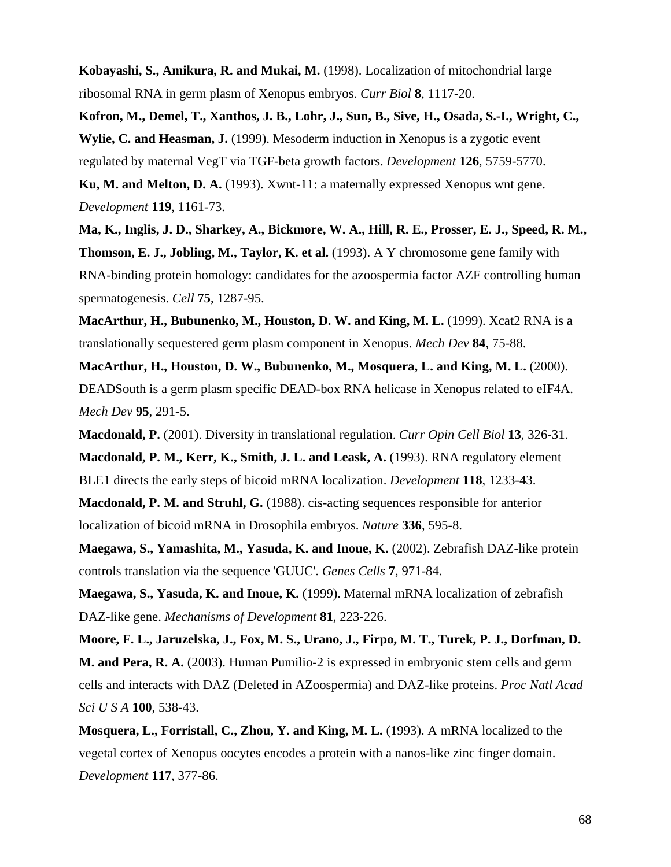**Kobayashi, S., Amikura, R. and Mukai, M.** (1998). Localization of mitochondrial large ribosomal RNA in germ plasm of Xenopus embryos. *Curr Biol* **8**, 1117-20.

**Kofron, M., Demel, T., Xanthos, J. B., Lohr, J., Sun, B., Sive, H., Osada, S.-I., Wright, C., Wylie, C. and Heasman, J.** (1999). Mesoderm induction in Xenopus is a zygotic event regulated by maternal VegT via TGF-beta growth factors. *Development* **126**, 5759-5770. **Ku, M. and Melton, D. A.** (1993). Xwnt-11: a maternally expressed Xenopus wnt gene.

*Development* **119**, 1161-73.

**Ma, K., Inglis, J. D., Sharkey, A., Bickmore, W. A., Hill, R. E., Prosser, E. J., Speed, R. M., Thomson, E. J., Jobling, M., Taylor, K. et al.** (1993). A Y chromosome gene family with RNA-binding protein homology: candidates for the azoospermia factor AZF controlling human spermatogenesis. *Cell* **75**, 1287-95.

**MacArthur, H., Bubunenko, M., Houston, D. W. and King, M. L.** (1999). Xcat2 RNA is a translationally sequestered germ plasm component in Xenopus. *Mech Dev* **84**, 75-88.

**MacArthur, H., Houston, D. W., Bubunenko, M., Mosquera, L. and King, M. L.** (2000). DEADSouth is a germ plasm specific DEAD-box RNA helicase in Xenopus related to eIF4A. *Mech Dev* **95**, 291-5.

**Macdonald, P.** (2001). Diversity in translational regulation. *Curr Opin Cell Biol* **13**, 326-31.

**Macdonald, P. M., Kerr, K., Smith, J. L. and Leask, A.** (1993). RNA regulatory element BLE1 directs the early steps of bicoid mRNA localization. *Development* **118**, 1233-43.

**Macdonald, P. M. and Struhl, G.** (1988). cis-acting sequences responsible for anterior localization of bicoid mRNA in Drosophila embryos. *Nature* **336**, 595-8.

**Maegawa, S., Yamashita, M., Yasuda, K. and Inoue, K.** (2002). Zebrafish DAZ-like protein controls translation via the sequence 'GUUC'. *Genes Cells* **7**, 971-84.

**Maegawa, S., Yasuda, K. and Inoue, K.** (1999). Maternal mRNA localization of zebrafish DAZ-like gene. *Mechanisms of Development* **81**, 223-226.

**Moore, F. L., Jaruzelska, J., Fox, M. S., Urano, J., Firpo, M. T., Turek, P. J., Dorfman, D. M. and Pera, R. A.** (2003). Human Pumilio-2 is expressed in embryonic stem cells and germ cells and interacts with DAZ (Deleted in AZoospermia) and DAZ-like proteins. *Proc Natl Acad Sci U S A* **100**, 538-43.

**Mosquera, L., Forristall, C., Zhou, Y. and King, M. L.** (1993). A mRNA localized to the vegetal cortex of Xenopus oocytes encodes a protein with a nanos-like zinc finger domain. *Development* **117**, 377-86.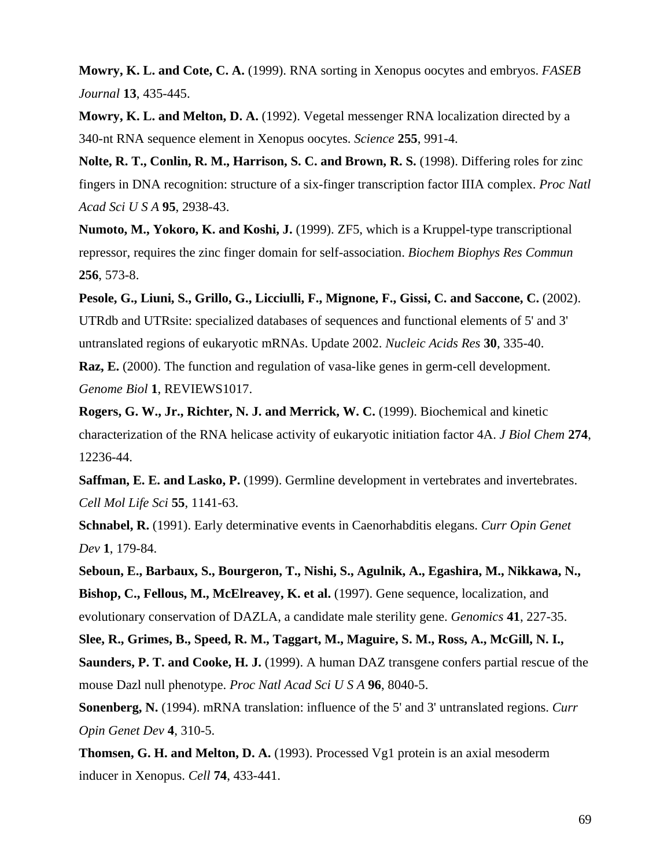**Mowry, K. L. and Cote, C. A.** (1999). RNA sorting in Xenopus oocytes and embryos. *FASEB Journal* **13**, 435-445.

**Mowry, K. L. and Melton, D. A.** (1992). Vegetal messenger RNA localization directed by a 340-nt RNA sequence element in Xenopus oocytes. *Science* **255**, 991-4.

**Nolte, R. T., Conlin, R. M., Harrison, S. C. and Brown, R. S.** (1998). Differing roles for zinc fingers in DNA recognition: structure of a six-finger transcription factor IIIA complex. *Proc Natl Acad Sci U S A* **95**, 2938-43.

**Numoto, M., Yokoro, K. and Koshi, J.** (1999). ZF5, which is a Kruppel-type transcriptional repressor, requires the zinc finger domain for self-association. *Biochem Biophys Res Commun* **256**, 573-8.

**Pesole, G., Liuni, S., Grillo, G., Licciulli, F., Mignone, F., Gissi, C. and Saccone, C.** (2002). UTRdb and UTRsite: specialized databases of sequences and functional elements of 5' and 3' untranslated regions of eukaryotic mRNAs. Update 2002. *Nucleic Acids Res* **30**, 335-40.

**Raz, E.** (2000). The function and regulation of vasa-like genes in germ-cell development. *Genome Biol* **1**, REVIEWS1017.

**Rogers, G. W., Jr., Richter, N. J. and Merrick, W. C.** (1999). Biochemical and kinetic characterization of the RNA helicase activity of eukaryotic initiation factor 4A. *J Biol Chem* **274**, 12236-44.

**Saffman, E. E. and Lasko, P.** (1999). Germline development in vertebrates and invertebrates. *Cell Mol Life Sci* **55**, 1141-63.

**Schnabel, R.** (1991). Early determinative events in Caenorhabditis elegans. *Curr Opin Genet Dev* **1**, 179-84.

**Seboun, E., Barbaux, S., Bourgeron, T., Nishi, S., Agulnik, A., Egashira, M., Nikkawa, N., Bishop, C., Fellous, M., McElreavey, K. et al.** (1997). Gene sequence, localization, and evolutionary conservation of DAZLA, a candidate male sterility gene. *Genomics* **41**, 227-35.

**Slee, R., Grimes, B., Speed, R. M., Taggart, M., Maguire, S. M., Ross, A., McGill, N. I., Saunders, P. T. and Cooke, H. J.** (1999). A human DAZ transgene confers partial rescue of the mouse Dazl null phenotype. *Proc Natl Acad Sci U S A* **96**, 8040-5.

**Sonenberg, N.** (1994). mRNA translation: influence of the 5' and 3' untranslated regions. *Curr Opin Genet Dev* **4**, 310-5.

**Thomsen, G. H. and Melton, D. A.** (1993). Processed Vg1 protein is an axial mesoderm inducer in Xenopus. *Cell* **74**, 433-441.